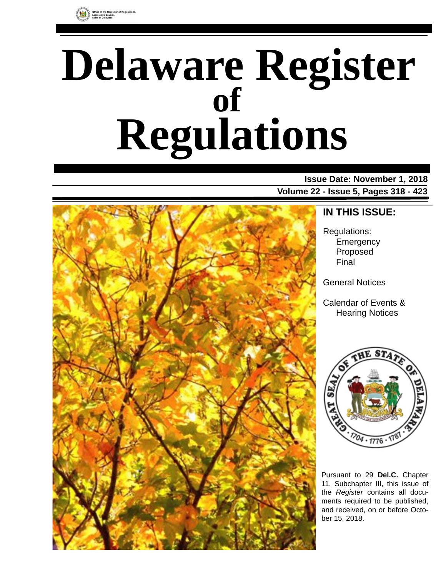

# **Delaware Register Regulations of**

**Issue Date: November 1, 2018 Volume 22 - Issue 5, Pages 318 - 423**



**IN THIS ISSUE:**

Regulations: **Emergency** Proposed Final

General Notices

Calendar of Events & Hearing Notices



Pursuant to 29 **Del.C.** Chapter 11, Subchapter III, this issue of the *Register* contains all documents required to be published, and received, on or before October 15, 2018.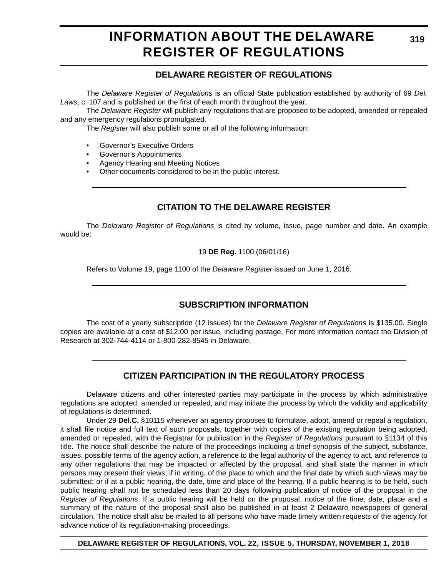# **INFORMATION ABOUT THE DELAWARE REGISTER OF REGULATIONS**

### **DELAWARE REGISTER OF REGULATIONS**

The *Delaware Register of Regulations* is an official State publication established by authority of 69 *Del. Laws*, c. 107 and is published on the first of each month throughout the year.

The *Delaware Register* will publish any regulations that are proposed to be adopted, amended or repealed and any emergency regulations promulgated.

The *Register* will also publish some or all of the following information:

- Governor's Executive Orders
- Governor's Appointments
- Agency Hearing and Meeting Notices
- Other documents considered to be in the public interest.

### **CITATION TO THE DELAWARE REGISTER**

The *Delaware Register of Regulations* is cited by volume, issue, page number and date. An example would be:

19 **DE Reg.** 1100 (06/01/16)

Refers to Volume 19, page 1100 of the *Delaware Register* issued on June 1, 2016.

### **SUBSCRIPTION INFORMATION**

The cost of a yearly subscription (12 issues) for the *Delaware Register of Regulations* is \$135.00. Single copies are available at a cost of \$12.00 per issue, including postage. For more information contact the Division of Research at 302-744-4114 or 1-800-282-8545 in Delaware.

### **CITIZEN PARTICIPATION IN THE REGULATORY PROCESS**

Delaware citizens and other interested parties may participate in the process by which administrative regulations are adopted, amended or repealed, and may initiate the process by which the validity and applicability of regulations is determined.

Under 29 **Del.C.** §10115 whenever an agency proposes to formulate, adopt, amend or repeal a regulation, it shall file notice and full text of such proposals, together with copies of the existing regulation being adopted, amended or repealed, with the Registrar for publication in the *Register of Regulations* pursuant to §1134 of this title. The notice shall describe the nature of the proceedings including a brief synopsis of the subject, substance, issues, possible terms of the agency action, a reference to the legal authority of the agency to act, and reference to any other regulations that may be impacted or affected by the proposal, and shall state the manner in which persons may present their views; if in writing, of the place to which and the final date by which such views may be submitted; or if at a public hearing, the date, time and place of the hearing. If a public hearing is to be held, such public hearing shall not be scheduled less than 20 days following publication of notice of the proposal in the *Register of Regulations*. If a public hearing will be held on the proposal, notice of the time, date, place and a summary of the nature of the proposal shall also be published in at least 2 Delaware newspapers of general circulation. The notice shall also be mailed to all persons who have made timely written requests of the agency for advance notice of its regulation-making proceedings.

**DELAWARE REGISTER OF REGULATIONS, VOL. 22, ISSUE 5, THURSDAY, NOVEMBER 1, 2018**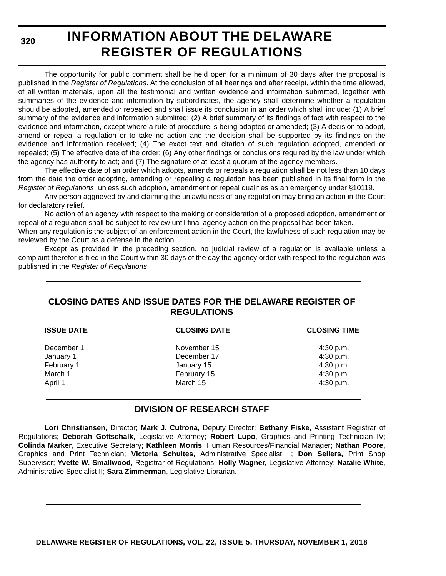**320**

# **INFORMATION ABOUT THE DELAWARE REGISTER OF REGULATIONS**

The opportunity for public comment shall be held open for a minimum of 30 days after the proposal is published in the *Register of Regulations*. At the conclusion of all hearings and after receipt, within the time allowed, of all written materials, upon all the testimonial and written evidence and information submitted, together with summaries of the evidence and information by subordinates, the agency shall determine whether a regulation should be adopted, amended or repealed and shall issue its conclusion in an order which shall include: (1) A brief summary of the evidence and information submitted; (2) A brief summary of its findings of fact with respect to the evidence and information, except where a rule of procedure is being adopted or amended; (3) A decision to adopt, amend or repeal a regulation or to take no action and the decision shall be supported by its findings on the evidence and information received; (4) The exact text and citation of such regulation adopted, amended or repealed; (5) The effective date of the order; (6) Any other findings or conclusions required by the law under which the agency has authority to act; and (7) The signature of at least a quorum of the agency members.

The effective date of an order which adopts, amends or repeals a regulation shall be not less than 10 days from the date the order adopting, amending or repealing a regulation has been published in its final form in the *Register of Regulations*, unless such adoption, amendment or repeal qualifies as an emergency under §10119.

Any person aggrieved by and claiming the unlawfulness of any regulation may bring an action in the Court for declaratory relief.

No action of an agency with respect to the making or consideration of a proposed adoption, amendment or repeal of a regulation shall be subject to review until final agency action on the proposal has been taken.

When any regulation is the subject of an enforcement action in the Court, the lawfulness of such regulation may be reviewed by the Court as a defense in the action.

Except as provided in the preceding section, no judicial review of a regulation is available unless a complaint therefor is filed in the Court within 30 days of the day the agency order with respect to the regulation was published in the *Register of Regulations*.

### **CLOSING DATES AND ISSUE DATES FOR THE DELAWARE REGISTER OF REGULATIONS**

| <b>ISSUE DATE</b> | <b>CLOSING DATE</b> | <b>CLOSING TIME</b> |
|-------------------|---------------------|---------------------|
| December 1        | November 15         | $4:30$ p.m.         |
| January 1         | December 17         | 4:30 p.m.           |
| February 1        | January 15          | 4:30 p.m.           |
| March 1           | February 15         | 4:30 p.m.           |
| April 1           | March 15            | 4:30 p.m.           |

### **DIVISION OF RESEARCH STAFF**

**Lori Christiansen**, Director; **Mark J. Cutrona**, Deputy Director; **Bethany Fiske**, Assistant Registrar of Regulations; **Deborah Gottschalk**, Legislative Attorney; **Robert Lupo**, Graphics and Printing Technician IV; **Colinda Marker**, Executive Secretary; **Kathleen Morris**, Human Resources/Financial Manager; **Nathan Poore**, Graphics and Print Technician; **Victoria Schultes**, Administrative Specialist II; **Don Sellers,** Print Shop Supervisor; **Yvette W. Smallwood**, Registrar of Regulations; **Holly Wagner**, Legislative Attorney; **Natalie White**, Administrative Specialist II; **Sara Zimmerman**, Legislative Librarian.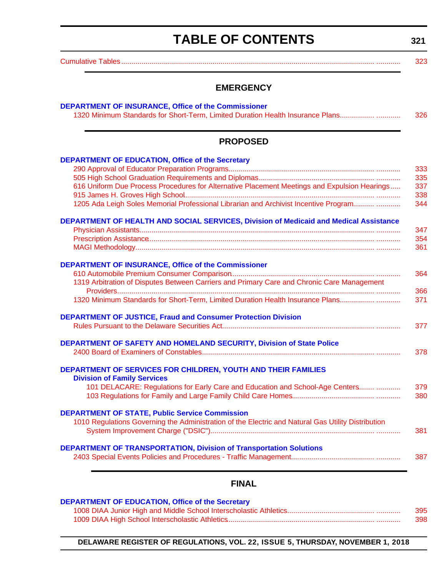# **TABLE OF CONTENTS**

**321**

<span id="page-3-0"></span>[Cumulative Tables............................................................................................................................. ............ 323](#page-5-0)

### **EMERGENCY**

| <b>PROPOSED</b>                                                                                    |  |
|----------------------------------------------------------------------------------------------------|--|
| <b>DEPARTMENT OF EDUCATION, Office of the Secretary</b>                                            |  |
|                                                                                                    |  |
|                                                                                                    |  |
| 616 Uniform Due Process Procedures for Alternative Placement Meetings and Expulsion Hearings       |  |
| 1205 Ada Leigh Soles Memorial Professional Librarian and Archivist Incentive Program               |  |
| DEPARTMENT OF HEALTH AND SOCIAL SERVICES, Division of Medicaid and Medical Assistance              |  |
|                                                                                                    |  |
|                                                                                                    |  |
|                                                                                                    |  |
| <b>DEPARTMENT OF INSURANCE, Office of the Commissioner</b>                                         |  |
|                                                                                                    |  |
| 1319 Arbitration of Disputes Between Carriers and Primary Care and Chronic Care Management         |  |
| 1320 Minimum Standards for Short-Term, Limited Duration Health Insurance Plans                     |  |
| <b>DEPARTMENT OF JUSTICE, Fraud and Consumer Protection Division</b>                               |  |
|                                                                                                    |  |
| DEPARTMENT OF SAFETY AND HOMELAND SECURITY, Division of State Police                               |  |
|                                                                                                    |  |
| DEPARTMENT OF SERVICES FOR CHILDREN, YOUTH AND THEIR FAMILIES                                      |  |
| <b>Division of Family Services</b>                                                                 |  |
| 101 DELACARE: Regulations for Early Care and Education and School-Age Centers                      |  |
|                                                                                                    |  |
| <b>DEPARTMENT OF STATE, Public Service Commission</b>                                              |  |
| 1010 Regulations Governing the Administration of the Electric and Natural Gas Utility Distribution |  |
|                                                                                                    |  |
|                                                                                                    |  |
| <b>DEPARTMENT OF TRANSPORTATION, Division of Transportation Solutions</b>                          |  |
|                                                                                                    |  |

### **FINAL**

| <b>DEPARTMENT OF EDUCATION, Office of the Secretary</b> |     |
|---------------------------------------------------------|-----|
|                                                         | 395 |
|                                                         | 398 |

**DELAWARE REGISTER OF REGULATIONS, VOL. 22, ISSUE 5, THURSDAY, NOVEMBER 1, 2018**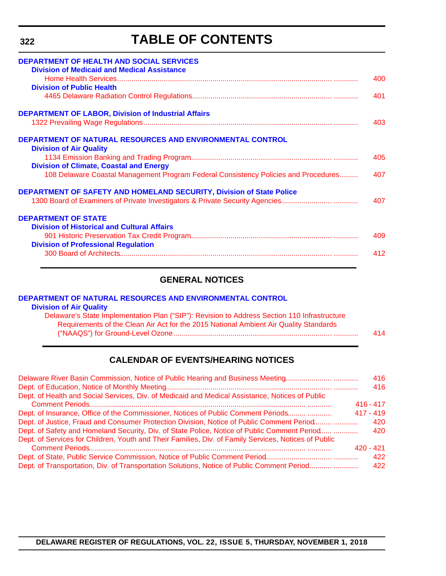# **TABLE OF CONTENTS**

| <b>DEPARTMENT OF HEALTH AND SOCIAL SERVICES</b><br><b>Division of Medicaid and Medical Assistance</b>                                                |     |
|------------------------------------------------------------------------------------------------------------------------------------------------------|-----|
|                                                                                                                                                      | 400 |
| <b>Division of Public Health</b>                                                                                                                     |     |
|                                                                                                                                                      | 401 |
| <b>DEPARTMENT OF LABOR, Division of Industrial Affairs</b>                                                                                           |     |
|                                                                                                                                                      | 403 |
| DEPARTMENT OF NATURAL RESOURCES AND ENVIRONMENTAL CONTROL<br><b>Division of Air Quality</b>                                                          |     |
|                                                                                                                                                      | 405 |
| <b>Division of Climate, Coastal and Energy</b>                                                                                                       |     |
| 108 Delaware Coastal Management Program Federal Consistency Policies and Procedures                                                                  | 407 |
| DEPARTMENT OF SAFETY AND HOMELAND SECURITY, Division of State Police<br>1300 Board of Examiners of Private Investigators & Private Security Agencies | 407 |
| <b>DEPARTMENT OF STATE</b>                                                                                                                           |     |
| <b>Division of Historical and Cultural Affairs</b>                                                                                                   |     |
|                                                                                                                                                      | 409 |
| <b>Division of Professional Regulation</b>                                                                                                           |     |
|                                                                                                                                                      | 412 |

### **GENERAL NOTICES**

| DEPARTMENT OF NATURAL RESOURCES AND ENVIRONMENTAL CONTROL                                    |     |
|----------------------------------------------------------------------------------------------|-----|
| <b>Division of Air Quality</b>                                                               |     |
| Delaware's State Implementation Plan ("SIP"): Revision to Address Section 110 Infrastructure |     |
| Requirements of the Clean Air Act for the 2015 National Ambient Air Quality Standards        |     |
|                                                                                              | 414 |
|                                                                                              |     |

### **CALENDAR OF EVENTS/HEARING NOTICES**

| Delaware River Basin Commission, Notice of Public Hearing and Business Meeting                       | 416         |
|------------------------------------------------------------------------------------------------------|-------------|
|                                                                                                      | 416         |
| Dept. of Health and Social Services, Div. of Medicaid and Medical Assistance, Notices of Public      |             |
|                                                                                                      | $416 - 417$ |
| Dept. of Insurance, Office of the Commissioner, Notices of Public Comment Periods                    | $417 - 419$ |
| Dept. of Justice, Fraud and Consumer Protection Division, Notice of Public Comment Period            | 420         |
| Dept. of Safety and Homeland Security, Div. of State Police, Notice of Public Comment Period         | 420         |
| Dept. of Services for Children, Youth and Their Families, Div. of Family Services, Notices of Public |             |
|                                                                                                      | 420 - 421   |
|                                                                                                      | 422         |
| Dept. of Transportation, Div. of Transportation Solutions, Notice of Public Comment Period           | 422         |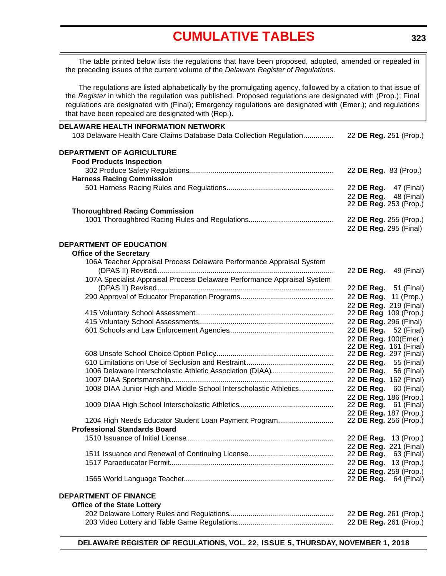# **[CUMULATIVE TABLES](#page-3-0)**

<span id="page-5-0"></span>The table printed below lists the regulations that have been proposed, adopted, amended or repealed in the preceding issues of the current volume of the *Delaware Register of Regulations*.

The regulations are listed alphabetically by the promulgating agency, followed by a citation to that issue of the *Register* in which the regulation was published. Proposed regulations are designated with (Prop.); Final regulations are designated with (Final); Emergency regulations are designated with (Emer.); and regulations that have been repealed are designated with (Rep.).

| <b>DELAWARE HEALTH INFORMATION NETWORK</b>                              |                                                        |
|-------------------------------------------------------------------------|--------------------------------------------------------|
| 103 Delaware Health Care Claims Database Data Collection Regulation     | 22 DE Reg. 251 (Prop.)                                 |
| DEPARTMENT OF AGRICULTURE                                               |                                                        |
| <b>Food Products Inspection</b>                                         |                                                        |
|                                                                         | 22 DE Reg. 83 (Prop.)                                  |
| <b>Harness Racing Commission</b>                                        |                                                        |
|                                                                         | 22 DE Reg. 47 (Final)                                  |
|                                                                         | 22 DE Reg. 48 (Final)                                  |
|                                                                         | 22 DE Reg. 253 (Prop.)                                 |
| <b>Thoroughbred Racing Commission</b>                                   |                                                        |
|                                                                         | 22 DE Reg. 255 (Prop.)                                 |
|                                                                         | 22 DE Reg. 295 (Final)                                 |
| <b>DEPARTMENT OF EDUCATION</b>                                          |                                                        |
| <b>Office of the Secretary</b>                                          |                                                        |
| 106A Teacher Appraisal Process Delaware Performance Appraisal System    |                                                        |
|                                                                         | 22 <b>DE Reg.</b> 49 (Final)                           |
| 107A Specialist Appraisal Process Delaware Performance Appraisal System |                                                        |
|                                                                         | 22 DE Reg. 51 (Final)                                  |
|                                                                         | 22 DE Reg. 11 (Prop.)                                  |
|                                                                         | 22 DE Reg. 219 (Final)                                 |
|                                                                         | 22 DE Reg 109 (Prop.)                                  |
|                                                                         | 22 DE Reg. 296 (Final)                                 |
|                                                                         | 22 DE Reg. 52 (Final)                                  |
|                                                                         | 22 DE Reg. 100(Emer.)                                  |
|                                                                         | 22 <b>DE Reg.</b> 161 (Final)                          |
|                                                                         | 22 DE Reg. 297 (Final)                                 |
|                                                                         | 22 DE Reg. 55 (Final)                                  |
| 1006 Delaware Interscholastic Athletic Association (DIAA)               | 22 DE Reg. 56 (Final)                                  |
|                                                                         | 22 DE Reg. 162 (Final)                                 |
| 1008 DIAA Junior High and Middle School Interscholastic Athletics       | 22 DE Reg. 60 (Final)                                  |
|                                                                         | 22 DE Reg. 186 (Prop.)                                 |
|                                                                         | 22 <b>DE Reg.</b> 61 (Final)                           |
|                                                                         | 22 DE Reg. 187 (Prop.)                                 |
| 1204 High Needs Educator Student Loan Payment Program                   | 22 <b>DE Reg.</b> 256 (Prop.)                          |
| <b>Professional Standards Board</b>                                     |                                                        |
|                                                                         | 22 DE Reg. 13 (Prop.)                                  |
|                                                                         | 22 DE Reg. 221 (Final)                                 |
|                                                                         | 22 <b>DE Reg.</b> 63 (Final)                           |
|                                                                         | 22 DE Reg. 13 (Prop.)                                  |
|                                                                         | 22 DE Reg. 259 (Prop.)<br>22 <b>DE Reg.</b> 64 (Final) |
|                                                                         |                                                        |
| <b>DEPARTMENT OF FINANCE</b>                                            |                                                        |
| <b>Office of the State Lottery</b>                                      |                                                        |
|                                                                         | 22 DE Reg. 261 (Prop.)                                 |
|                                                                         | 22 DE Reg. 261 (Prop.)                                 |

**DELAWARE REGISTER OF REGULATIONS, VOL. 22, ISSUE 5, THURSDAY, NOVEMBER 1, 2018**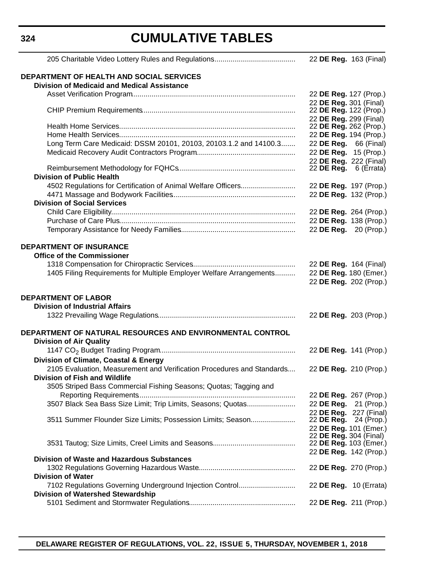### **324**

# **CUMULATIVE TABLES**

|                                                                        | 22 DE Reg. 163 (Final)                           |
|------------------------------------------------------------------------|--------------------------------------------------|
|                                                                        |                                                  |
| <b>DEPARTMENT OF HEALTH AND SOCIAL SERVICES</b>                        |                                                  |
| <b>Division of Medicaid and Medical Assistance</b>                     |                                                  |
|                                                                        | 22 DE Reg. 127 (Prop.)                           |
|                                                                        | 22 DE Reg. 301 (Final)                           |
|                                                                        | 22 DE Reg. 122 (Prop.)                           |
|                                                                        | 22 DE Reg. 299 (Final)<br>22 DE Reg. 262 (Prop.) |
|                                                                        | 22 DE Reg. 194 (Prop.)                           |
| Long Term Care Medicaid: DSSM 20101, 20103, 20103.1.2 and 14100.3      | 22 DE Reg. 66 (Final)                            |
|                                                                        | 22 DE Reg. 15 (Prop.)                            |
|                                                                        | 22 DE Reg. 222 (Final)                           |
|                                                                        | 22 DE Reg. 6 (Errata)                            |
| <b>Division of Public Health</b>                                       |                                                  |
| 4502 Regulations for Certification of Animal Welfare Officers          | 22 DE Reg. 197 (Prop.)                           |
|                                                                        | 22 DE Reg. 132 (Prop.)                           |
| <b>Division of Social Services</b>                                     |                                                  |
|                                                                        | 22 DE Reg. 264 (Prop.)                           |
|                                                                        | 22 DE Reg. 138 (Prop.)                           |
|                                                                        | 22 DE Reg. 20 (Prop.)                            |
|                                                                        |                                                  |
| <b>DEPARTMENT OF INSURANCE</b>                                         |                                                  |
| <b>Office of the Commissioner</b>                                      |                                                  |
|                                                                        | 22 DE Reg. 164 (Final)                           |
| 1405 Filing Requirements for Multiple Employer Welfare Arrangements    | 22 DE Reg. 180 (Emer.)                           |
|                                                                        | 22 DE Reg. 202 (Prop.)                           |
|                                                                        |                                                  |
| <b>DEPARTMENT OF LABOR</b>                                             |                                                  |
| <b>Division of Industrial Affairs</b>                                  |                                                  |
|                                                                        | 22 DE Reg. 203 (Prop.)                           |
|                                                                        |                                                  |
| DEPARTMENT OF NATURAL RESOURCES AND ENVIRONMENTAL CONTROL              |                                                  |
| <b>Division of Air Quality</b>                                         |                                                  |
|                                                                        | 22 DE Reg. 141 (Prop.)                           |
| Division of Climate, Coastal & Energy                                  |                                                  |
| 2105 Evaluation, Measurement and Verification Procedures and Standards | 22 DE Reg. 210 (Prop.)                           |
| <b>Division of Fish and Wildlife</b>                                   |                                                  |
| 3505 Striped Bass Commercial Fishing Seasons; Quotas; Tagging and      |                                                  |
|                                                                        | 22 DE Reg. 267 (Prop.)                           |
| 3507 Black Sea Bass Size Limit; Trip Limits, Seasons; Quotas           | 22 DE Reg.<br>21 (Prop.)                         |
|                                                                        | 22 DE Reg. 227 (Final)                           |
| 3511 Summer Flounder Size Limits; Possession Limits; Season            | 22 DE Reg. 24 (Prop.)                            |
|                                                                        | 22 DE Reg. 101 (Emer.)                           |
|                                                                        | 22 DE Reg. 304 (Final)<br>22 DE Reg. 103 (Emer.) |
|                                                                        | 22 DE Reg. 142 (Prop.)                           |
| <b>Division of Waste and Hazardous Substances</b>                      |                                                  |
|                                                                        | 22 DE Reg. 270 (Prop.)                           |
| <b>Division of Water</b>                                               |                                                  |
| 7102 Regulations Governing Underground Injection Control               | 22 <b>DE Reg.</b> 10 (Errata)                    |
| <b>Division of Watershed Stewardship</b>                               |                                                  |
|                                                                        | 22 DE Reg. 211 (Prop.)                           |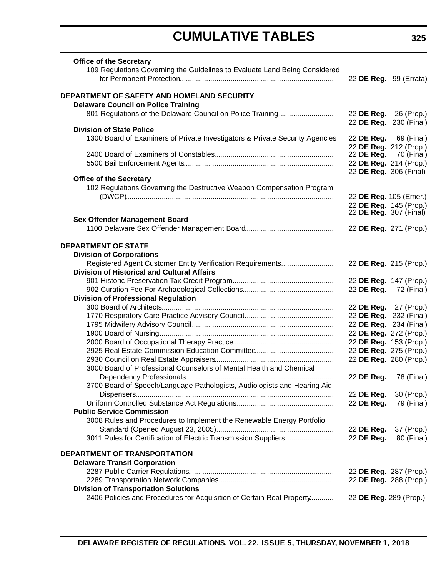# **CUMULATIVE TABLES**

| <b>Office of the Secretary</b><br>109 Regulations Governing the Guidelines to Evaluate Land Being Considered |            | 22 DE Reg. 99 (Errata)        |
|--------------------------------------------------------------------------------------------------------------|------------|-------------------------------|
|                                                                                                              |            |                               |
| DEPARTMENT OF SAFETY AND HOMELAND SECURITY                                                                   |            |                               |
| <b>Delaware Council on Police Training</b>                                                                   |            |                               |
| 801 Regulations of the Delaware Council on Police Training                                                   |            | 22 DE Reg. 26 (Prop.)         |
|                                                                                                              |            | 22 DE Reg. 230 (Final)        |
| <b>Division of State Police</b>                                                                              |            |                               |
| 1300 Board of Examiners of Private Investigators & Private Security Agencies                                 |            | 22 DE Reg. 69 (Final)         |
|                                                                                                              |            | 22 DE Reg. 212 (Prop.)        |
|                                                                                                              | 22 DE Reg. | 70 (Final)                    |
|                                                                                                              |            | 22 DE Reg. 214 (Prop.)        |
|                                                                                                              |            | 22 DE Reg. 306 (Final)        |
| <b>Office of the Secretary</b>                                                                               |            |                               |
| 102 Regulations Governing the Destructive Weapon Compensation Program                                        |            |                               |
|                                                                                                              |            | 22 DE Reg. 105 (Emer.)        |
|                                                                                                              |            | 22 DE Reg. 145 (Prop.)        |
| <b>Sex Offender Management Board</b>                                                                         |            | 22 <b>DE Reg.</b> 307 (Final) |
|                                                                                                              |            | 22 DE Reg. 271 (Prop.)        |
|                                                                                                              |            |                               |
| <b>DEPARTMENT OF STATE</b>                                                                                   |            |                               |
| <b>Division of Corporations</b>                                                                              |            |                               |
| Registered Agent Customer Entity Verification Requirements                                                   |            | 22 DE Reg. 215 (Prop.)        |
| <b>Division of Historical and Cultural Affairs</b>                                                           |            |                               |
|                                                                                                              |            | 22 DE Reg. 147 (Prop.)        |
|                                                                                                              |            | 22 DE Reg. 72 (Final)         |
| <b>Division of Professional Regulation</b>                                                                   |            |                               |
|                                                                                                              |            | 22 DE Reg. 27 (Prop.)         |
|                                                                                                              |            | 22 DE Reg. 232 (Final)        |
|                                                                                                              |            | 22 DE Reg. 234 (Final)        |
|                                                                                                              |            | 22 DE Reg. 272 (Prop.)        |
|                                                                                                              |            | 22 DE Reg. 153 (Prop.)        |
|                                                                                                              |            | 22 DE Reg. 275 (Prop.)        |
|                                                                                                              |            | 22 DE Reg. 280 (Prop.)        |
| 3000 Board of Professional Counselors of Mental Health and Chemical                                          |            |                               |
|                                                                                                              |            | 22 DE Reg. 78 (Final)         |
| 3700 Board of Speech/Language Pathologists, Audiologists and Hearing Aid                                     |            |                               |
|                                                                                                              | 22 DE Reg. | 30 (Prop.)                    |
|                                                                                                              | 22 DE Reg. |                               |
| <b>Public Service Commission</b>                                                                             |            | 79 (Final)                    |
|                                                                                                              |            |                               |
| 3008 Rules and Procedures to Implement the Renewable Energy Portfolio                                        |            |                               |
|                                                                                                              | 22 DE Reg. | 37 (Prop.)                    |
| 3011 Rules for Certification of Electric Transmission Suppliers                                              | 22 DE Reg. | 80 (Final)                    |
| <b>DEPARTMENT OF TRANSPORTATION</b>                                                                          |            |                               |
| <b>Delaware Transit Corporation</b>                                                                          |            |                               |
|                                                                                                              |            | 22 DE Reg. 287 (Prop.)        |
|                                                                                                              |            | 22 DE Reg. 288 (Prop.)        |
| <b>Division of Transportation Solutions</b>                                                                  |            |                               |
| 2406 Policies and Procedures for Acquisition of Certain Real Property                                        |            | 22 DE Reg. 289 (Prop.)        |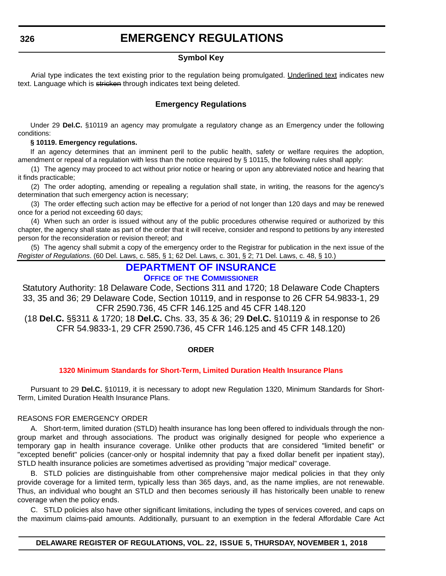### **EMERGENCY REGULATIONS**

#### **Symbol Key**

<span id="page-8-0"></span>Arial type indicates the text existing prior to the regulation being promulgated. Underlined text indicates new text. Language which is stricken through indicates text being deleted.

### **Emergency Regulations**

Under 29 **Del.C.** §10119 an agency may promulgate a regulatory change as an Emergency under the following conditions:

#### **§ 10119. Emergency regulations.**

If an agency determines that an imminent peril to the public health, safety or welfare requires the adoption, amendment or repeal of a regulation with less than the notice required by § 10115, the following rules shall apply:

(1) The agency may proceed to act without prior notice or hearing or upon any abbreviated notice and hearing that it finds practicable;

(2) The order adopting, amending or repealing a regulation shall state, in writing, the reasons for the agency's determination that such emergency action is necessary;

(3) The order effecting such action may be effective for a period of not longer than 120 days and may be renewed once for a period not exceeding 60 days;

(4) When such an order is issued without any of the public procedures otherwise required or authorized by this chapter, the agency shall state as part of the order that it will receive, consider and respond to petitions by any interested person for the reconsideration or revision thereof; and

(5) The agency shall submit a copy of the emergency order to the Registrar for publication in the next issue of the *Register of Regulations*. (60 Del. Laws, c. 585, § 1; 62 Del. Laws, c. 301, § 2; 71 Del. Laws, c. 48, § 10.)

### **[DEPARTMENT OF INSURANCE](https://insurance.delaware.gov/)**

### **OFFICE OF [THE COMMISSIONER](https://insurance.delaware.gov/)**

Statutory Authority: 18 Delaware Code, Sections 311 and 1720; 18 Delaware Code Chapters 33, 35 and 36; 29 Delaware Code, Section 10119, and in response to 26 CFR 54.9833-1, 29 CFR 2590.736, 45 CFR 146.125 and 45 CFR 148.120

 (18 **Del.C.** §§311 & 1720; 18 **Del.C.** Chs. 33, 35 & 36; 29 **Del.C.** §10119 & in response to 26 CFR 54.9833-1, 29 CFR 2590.736, 45 CFR 146.125 and 45 CFR 148.120)

#### **ORDER**

### **[1320 Minimum Standards for Short-Term, Limited Duration Health Insurance Plans](#page-3-0)**

Pursuant to 29 **Del.C.** §10119, it is necessary to adopt new Regulation 1320, Minimum Standards for Short-Term, Limited Duration Health Insurance Plans.

#### REASONS FOR EMERGENCY ORDER

A. Short-term, limited duration (STLD) health insurance has long been offered to individuals through the nongroup market and through associations. The product was originally designed for people who experience a temporary gap in health insurance coverage. Unlike other products that are considered "limited benefit" or "excepted benefit" policies (cancer-only or hospital indemnity that pay a fixed dollar benefit per inpatient stay), STLD health insurance policies are sometimes advertised as providing "major medical" coverage.

B. STLD policies are distinguishable from other comprehensive major medical policies in that they only provide coverage for a limited term, typically less than 365 days, and, as the name implies, are not renewable. Thus, an individual who bought an STLD and then becomes seriously ill has historically been unable to renew coverage when the policy ends.

C. STLD policies also have other significant limitations, including the types of services covered, and caps on the maximum claims-paid amounts. Additionally, pursuant to an exemption in the federal Affordable Care Act

### **DELAWARE REGISTER OF REGULATIONS, VOL. 22, ISSUE 5, THURSDAY, NOVEMBER 1, 2018**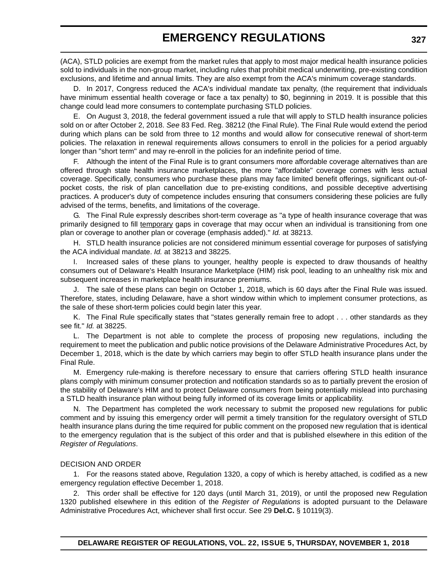(ACA), STLD policies are exempt from the market rules that apply to most major medical health insurance policies sold to individuals in the non-group market, including rules that prohibit medical underwriting, pre-existing condition exclusions, and lifetime and annual limits. They are also exempt from the ACA's minimum coverage standards.

D. In 2017, Congress reduced the ACA's individual mandate tax penalty, (the requirement that individuals have minimum essential health coverage or face a tax penalty) to \$0, beginning in 2019. It is possible that this change could lead more consumers to contemplate purchasing STLD policies.

E. On August 3, 2018, the federal government issued a rule that will apply to STLD health insurance policies sold on or after October 2, 2018. *See* 83 Fed. Reg. 38212 (the Final Rule). The Final Rule would extend the period during which plans can be sold from three to 12 months and would allow for consecutive renewal of short-term policies. The relaxation in renewal requirements allows consumers to enroll in the policies for a period arguably longer than "short term" and may re-enroll in the policies for an indefinite period of time.

F. Although the intent of the Final Rule is to grant consumers more affordable coverage alternatives than are offered through state health insurance marketplaces, the more "affordable" coverage comes with less actual coverage. Specifically, consumers who purchase these plans may face limited benefit offerings, significant out-ofpocket costs, the risk of plan cancellation due to pre-existing conditions, and possible deceptive advertising practices. A producer's duty of competence includes ensuring that consumers considering these policies are fully advised of the terms, benefits, and limitations of the coverage.

G. The Final Rule expressly describes short-term coverage as "a type of health insurance coverage that was primarily designed to fill temporary gaps in coverage that may occur when an individual is transitioning from one plan or coverage to another plan or coverage (emphasis added)." *Id.* at 38213.

H. STLD health insurance policies are not considered minimum essential coverage for purposes of satisfying the ACA individual mandate. *Id.* at 38213 and 38225.

I. Increased sales of these plans to younger, healthy people is expected to draw thousands of healthy consumers out of Delaware's Health Insurance Marketplace (HIM) risk pool, leading to an unhealthy risk mix and subsequent increases in marketplace health insurance premiums.

The sale of these plans can begin on October 1, 2018, which is 60 days after the Final Rule was issued. Therefore, states, including Delaware, have a short window within which to implement consumer protections, as the sale of these short-term policies could begin later this year.

K. The Final Rule specifically states that "states generally remain free to adopt . . . other standards as they see fit." *Id.* at 38225.

L. The Department is not able to complete the process of proposing new regulations, including the requirement to meet the publication and public notice provisions of the Delaware Administrative Procedures Act, by December 1, 2018, which is the date by which carriers may begin to offer STLD health insurance plans under the Final Rule.

M. Emergency rule-making is therefore necessary to ensure that carriers offering STLD health insurance plans comply with minimum consumer protection and notification standards so as to partially prevent the erosion of the stability of Delaware's HIM and to protect Delaware consumers from being potentially mislead into purchasing a STLD health insurance plan without being fully informed of its coverage limits or applicability.

N. The Department has completed the work necessary to submit the proposed new regulations for public comment and by issuing this emergency order will permit a timely transition for the regulatory oversight of STLD health insurance plans during the time required for public comment on the proposed new regulation that is identical to the emergency regulation that is the subject of this order and that is published elsewhere in this edition of the *Register of Regulations*.

#### DECISION AND ORDER

1. For the reasons stated above, Regulation 1320, a copy of which is hereby attached, is codified as a new emergency regulation effective December 1, 2018.

2. This order shall be effective for 120 days (until March 31, 2019), or until the proposed new Regulation 1320 published elsewhere in this edition of the *Register of Regulations* is adopted pursuant to the Delaware Administrative Procedures Act, whichever shall first occur. See 29 **Del.C.** § 10119(3).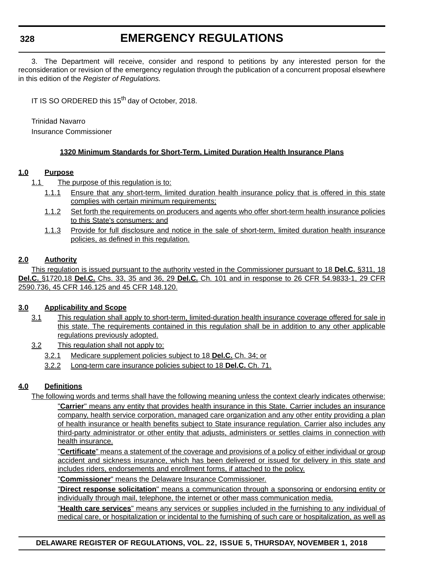#### **328**

### **EMERGENCY REGULATIONS**

3. The Department will receive, consider and respond to petitions by any interested person for the reconsideration or revision of the emergency regulation through the publication of a concurrent proposal elsewhere in this edition of the *Register of Regulations.*

IT IS SO ORDERED this 15<sup>th</sup> day of October, 2018.

Trinidad Navarro

Insurance Commissioner

#### **1320 Minimum Standards for Short-Term, Limited Duration Health Insurance Plans**

#### **1.0 Purpose**

- 1.1 The purpose of this regulation is to:
	- 1.1.1 Ensure that any short-term, limited duration health insurance policy that is offered in this state complies with certain minimum requirements;
	- 1.1.2 Set forth the requirements on producers and agents who offer short-term health insurance policies to this State's consumers; and
	- 1.1.3 Provide for full disclosure and notice in the sale of short-term, limited duration health insurance policies, as defined in this regulation.

#### **2.0 Authority**

This regulation is issued pursuant to the authority vested in the Commissioner pursuant to 18 **Del.C.** §311, 18 **Del.C.** §1720,18 **Del.C.** Chs. 33, 35 and 36, 29 **Del.C.** Ch. 101 and in response to 26 CFR 54.9833-1, 29 CFR 2590.736, 45 CFR 146.125 and 45 CFR 148.120.

#### **3.0 Applicability and Scope**

- 3.1 This regulation shall apply to short-term, limited-duration health insurance coverage offered for sale in this state. The requirements contained in this regulation shall be in addition to any other applicable regulations previously adopted.
- 3.2 This regulation shall not apply to:
	- 3.2.1 Medicare supplement policies subject to 18 **Del.C.** Ch. 34; or
	- 3.2.2 Long-term care insurance policies subject to 18 **Del.C.** Ch. 71.

#### **4.0 Definitions**

The following words and terms shall have the following meaning unless the context clearly indicates otherwise:

"**Carrier**" means any entity that provides health insurance in this State. Carrier includes an insurance company, health service corporation, managed care organization and any other entity providing a plan of health insurance or health benefits subject to State insurance regulation. Carrier also includes any third-party administrator or other entity that adjusts, administers or settles claims in connection with health insurance.

"**Certificate**" means a statement of the coverage and provisions of a policy of either individual or group accident and sickness insurance, which has been delivered or issued for delivery in this state and includes riders, endorsements and enrollment forms, if attached to the policy.

"**Commissioner**" means the Delaware Insurance Commissioner.

"**Direct response solicitation**" means a communication through a sponsoring or endorsing entity or individually through mail, telephone, the internet or other mass communication media.

"**Health care services**" means any services or supplies included in the furnishing to any individual of medical care, or hospitalization or incidental to the furnishing of such care or hospitalization, as well as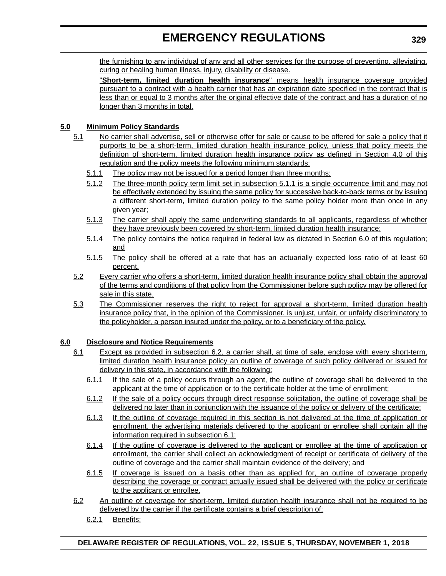### **EMERGENCY REGULATIONS**

the furnishing to any individual of any and all other services for the purpose of preventing, alleviating, curing or healing human illness, injury, disability or disease.

"**Short-term, limited duration health insurance**" means health insurance coverage provided pursuant to a contract with a health carrier that has an expiration date specified in the contract that is less than or equal to 3 months after the original effective date of the contract and has a duration of no longer than 3 months in total.

#### **5.0 Minimum Policy Standards**

- 5.1 No carrier shall advertise, sell or otherwise offer for sale or cause to be offered for sale a policy that it purports to be a short-term, limited duration health insurance policy, unless that policy meets the definition of short-term, limited duration health insurance policy as defined in Section 4.0 of this regulation and the policy meets the following minimum standards:
	- 5.1.1 The policy may not be issued for a period longer than three months;
	- 5.1.2 The three-month policy term limit set in subsection 5.1.1 is a single occurrence limit and may not be effectively extended by issuing the same policy for successive back-to-back terms or by issuing a different short-term, limited duration policy to the same policy holder more than once in any given year;
	- 5.1.3 The carrier shall apply the same underwriting standards to all applicants, regardless of whether they have previously been covered by short-term, limited duration health insurance;
	- 5.1.4 The policy contains the notice required in federal law as dictated in Section 6.0 of this regulation; and
	- 5.1.5 The policy shall be offered at a rate that has an actuarially expected loss ratio of at least 60 percent.
- 5.2 Every carrier who offers a short-term, limited duration health insurance policy shall obtain the approval of the terms and conditions of that policy from the Commissioner before such policy may be offered for sale in this state.
- 5.3 The Commissioner reserves the right to reject for approval a short-term, limited duration health insurance policy that, in the opinion of the Commissioner, is unjust, unfair, or unfairly discriminatory to the policyholder, a person insured under the policy, or to a beneficiary of the policy.

#### **6.0 Disclosure and Notice Requirements**

- 6.1 Except as provided in subsection 6.2, a carrier shall, at time of sale, enclose with every short-term, limited duration health insurance policy an outline of coverage of such policy delivered or issued for delivery in this state, in accordance with the following:
	- 6.1.1 If the sale of a policy occurs through an agent, the outline of coverage shall be delivered to the applicant at the time of application or to the certificate holder at the time of enrollment;
	- 6.1.2 If the sale of a policy occurs through direct response solicitation, the outline of coverage shall be delivered no later than in conjunction with the issuance of the policy or delivery of the certificate;
	- 6.1.3 If the outline of coverage required in this section is not delivered at the time of application or enrollment, the advertising materials delivered to the applicant or enrollee shall contain all the information required in subsection 6.1;
	- 6.1.4 If the outline of coverage is delivered to the applicant or enrollee at the time of application or enrollment, the carrier shall collect an acknowledgment of receipt or certificate of delivery of the outline of coverage and the carrier shall maintain evidence of the delivery; and
	- 6.1.5 If coverage is issued on a basis other than as applied for, an outline of coverage properly describing the coverage or contract actually issued shall be delivered with the policy or certificate to the applicant or enrollee.
- 6.2 An outline of coverage for short-term, limited duration health insurance shall not be required to be delivered by the carrier if the certificate contains a brief description of:
	- 6.2.1 Benefits;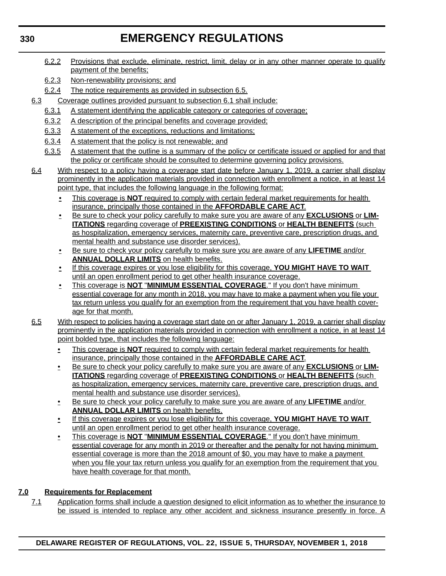## **EMERGENCY REGULATIONS**

- 6.2.2 Provisions that exclude, eliminate, restrict, limit, delay or in any other manner operate to qualify payment of the benefits;
- 6.2.3 Non-renewability provisions; and
- 6.2.4 The notice requirements as provided in subsection 6.5.
- 6.3 Coverage outlines provided pursuant to subsection 6.1 shall include:
	- 6.3.1 A statement identifying the applicable category or categories of coverage;
	- 6.3.2 A description of the principal benefits and coverage provided;
	- 6.3.3 A statement of the exceptions, reductions and limitations;
	- 6.3.4 A statement that the policy is not renewable; and
	- 6.3.5 A statement that the outline is a summary of the policy or certificate issued or applied for and that the policy or certificate should be consulted to determine governing policy provisions.
- 6.4 With respect to a policy having a coverage start date before January 1, 2019, a carrier shall display prominently in the application materials provided in connection with enrollment a notice, in at least 14 point type, that includes the following language in the following format:
	- This coverage is **NOT** required to comply with certain federal market requirements for health insurance, principally those contained in the **AFFORDABLE CARE ACT**.
	- Be sure to check your policy carefully to make sure you are aware of any **EXCLUSIONS** or **LIM-ITATIONS** regarding coverage of **PREEXISTING CONDITIONS** or **HEALTH BENEFITS** (such as hospitalization, emergency services, maternity care, preventive care, prescription drugs, and mental health and substance use disorder services).
	- Be sure to check your policy carefully to make sure you are aware of any **LIFETIME** and/or **ANNUAL DOLLAR LIMITS** on health benefits.
	- If this coverage expires or you lose eligibility for this coverage, **YOU MIGHT HAVE TO WAIT** until an open enrollment period to get other health insurance coverage.
	- This coverage is **NOT** "**MINIMUM ESSENTIAL COVERAGE**." If you don't have minimum essential coverage for any month in 2018, you may have to make a payment when you file your tax return unless you qualify for an exemption from the requirement that you have health coverage for that month.
- 6.5 With respect to policies having a coverage start date on or after January 1, 2019, a carrier shall display prominently in the application materials provided in connection with enrollment a notice, in at least 14 point bolded type, that includes the following language:
	- This coverage is **NOT** required to comply with certain federal market requirements for health insurance, principally those contained in the **AFFORDABLE CARE ACT**.
	- Be sure to check your policy carefully to make sure you are aware of any **EXCLUSIONS** or **LIM-ITATIONS** regarding coverage of **PREEXISTING CONDITIONS** or **HEALTH BENEFITS** (such as hospitalization, emergency services, maternity care, preventive care, prescription drugs, and mental health and substance use disorder services).
	- Be sure to check your policy carefully to make sure you are aware of any **LIFETIME** and/or **ANNUAL DOLLAR LIMITS** on health benefits.
	- If this coverage expires or you lose eligibility for this coverage, **YOU MIGHT HAVE TO WAIT** until an open enrollment period to get other health insurance coverage.
	- This coverage is **NOT** "**MINIMUM ESSENTIAL COVERAGE**." If you don't have minimum essential coverage for any month in 2019 or thereafter and the penalty for not having minimum essential coverage is more than the 2018 amount of \$0, you may have to make a payment when you file your tax return unless you qualify for an exemption from the requirement that you have health coverage for that month.

### **7.0 Requirements for Replacement**

7.1 Application forms shall include a question designed to elicit information as to whether the insurance to be issued is intended to replace any other accident and sickness insurance presently in force. A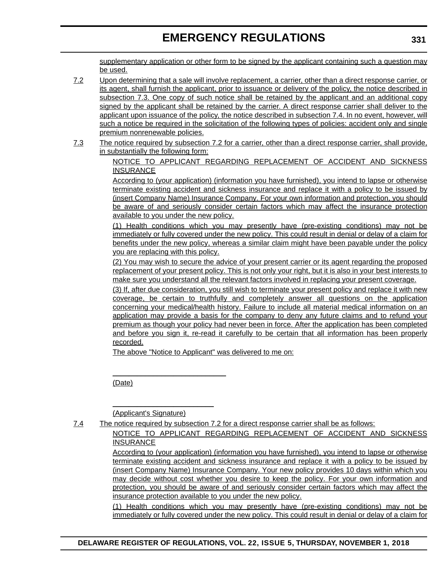supplementary application or other form to be signed by the applicant containing such a question may be used.

- 7.2 Upon determining that a sale will involve replacement, a carrier, other than a direct response carrier, or its agent, shall furnish the applicant, prior to issuance or delivery of the policy, the notice described in subsection 7.3. One copy of such notice shall be retained by the applicant and an additional copy signed by the applicant shall be retained by the carrier. A direct response carrier shall deliver to the applicant upon issuance of the policy, the notice described in subsection 7.4. In no event, however, will such a notice be required in the solicitation of the following types of policies: accident only and single premium nonrenewable policies.
- 7.3 The notice required by subsection 7.2 for a carrier, other than a direct response carrier, shall provide, in substantially the following form:

NOTICE TO APPLICANT REGARDING REPLACEMENT OF ACCIDENT AND SICKNESS INSURANCE

According to (your application) (information you have furnished), you intend to lapse or otherwise terminate existing accident and sickness insurance and replace it with a policy to be issued by (insert Company Name) Insurance Company. For your own information and protection, you should be aware of and seriously consider certain factors which may affect the insurance protection available to you under the new policy.

(1) Health conditions which you may presently have (pre-existing conditions) may not be immediately or fully covered under the new policy. This could result in denial or delay of a claim for benefits under the new policy, whereas a similar claim might have been payable under the policy you are replacing with this policy.

(2) You may wish to secure the advice of your present carrier or its agent regarding the proposed replacement of your present policy. This is not only your right, but it is also in your best interests to make sure you understand all the relevant factors involved in replacing your present coverage.

(3) If, after due consideration, you still wish to terminate your present policy and replace it with new coverage, be certain to truthfully and completely answer all questions on the application concerning your medical/health history. Failure to include all material medical information on an application may provide a basis for the company to deny any future claims and to refund your premium as though your policy had never been in force. After the application has been completed and before you sign it, re-read it carefully to be certain that all information has been properly recorded.

The above "Notice to Applicant" was delivered to me on:

(Date)

(Applicant's Signature)

\_\_\_\_\_\_\_\_\_\_\_\_\_\_\_\_\_\_\_\_\_\_\_\_\_\_\_\_

\_\_\_\_\_\_\_\_\_\_\_\_\_\_\_\_\_\_\_\_\_\_\_\_\_

7.4 The notice required by subsection 7.2 for a direct response carrier shall be as follows:

NOTICE TO APPLICANT REGARDING REPLACEMENT OF ACCIDENT AND SICKNESS INSURANCE

According to (your application) (information you have furnished), you intend to lapse or otherwise terminate existing accident and sickness insurance and replace it with a policy to be issued by (insert Company Name) Insurance Company. Your new policy provides 10 days within which you may decide without cost whether you desire to keep the policy. For your own information and protection, you should be aware of and seriously consider certain factors which may affect the insurance protection available to you under the new policy.

(1) Health conditions which you may presently have (pre-existing conditions) may not be immediately or fully covered under the new policy. This could result in denial or delay of a claim for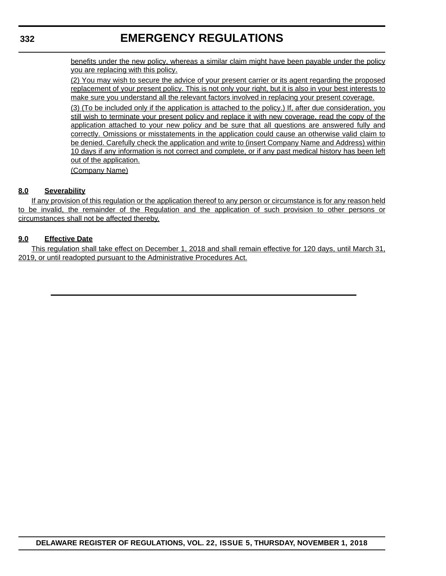### **332**

### **EMERGENCY REGULATIONS**

benefits under the new policy, whereas a similar claim might have been payable under the policy you are replacing with this policy.

(2) You may wish to secure the advice of your present carrier or its agent regarding the proposed replacement of your present policy. This is not only your right, but it is also in your best interests to make sure you understand all the relevant factors involved in replacing your present coverage.

(3) (To be included only if the application is attached to the policy.) If, after due consideration, you still wish to terminate your present policy and replace it with new coverage, read the copy of the application attached to your new policy and be sure that all questions are answered fully and correctly. Omissions or misstatements in the application could cause an otherwise valid claim to be denied. Carefully check the application and write to (insert Company Name and Address) within 10 days if any information is not correct and complete, or if any past medical history has been left out of the application.

(Company Name)

#### **8.0 Severability**

If any provision of this regulation or the application thereof to any person or circumstance is for any reason held to be invalid, the remainder of the Regulation and the application of such provision to other persons or circumstances shall not be affected thereby.

#### **9.0 Effective Date**

This regulation shall take effect on December 1, 2018 and shall remain effective for 120 days, until March 31, 2019, or until readopted pursuant to the Administrative Procedures Act.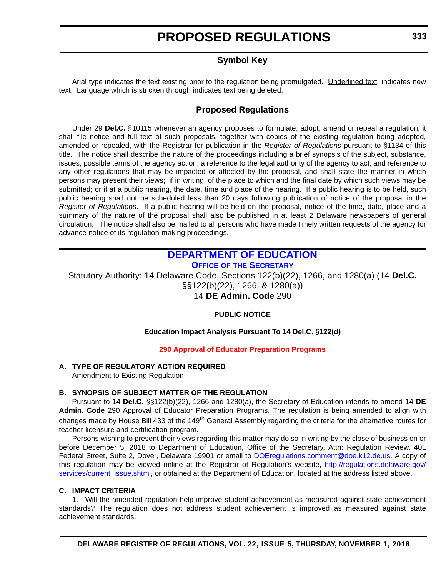### **Symbol Key**

<span id="page-15-0"></span>Arial type indicates the text existing prior to the regulation being promulgated. Underlined text indicates new text. Language which is stricken through indicates text being deleted.

### **Proposed Regulations**

Under 29 **Del.C.** §10115 whenever an agency proposes to formulate, adopt, amend or repeal a regulation, it shall file notice and full text of such proposals, together with copies of the existing regulation being adopted, amended or repealed, with the Registrar for publication in the *Register of Regulations* pursuant to §1134 of this title. The notice shall describe the nature of the proceedings including a brief synopsis of the subject, substance, issues, possible terms of the agency action, a reference to the legal authority of the agency to act, and reference to any other regulations that may be impacted or affected by the proposal, and shall state the manner in which persons may present their views; if in writing, of the place to which and the final date by which such views may be submitted; or if at a public hearing, the date, time and place of the hearing. If a public hearing is to be held, such public hearing shall not be scheduled less than 20 days following publication of notice of the proposal in the *Register of Regulations*. If a public hearing will be held on the proposal, notice of the time, date, place and a summary of the nature of the proposal shall also be published in at least 2 Delaware newspapers of general circulation. The notice shall also be mailed to all persons who have made timely written requests of the agency for advance notice of its regulation-making proceedings.

#### **[DEPARTMENT OF EDUCATION](https://www.doe.k12.de.us/) OFFICE OF [THE SECRETARY](https://www.doe.k12.de.us/)**

Statutory Authority: 14 Delaware Code, Sections 122(b)(22), 1266, and 1280(a) (14 **Del.C.** §§122(b)(22), 1266, & 1280(a)) 14 **DE Admin. Code** 290

#### **PUBLIC NOTICE**

#### **Education Impact Analysis Pursuant To 14 Del.C**. **§122(d)**

#### **[290 Approval of Educator Preparation Programs](#page-3-0)**

#### **A. TYPE OF REGULATORY ACTION REQUIRED** Amendment to Existing Regulation

#### **B. SYNOPSIS OF SUBJECT MATTER OF THE REGULATION**

Pursuant to 14 **Del.C.** §§122(b)(22), 1266 and 1280(a), the Secretary of Education intends to amend 14 **DE Admin. Code** 290 Approval of Educator Preparation Programs. The regulation is being amended to align with changes made by House Bill 433 of the 149<sup>th</sup> General Assembly regarding the criteria for the alternative routes for teacher licensure and certification program.

Persons wishing to present their views regarding this matter may do so in writing by the close of business on or before December 5, 2018 to Department of Education, Office of the Secretary, Attn: Regulation Review, 401 Federal Street, Suite 2, Dover, Delaware 19901 or email to [DOEregulations.comment@doe.k12.de.us.](mailto:DOEregulations.comment@doe.k12.de.us ) A copy of this regulation may be viewed online at the Registrar of Regulation's website, [http://regulations.delaware.gov/](http://regulations.delaware.gov/services/current_issue.shtml) [services/current\\_issue.shtml](http://regulations.delaware.gov/services/current_issue.shtml), or obtained at the Department of Education, located at the address listed above.

#### **C. IMPACT CRITERIA**

1. Will the amended regulation help improve student achievement as measured against state achievement standards? The regulation does not address student achievement is improved as measured against state achievement standards.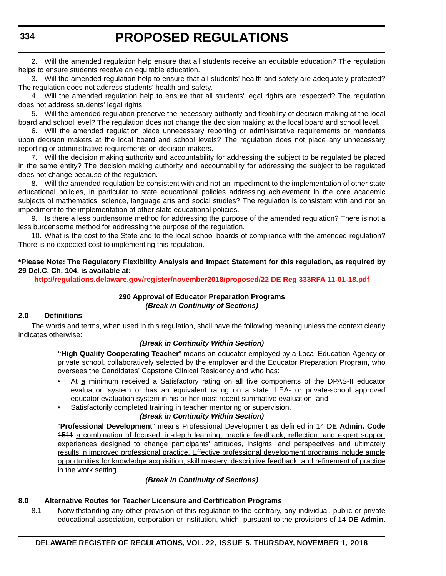2. Will the amended regulation help ensure that all students receive an equitable education? The regulation helps to ensure students receive an equitable education.

3. Will the amended regulation help to ensure that all students' health and safety are adequately protected? The regulation does not address students' health and safety.

4. Will the amended regulation help to ensure that all students' legal rights are respected? The regulation does not address students' legal rights.

5. Will the amended regulation preserve the necessary authority and flexibility of decision making at the local board and school level? The regulation does not change the decision making at the local board and school level.

6. Will the amended regulation place unnecessary reporting or administrative requirements or mandates upon decision makers at the local board and school levels? The regulation does not place any unnecessary reporting or administrative requirements on decision makers.

7. Will the decision making authority and accountability for addressing the subject to be regulated be placed in the same entity? The decision making authority and accountability for addressing the subject to be regulated does not change because of the regulation.

8. Will the amended regulation be consistent with and not an impediment to the implementation of other state educational policies, in particular to state educational policies addressing achievement in the core academic subjects of mathematics, science, language arts and social studies? The regulation is consistent with and not an impediment to the implementation of other state educational policies.

9. Is there a less burdensome method for addressing the purpose of the amended regulation? There is not a less burdensome method for addressing the purpose of the regulation.

10. What is the cost to the State and to the local school boards of compliance with the amended regulation? There is no expected cost to implementing this regulation.

#### **\*Please Note: The Regulatory Flexibility Analysis and Impact Statement for this regulation, as required by 29 Del.C. Ch. 104, is available at:**

**<http://regulations.delaware.gov/register/november2018/proposed/22 DE Reg 333RFA 11-01-18.pdf>**

#### **290 Approval of Educator Preparation Programs** *(Break in Continuity of Sections)*

#### **2.0 Definitions**

The words and terms, when used in this regulation, shall have the following meaning unless the context clearly indicates otherwise:

#### *(Break in Continuity Within Section)*

**"High Quality Cooperating Teacher**" means an educator employed by a Local Education Agency or private school, collaboratively selected by the employer and the Educator Preparation Program, who oversees the Candidates' Capstone Clinical Residency and who has:

- At a minimum received a Satisfactory rating on all five components of the DPAS-II educator evaluation system or has an equivalent rating on a state, LEA- or private-school approved educator evaluation system in his or her most recent summative evaluation; and
	- Satisfactorily completed training in teacher mentoring or supervision.

#### *(Break in Continuity Within Section)*

"**Professional Development**" means Professional Development as defined in 14 **DE Admin. Code** 1511 a combination of focused, in-depth learning, practice feedback, reflection, and expert support experiences designed to change participants' attitudes, insights, and perspectives and ultimately results in improved professional practice. Effective professional development programs include ample opportunities for knowledge acquisition, skill mastery, descriptive feedback, and refinement of practice in the work setting.

#### *(Break in Continuity of Sections)*

#### **8.0 Alternative Routes for Teacher Licensure and Certification Programs**

8.1 Notwithstanding any other provision of this regulation to the contrary, any individual, public or private educational association, corporation or institution, which, pursuant to the provisions of 14 **DE Admin.**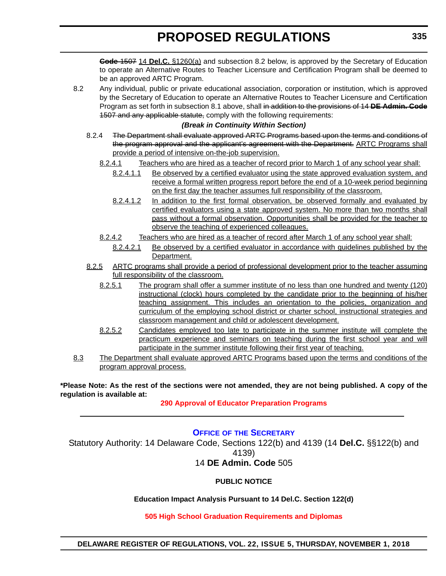<span id="page-17-0"></span>**Code** 1507 14 **Del.C.** §1260(a) and subsection 8.2 below, is approved by the Secretary of Education to operate an Alternative Routes to Teacher Licensure and Certification Program shall be deemed to be an approved ARTC Program.

8.2 Any individual, public or private educational association, corporation or institution, which is approved by the Secretary of Education to operate an Alternative Routes to Teacher Licensure and Certification Program as set forth in subsection 8.1 above, shall in addition to the provisions of 14 **DE Admin. Code** 1507 and any applicable statute, comply with the following requirements:

#### *(Break in Continuity Within Section)*

- 8.2.4 The Department shall evaluate approved ARTC Programs based upon the terms and conditions of the program approval and the applicant's agreement with the Department. ARTC Programs shall provide a period of intensive on-the-job supervision.
	- 8.2.4.1 Teachers who are hired as a teacher of record prior to March 1 of any school year shall:
		- 8.2.4.1.1 Be observed by a certified evaluator using the state approved evaluation system, and receive a formal written progress report before the end of a 10-week period beginning on the first day the teacher assumes full responsibility of the classroom.
		- 8.2.4.1.2 In addition to the first formal observation, be observed formally and evaluated by certified evaluators using a state approved system. No more than two months shall pass without a formal observation. Opportunities shall be provided for the teacher to observe the teaching of experienced colleagues.
	- 8.2.4.2 Teachers who are hired as a teacher of record after March 1 of any school year shall:
		- 8.2.4.2.1 Be observed by a certified evaluator in accordance with guidelines published by the Department.
- 8.2.5 ARTC programs shall provide a period of professional development prior to the teacher assuming full responsibility of the classroom.
	- 8.2.5.1 The program shall offer a summer institute of no less than one hundred and twenty (120) instructional (clock) hours completed by the candidate prior to the beginning of his/her teaching assignment. This includes an orientation to the policies, organization and curriculum of the employing school district or charter school, instructional strategies and classroom management and child or adolescent development.
	- 8.2.5.2 Candidates employed too late to participate in the summer institute will complete the practicum experience and seminars on teaching during the first school year and will participate in the summer institute following their first year of teaching.
- 8.3 The Department shall evaluate approved ARTC Programs based upon the terms and conditions of the program approval process.

**\*Please Note: As the rest of the sections were not amended, they are not being published. A copy of the regulation is available at:**

**[290 Approval of Educator Preparation Programs](http://regulations.delaware.gov/register/november2018/proposed/22 DE Reg 333 11-01-18.htm)** 

#### **OFFICE OF [THE SECRETARY](https://www.doe.k12.de.us/)**

Statutory Authority: 14 Delaware Code, Sections 122(b) and 4139 (14 **Del.C.** §§122(b) and 4139)

### 14 **DE Admin. Code** 505

#### **PUBLIC NOTICE**

#### **Education Impact Analysis Pursuant to 14 Del.C. Section 122(d)**

#### **[505 High School Graduation Requirements and Diplomas](#page-3-0)**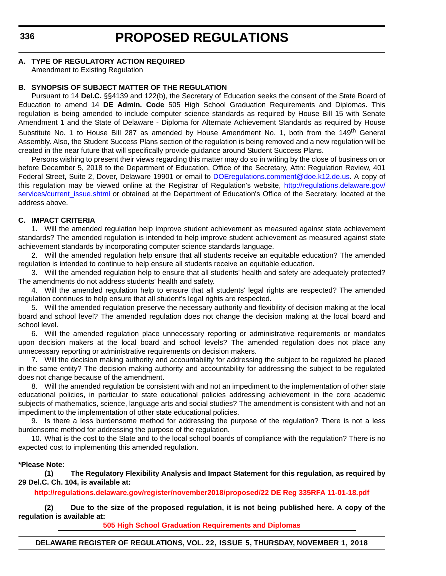#### **A. TYPE OF REGULATORY ACTION REQUIRED**

Amendment to Existing Regulation

#### **B. SYNOPSIS OF SUBJECT MATTER OF THE REGULATION**

Pursuant to 14 **Del.C.** §§4139 and 122(b), the Secretary of Education seeks the consent of the State Board of Education to amend 14 **DE Admin. Code** 505 High School Graduation Requirements and Diplomas. This regulation is being amended to include computer science standards as required by House Bill 15 with Senate Amendment 1 and the State of Delaware - Diploma for Alternate Achievement Standards as required by House Substitute No. 1 to House Bill 287 as amended by House Amendment No. 1, both from the 149<sup>th</sup> General Assembly. Also, the Student Success Plans section of the regulation is being removed and a new regulation will be created in the near future that will specifically provide guidance around Student Success Plans.

Persons wishing to present their views regarding this matter may do so in writing by the close of business on or before December 5, 2018 to the Department of Education, Office of the Secretary, Attn: Regulation Review, 401 Federal Street, Suite 2, Dover, Delaware 19901 or email to [DOEregulations.comment@doe.k12.de.us](mailto:DOEregulations.comment@doe.k12.de.us). A copy of this regulation may be viewed online at the Registrar of Regulation's website, [http://regulations.delaware.gov/](http://regulations.delaware.gov/services/current_issue.shtml) services/current issue.shtml or obtained at the Department of Education's Office of the Secretary, located at the address above.

#### **C. IMPACT CRITERIA**

1. Will the amended regulation help improve student achievement as measured against state achievement standards? The amended regulation is intended to help improve student achievement as measured against state achievement standards by incorporating computer science standards language.

2. Will the amended regulation help ensure that all students receive an equitable education? The amended regulation is intended to continue to help ensure all students receive an equitable education.

3. Will the amended regulation help to ensure that all students' health and safety are adequately protected? The amendments do not address students' health and safety.

4. Will the amended regulation help to ensure that all students' legal rights are respected? The amended regulation continues to help ensure that all student's legal rights are respected.

5. Will the amended regulation preserve the necessary authority and flexibility of decision making at the local board and school level? The amended regulation does not change the decision making at the local board and school level.

6. Will the amended regulation place unnecessary reporting or administrative requirements or mandates upon decision makers at the local board and school levels? The amended regulation does not place any unnecessary reporting or administrative requirements on decision makers.

7. Will the decision making authority and accountability for addressing the subject to be regulated be placed in the same entity? The decision making authority and accountability for addressing the subject to be regulated does not change because of the amendment.

8. Will the amended regulation be consistent with and not an impediment to the implementation of other state educational policies, in particular to state educational policies addressing achievement in the core academic subjects of mathematics, science, language arts and social studies? The amendment is consistent with and not an impediment to the implementation of other state educational policies.

9. Is there a less burdensome method for addressing the purpose of the regulation? There is not a less burdensome method for addressing the purpose of the regulation.

10. What is the cost to the State and to the local school boards of compliance with the regulation? There is no expected cost to implementing this amended regulation.

#### **\*Please Note:**

**(1) The Regulatory Flexibility Analysis and Impact Statement for this regulation, as required by 29 Del.C. Ch. 104, is available at:**

**<http://regulations.delaware.gov/register/november2018/proposed/22 DE Reg 335RFA 11-01-18.pdf>**

**(2) Due to the size of the proposed regulation, it is not being published here. A copy of the regulation is available at:**

**[505 High School Graduation Requirements and Diplomas](http://regulations.delaware.gov/register/november2018/proposed/22 DE Reg 335 11-01-18.htm)** 

**DELAWARE REGISTER OF REGULATIONS, VOL. 22, ISSUE 5, THURSDAY, NOVEMBER 1, 2018**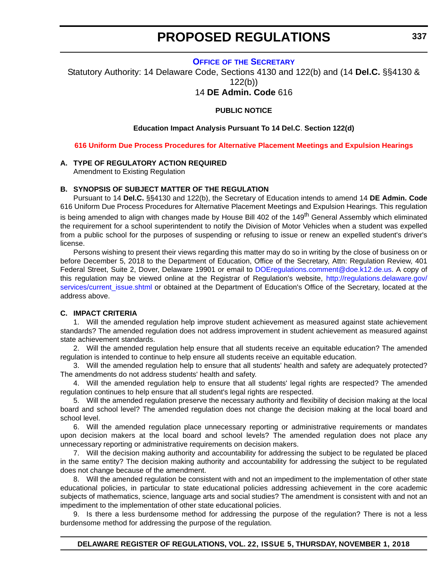#### **OFFICE OF [THE SECRETARY](https://www.doe.k12.de.us/)**

<span id="page-19-0"></span>Statutory Authority: 14 Delaware Code, Sections 4130 and 122(b) and (14 **Del.C.** §§4130 & 122(b))

14 **DE Admin. Code** 616

#### **PUBLIC NOTICE**

#### **Education Impact Analysis Pursuant To 14 Del.C**. **Section 122(d)**

**[616 Uniform Due Process Procedures for Alternative Placement Meetings and Expulsion Hearings](#page-3-0)**

#### **A. TYPE OF REGULATORY ACTION REQUIRED**

Amendment to Existing Regulation

#### **B. SYNOPSIS OF SUBJECT MATTER OF THE REGULATION**

Pursuant to 14 **Del.C.** §§4130 and 122(b), the Secretary of Education intends to amend 14 **DE Admin. Code** 616 Uniform Due Process Procedures for Alternative Placement Meetings and Expulsion Hearings. This regulation is being amended to align with changes made by House Bill 402 of the 149<sup>th</sup> General Assembly which eliminated the requirement for a school superintendent to notify the Division of Motor Vehicles when a student was expelled from a public school for the purposes of suspending or refusing to issue or renew an expelled student's driver's license.

Persons wishing to present their views regarding this matter may do so in writing by the close of business on or before December 5, 2018 to the Department of Education, Office of the Secretary, Attn: Regulation Review, 401 Federal Street, Suite 2, Dover, Delaware 19901 or email to [DOEregulations.comment@doe.k12.de.us.](mailto:DOEregulations.comment@doe.k12.de.us) A copy of this regulation may be viewed online at the Registrar of Regulation's website, [http://regulations.delaware.gov/](http://regulations.delaware.gov/services/current_issue.shtml) [services/current\\_issue.shtml](http://regulations.delaware.gov/services/current_issue.shtml) or obtained at the Department of Education's Office of the Secretary, located at the address above.

#### **C. IMPACT CRITERIA**

1. Will the amended regulation help improve student achievement as measured against state achievement standards? The amended regulation does not address improvement in student achievement as measured against state achievement standards.

2. Will the amended regulation help ensure that all students receive an equitable education? The amended regulation is intended to continue to help ensure all students receive an equitable education.

3. Will the amended regulation help to ensure that all students' health and safety are adequately protected? The amendments do not address students' health and safety.

4. Will the amended regulation help to ensure that all students' legal rights are respected? The amended regulation continues to help ensure that all student's legal rights are respected.

5. Will the amended regulation preserve the necessary authority and flexibility of decision making at the local board and school level? The amended regulation does not change the decision making at the local board and school level.

6. Will the amended regulation place unnecessary reporting or administrative requirements or mandates upon decision makers at the local board and school levels? The amended regulation does not place any unnecessary reporting or administrative requirements on decision makers.

7. Will the decision making authority and accountability for addressing the subject to be regulated be placed in the same entity? The decision making authority and accountability for addressing the subject to be regulated does not change because of the amendment.

8. Will the amended regulation be consistent with and not an impediment to the implementation of other state educational policies, in particular to state educational policies addressing achievement in the core academic subjects of mathematics, science, language arts and social studies? The amendment is consistent with and not an impediment to the implementation of other state educational policies.

9. Is there a less burdensome method for addressing the purpose of the regulation? There is not a less burdensome method for addressing the purpose of the regulation.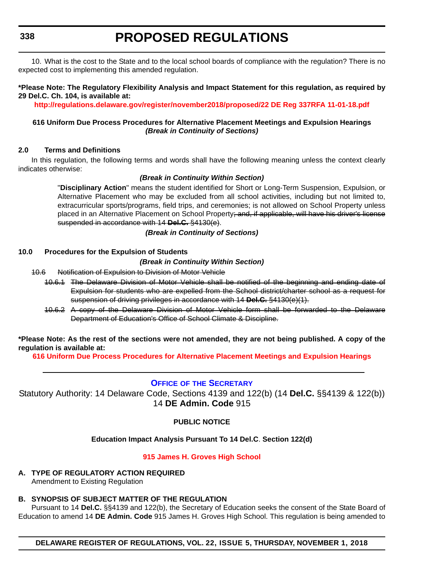<span id="page-20-0"></span>**338**

# **PROPOSED REGULATIONS**

10. What is the cost to the State and to the local school boards of compliance with the regulation? There is no expected cost to implementing this amended regulation.

#### **\*Please Note: The Regulatory Flexibility Analysis and Impact Statement for this regulation, as required by 29 Del.C. Ch. 104, is available at:**

**<http://regulations.delaware.gov/register/november2018/proposed/22 DE Reg 337RFA 11-01-18.pdf>**

#### **616 Uniform Due Process Procedures for Alternative Placement Meetings and Expulsion Hearings** *(Break in Continuity of Sections)*

#### **2.0 Terms and Definitions**

In this regulation, the following terms and words shall have the following meaning unless the context clearly indicates otherwise:

#### *(Break in Continuity Within Section)*

"**Disciplinary Action**" means the student identified for Short or Long-Term Suspension, Expulsion, or Alternative Placement who may be excluded from all school activities, including but not limited to, extracurricular sports/programs, field trips, and ceremonies; is not allowed on School Property unless placed in an Alternative Placement on School Property; and, if applicable, will have his driver's license suspended in accordance with 14 **Del.C.** §4130(e).

*(Break in Continuity of Sections)*

#### **10.0 Procedures for the Expulsion of Students**

#### *(Break in Continuity Within Section)*

- 10.6 Notification of Expulsion to Division of Motor Vehicle
	- 10.6.1 The Delaware Division of Motor Vehicle shall be notified of the beginning and ending date of Expulsion for students who are expelled from the School district/charter school as a request for suspension of driving privileges in accordance with 14 **Del.C.** §4130(e)(1).
	- 10.6.2 A copy of the Delaware Division of Motor Vehicle form shall be forwarded to the Delaware Department of Education's Office of School Climate & Discipline.

**\*Please Note: As the rest of the sections were not amended, they are not being published. A copy of the regulation is available at:**

**[616 Uniform Due Process Procedures for Alternative Placement Meetings and Expulsion Hearings](http://regulations.delaware.gov/register/november2018/proposed/22 DE Reg 337 11-01-18.htm)** 

#### **OFFICE OF [THE SECRETARY](https://www.doe.k12.de.us/)**

Statutory Authority: 14 Delaware Code, Sections 4139 and 122(b) (14 **Del.C.** §§4139 & 122(b)) 14 **DE Admin. Code** 915

#### **PUBLIC NOTICE**

#### **Education Impact Analysis Pursuant To 14 Del.C**. **Section 122(d)**

#### **[915 James H. Groves High School](#page-3-0)**

**A. TYPE OF REGULATORY ACTION REQUIRED** Amendment to Existing Regulation

### **B. SYNOPSIS OF SUBJECT MATTER OF THE REGULATION**

Pursuant to 14 **Del.C.** §§4139 and 122(b), the Secretary of Education seeks the consent of the State Board of Education to amend 14 **DE Admin. Code** 915 James H. Groves High School. This regulation is being amended to

**DELAWARE REGISTER OF REGULATIONS, VOL. 22, ISSUE 5, THURSDAY, NOVEMBER 1, 2018**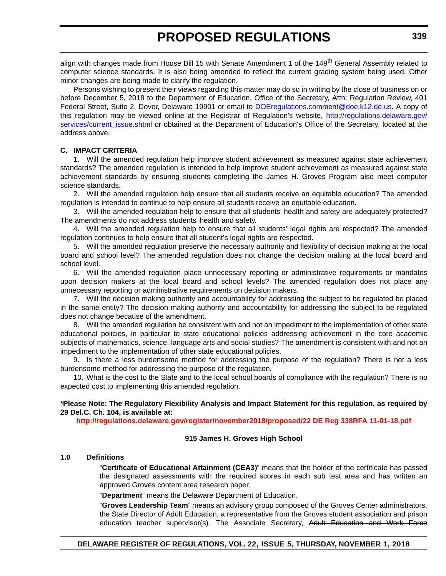align with changes made from House Bill 15 with Senate Amendment 1 of the 149<sup>th</sup> General Assembly related to computer science standards. It is also being amended to reflect the current grading system being used. Other minor changes are being made to clarify the regulation.

Persons wishing to present their views regarding this matter may do so in writing by the close of business on or before December 5, 2018 to the Department of Education, Office of the Secretary, Attn: Regulation Review, 401 Federal Street, Suite 2, Dover, Delaware 19901 or email to [DOEregulations.comment@doe.k12.de.us.](mailto:DOEregulations.comment@doe.k12.de.us) A copy of this regulation may be viewed online at the Registrar of Regulation's website, [http://regulations.delaware.gov/](http://regulations.delaware.gov/services/current_issue.shtml) [services/current\\_issue.shtml](http://regulations.delaware.gov/services/current_issue.shtml) or obtained at the Department of Education's Office of the Secretary, located at the address above.

#### **C. IMPACT CRITERIA**

1. Will the amended regulation help improve student achievement as measured against state achievement standards? The amended regulation is intended to help improve student achievement as measured against state achievement standards by ensuring students completing the James H. Groves Program also meet computer science standards.

2. Will the amended regulation help ensure that all students receive an equitable education? The amended regulation is intended to continue to help ensure all students receive an equitable education.

3. Will the amended regulation help to ensure that all students' health and safety are adequately protected? The amendments do not address students' health and safety.

4. Will the amended regulation help to ensure that all students' legal rights are respected? The amended regulation continues to help ensure that all student's legal rights are respected.

5. Will the amended regulation preserve the necessary authority and flexibility of decision making at the local board and school level? The amended regulation does not change the decision making at the local board and school level.

6. Will the amended regulation place unnecessary reporting or administrative requirements or mandates upon decision makers at the local board and school levels? The amended regulation does not place any unnecessary reporting or administrative requirements on decision makers.

7. Will the decision making authority and accountability for addressing the subject to be regulated be placed in the same entity? The decision making authority and accountability for addressing the subject to be regulated does not change because of the amendment.

8. Will the amended regulation be consistent with and not an impediment to the implementation of other state educational policies, in particular to state educational policies addressing achievement in the core academic subjects of mathematics, science, language arts and social studies? The amendment is consistent with and not an impediment to the implementation of other state educational policies.

9. Is there a less burdensome method for addressing the purpose of the regulation? There is not a less burdensome method for addressing the purpose of the regulation.

10. What is the cost to the State and to the local school boards of compliance with the regulation? There is no expected cost to implementing this amended regulation.

**\*Please Note: The Regulatory Flexibility Analysis and Impact Statement for this regulation, as required by 29 Del.C. Ch. 104, is available at:**

**<http://regulations.delaware.gov/register/november2018/proposed/22 DE Reg 338RFA 11-01-18.pdf>**

#### **915 James H. Groves High School**

#### **1.0 Definitions**

"**Certificate of Educational Attainment (CEA3)**" means that the holder of the certificate has passed the designated assessments with the required scores in each sub test area and has written an approved Groves content area research paper.

"**Department**" means the Delaware Department of Education.

"**Groves Leadership Team**" means an advisory group composed of the Groves Center administrators, the State Director of Adult Education, a representative from the Groves student association and prison education teacher supervisor(s). The Associate Secretary, Adult Education and Work Force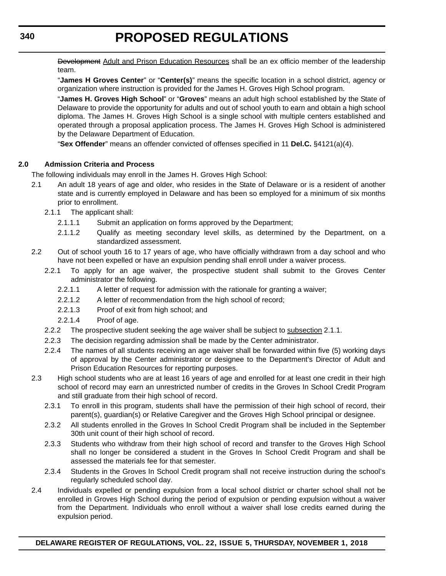Development Adult and Prison Education Resources shall be an ex officio member of the leadership team.

"**James H Groves Center**" or "**Center(s)**" means the specific location in a school district, agency or organization where instruction is provided for the James H. Groves High School program.

"**James H. Groves High School**" or "**Groves**" means an adult high school established by the State of Delaware to provide the opportunity for adults and out of school youth to earn and obtain a high school diploma. The James H. Groves High School is a single school with multiple centers established and operated through a proposal application process. The James H. Groves High School is administered by the Delaware Department of Education.

"**Sex Offender**" means an offender convicted of offenses specified in 11 **Del.C.** §4121(a)(4).

#### **2.0 Admission Criteria and Process**

The following individuals may enroll in the James H. Groves High School:

- 2.1 An adult 18 years of age and older, who resides in the State of Delaware or is a resident of another state and is currently employed in Delaware and has been so employed for a minimum of six months prior to enrollment.
	- 2.1.1 The applicant shall:
		- 2.1.1.1 Submit an application on forms approved by the Department;
		- 2.1.1.2 Qualify as meeting secondary level skills, as determined by the Department, on a standardized assessment.
- 2.2 Out of school youth 16 to 17 years of age, who have officially withdrawn from a day school and who have not been expelled or have an expulsion pending shall enroll under a waiver process.
	- 2.2.1 To apply for an age waiver, the prospective student shall submit to the Groves Center administrator the following.
		- 2.2.1.1 A letter of request for admission with the rationale for granting a waiver;
		- 2.2.1.2 A letter of recommendation from the high school of record;
		- 2.2.1.3 Proof of exit from high school; and
		- 2.2.1.4 Proof of age.
	- 2.2.2 The prospective student seeking the age waiver shall be subject to subsection 2.1.1.
	- 2.2.3 The decision regarding admission shall be made by the Center administrator.
	- 2.2.4 The names of all students receiving an age waiver shall be forwarded within five (5) working days of approval by the Center administrator or designee to the Department's Director of Adult and Prison Education Resources for reporting purposes.
- 2.3 High school students who are at least 16 years of age and enrolled for at least one credit in their high school of record may earn an unrestricted number of credits in the Groves In School Credit Program and still graduate from their high school of record.
	- 2.3.1 To enroll in this program, students shall have the permission of their high school of record, their parent(s), guardian(s) or Relative Caregiver and the Groves High School principal or designee.
	- 2.3.2 All students enrolled in the Groves In School Credit Program shall be included in the September 30th unit count of their high school of record.
	- 2.3.3 Students who withdraw from their high school of record and transfer to the Groves High School shall no longer be considered a student in the Groves In School Credit Program and shall be assessed the materials fee for that semester.
	- 2.3.4 Students in the Groves In School Credit program shall not receive instruction during the school's regularly scheduled school day.
- 2.4 Individuals expelled or pending expulsion from a local school district or charter school shall not be enrolled in Groves High School during the period of expulsion or pending expulsion without a waiver from the Department. Individuals who enroll without a waiver shall lose credits earned during the expulsion period.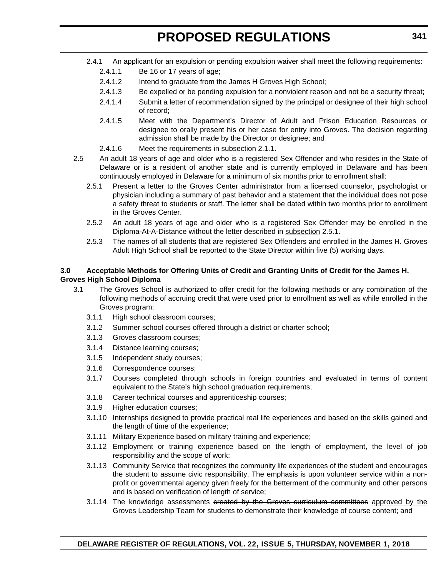- 2.4.1 An applicant for an expulsion or pending expulsion waiver shall meet the following requirements:
	- 2.4.1.1 Be 16 or 17 years of age;
	- 2.4.1.2 Intend to graduate from the James H Groves High School;
	- 2.4.1.3 Be expelled or be pending expulsion for a nonviolent reason and not be a security threat;
	- 2.4.1.4 Submit a letter of recommendation signed by the principal or designee of their high school of record;
	- 2.4.1.5 Meet with the Department's Director of Adult and Prison Education Resources or designee to orally present his or her case for entry into Groves. The decision regarding admission shall be made by the Director or designee; and
	- 2.4.1.6 Meet the requirements in subsection 2.1.1.
- 2.5 An adult 18 years of age and older who is a registered Sex Offender and who resides in the State of Delaware or is a resident of another state and is currently employed in Delaware and has been continuously employed in Delaware for a minimum of six months prior to enrollment shall:
	- 2.5.1 Present a letter to the Groves Center administrator from a licensed counselor, psychologist or physician including a summary of past behavior and a statement that the individual does not pose a safety threat to students or staff. The letter shall be dated within two months prior to enrollment in the Groves Center.
	- 2.5.2 An adult 18 years of age and older who is a registered Sex Offender may be enrolled in the Diploma-At-A-Distance without the letter described in subsection 2.5.1.
	- 2.5.3 The names of all students that are registered Sex Offenders and enrolled in the James H. Groves Adult High School shall be reported to the State Director within five (5) working days.

#### **3.0 Acceptable Methods for Offering Units of Credit and Granting Units of Credit for the James H. Groves High School Diploma**

- 3.1 The Groves School is authorized to offer credit for the following methods or any combination of the following methods of accruing credit that were used prior to enrollment as well as while enrolled in the Groves program:
	- 3.1.1 High school classroom courses;
	- 3.1.2 Summer school courses offered through a district or charter school;
	- 3.1.3 Groves classroom courses;
	- 3.1.4 Distance learning courses;
	- 3.1.5 Independent study courses;
	- 3.1.6 Correspondence courses;
	- 3.1.7 Courses completed through schools in foreign countries and evaluated in terms of content equivalent to the State's high school graduation requirements;
	- 3.1.8 Career technical courses and apprenticeship courses;
	- 3.1.9 Higher education courses;
	- 3.1.10 Internships designed to provide practical real life experiences and based on the skills gained and the length of time of the experience;
	- 3.1.11 Military Experience based on military training and experience;
	- 3.1.12 Employment or training experience based on the length of employment, the level of job responsibility and the scope of work;
	- 3.1.13 Community Service that recognizes the community life experiences of the student and encourages the student to assume civic responsibility. The emphasis is upon volunteer service within a nonprofit or governmental agency given freely for the betterment of the community and other persons and is based on verification of length of service;
	- 3.1.14 The knowledge assessments created by the Groves curriculum committees approved by the Groves Leadership Team for students to demonstrate their knowledge of course content; and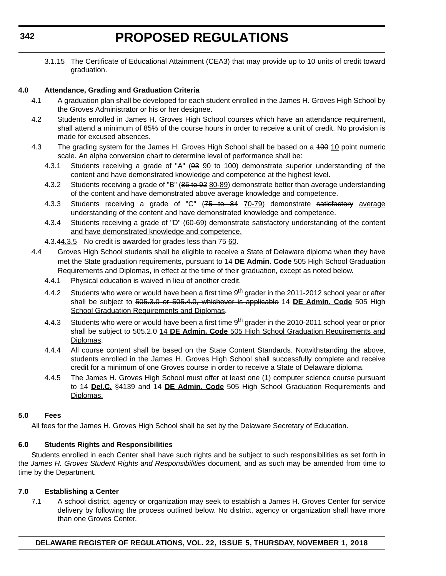3.1.15 The Certificate of Educational Attainment (CEA3) that may provide up to 10 units of credit toward graduation.

#### **4.0 Attendance, Grading and Graduation Criteria**

- 4.1 A graduation plan shall be developed for each student enrolled in the James H. Groves High School by the Groves Administrator or his or her designee.
- 4.2 Students enrolled in James H. Groves High School courses which have an attendance requirement, shall attend a minimum of 85% of the course hours in order to receive a unit of credit. No provision is made for excused absences.
- 4.3 The grading system for the James H. Groves High School shall be based on a 400 10 point numeric scale. An alpha conversion chart to determine level of performance shall be:
	- 4.3.1 Students receiving a grade of "A" (93 90 to 100) demonstrate superior understanding of the content and have demonstrated knowledge and competence at the highest level.
	- 4.3.2 Students receiving a grade of "B" (85 to 92 80-89) demonstrate better than average understanding of the content and have demonstrated above average knowledge and competence.
	- 4.3.3 Students receiving a grade of "C" (75 to 84 70-79) demonstrate satisfactory average understanding of the content and have demonstrated knowledge and competence.
	- 4.3.4 Students receiving a grade of "D" (60-69) demonstrate satisfactory understanding of the content and have demonstrated knowledge and competence.
	- 4.3.44.3.5 No credit is awarded for grades less than 75 60.
- 4.4 Groves High School students shall be eligible to receive a State of Delaware diploma when they have met the State graduation requirements, pursuant to 14 **DE Admin. Code** 505 High School Graduation Requirements and Diplomas, in effect at the time of their graduation, except as noted below.
	- 4.4.1 Physical education is waived in lieu of another credit.
	- 4.4.2 Students who were or would have been a first time 9<sup>th</sup> grader in the 2011-2012 school year or after shall be subject to 505.3.0 or 505.4.0, whichever is applicable 14 **DE Admin. Code** 505 High School Graduation Requirements and Diplomas.
	- 4.4.3 Students who were or would have been a first time 9<sup>th</sup> grader in the 2010-2011 school year or prior shall be subject to 505.2.0 14 **DE Admin. Code** 505 High School Graduation Requirements and Diplomas.
	- 4.4.4 All course content shall be based on the State Content Standards. Notwithstanding the above, students enrolled in the James H. Groves High School shall successfully complete and receive credit for a minimum of one Groves course in order to receive a State of Delaware diploma.
	- 4.4.5 The James H. Groves High School must offer at least one (1) computer science course pursuant to 14 **Del.C.** §4139 and 14 **DE Admin. Code** 505 High School Graduation Requirements and Diplomas.

#### **5.0 Fees**

All fees for the James H. Groves High School shall be set by the Delaware Secretary of Education.

#### **6.0 Students Rights and Responsibilities**

Students enrolled in each Center shall have such rights and be subject to such responsibilities as set forth in the *James H. Groves Student Rights and Responsibilities* document, and as such may be amended from time to time by the Department.

#### **7.0 Establishing a Center**

7.1 A school district, agency or organization may seek to establish a James H. Groves Center for service delivery by following the process outlined below. No district, agency or organization shall have more than one Groves Center.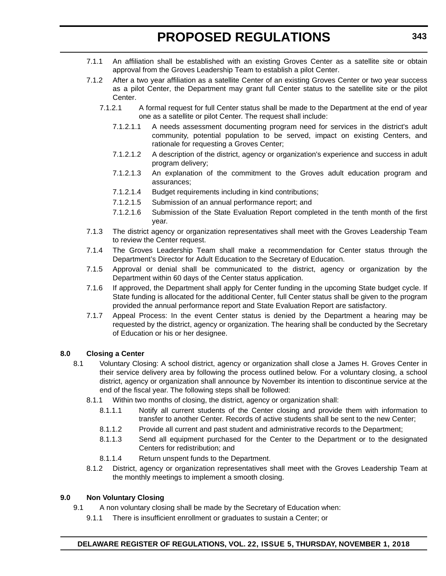- 7.1.1 An affiliation shall be established with an existing Groves Center as a satellite site or obtain approval from the Groves Leadership Team to establish a pilot Center.
- 7.1.2 After a two year affiliation as a satellite Center of an existing Groves Center or two year success as a pilot Center, the Department may grant full Center status to the satellite site or the pilot Center.
	- 7.1.2.1 A formal request for full Center status shall be made to the Department at the end of year one as a satellite or pilot Center. The request shall include:
		- 7.1.2.1.1 A needs assessment documenting program need for services in the district's adult community, potential population to be served, impact on existing Centers, and rationale for requesting a Groves Center;
		- 7.1.2.1.2 A description of the district, agency or organization's experience and success in adult program delivery;
		- 7.1.2.1.3 An explanation of the commitment to the Groves adult education program and assurances;
		- 7.1.2.1.4 Budget requirements including in kind contributions;
		- 7.1.2.1.5 Submission of an annual performance report; and
		- 7.1.2.1.6 Submission of the State Evaluation Report completed in the tenth month of the first year.
- 7.1.3 The district agency or organization representatives shall meet with the Groves Leadership Team to review the Center request.
- 7.1.4 The Groves Leadership Team shall make a recommendation for Center status through the Department's Director for Adult Education to the Secretary of Education.
- 7.1.5 Approval or denial shall be communicated to the district, agency or organization by the Department within 60 days of the Center status application.
- 7.1.6 If approved, the Department shall apply for Center funding in the upcoming State budget cycle. If State funding is allocated for the additional Center, full Center status shall be given to the program provided the annual performance report and State Evaluation Report are satisfactory.
- 7.1.7 Appeal Process: In the event Center status is denied by the Department a hearing may be requested by the district, agency or organization. The hearing shall be conducted by the Secretary of Education or his or her designee.

#### **8.0 Closing a Center**

- 8.1 Voluntary Closing: A school district, agency or organization shall close a James H. Groves Center in their service delivery area by following the process outlined below. For a voluntary closing, a school district, agency or organization shall announce by November its intention to discontinue service at the end of the fiscal year. The following steps shall be followed:
	- 8.1.1 Within two months of closing, the district, agency or organization shall:
		- 8.1.1.1 Notify all current students of the Center closing and provide them with information to transfer to another Center. Records of active students shall be sent to the new Center;
		- 8.1.1.2 Provide all current and past student and administrative records to the Department;
		- 8.1.1.3 Send all equipment purchased for the Center to the Department or to the designated Centers for redistribution; and
		- 8.1.1.4 Return unspent funds to the Department.
	- 8.1.2 District, agency or organization representatives shall meet with the Groves Leadership Team at the monthly meetings to implement a smooth closing.

#### **9.0 Non Voluntary Closing**

- 9.1 A non voluntary closing shall be made by the Secretary of Education when:
	- 9.1.1 There is insufficient enrollment or graduates to sustain a Center; or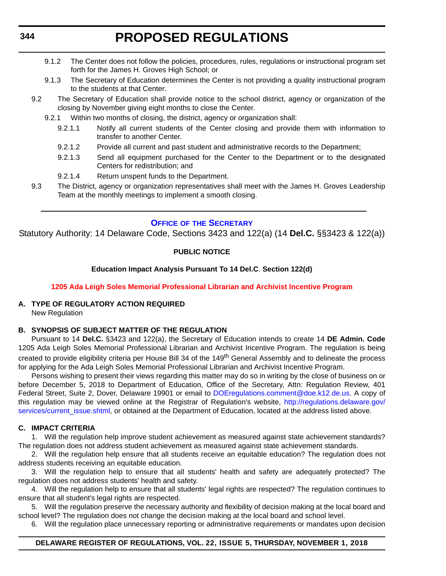- <span id="page-26-0"></span>9.1.2 The Center does not follow the policies, procedures, rules, regulations or instructional program set forth for the James H. Groves High School; or
- 9.1.3 The Secretary of Education determines the Center is not providing a quality instructional program to the students at that Center.
- 9.2 The Secretary of Education shall provide notice to the school district, agency or organization of the closing by November giving eight months to close the Center.
	- 9.2.1 Within two months of closing, the district, agency or organization shall:
		- 9.2.1.1 Notify all current students of the Center closing and provide them with information to transfer to another Center.
		- 9.2.1.2 Provide all current and past student and administrative records to the Department;
		- 9.2.1.3 Send all equipment purchased for the Center to the Department or to the designated Centers for redistribution; and
		- 9.2.1.4 Return unspent funds to the Department.
- 9.3 The District, agency or organization representatives shall meet with the James H. Groves Leadership Team at the monthly meetings to implement a smooth closing.

#### **OFFICE OF [THE SECRETARY](https://www.doe.k12.de.us/)**

Statutory Authority: 14 Delaware Code, Sections 3423 and 122(a) (14 **Del.C.** §§3423 & 122(a))

#### **PUBLIC NOTICE**

#### **Education Impact Analysis Pursuant To 14 Del.C**. **Section 122(d)**

#### **[1205 Ada Leigh Soles Memorial Professional Librarian and Archivist Incentive Program](#page-3-0)**

### **A. TYPE OF REGULATORY ACTION REQUIRED**

New Regulation

#### **B. SYNOPSIS OF SUBJECT MATTER OF THE REGULATION**

Pursuant to 14 **Del.C.** §3423 and 122(a), the Secretary of Education intends to create 14 **DE Admin. Code** 1205 Ada Leigh Soles Memorial Professional Librarian and Archivist Incentive Program. The regulation is being created to provide eligibility criteria per House Bill 34 of the 149<sup>th</sup> General Assembly and to delineate the process for applying for the Ada Leigh Soles Memorial Professional Librarian and Archivist Incentive Program.

Persons wishing to present their views regarding this matter may do so in writing by the close of business on or before December 5, 2018 to Department of Education, Office of the Secretary, Attn: Regulation Review, 401 Federal Street, Suite 2, Dover, Delaware 19901 or email to [DOEregulations.comment@doe.k12.de.us](mailto:DOEregulations.comment@doe.k12.de.us). A copy of this regulation may be viewed online at the Registrar of Regulation's website, [http://regulations.delaware.gov/](http://regulations.delaware.gov/services/current_issue.shtml) [services/current\\_issue.shtml](http://regulations.delaware.gov/services/current_issue.shtml), or obtained at the Department of Education, located at the address listed above.

#### **C. IMPACT CRITERIA**

1. Will the regulation help improve student achievement as measured against state achievement standards? The regulation does not address student achievement as measured against state achievement standards.

2. Will the regulation help ensure that all students receive an equitable education? The regulation does not address students receiving an equitable education.

3. Will the regulation help to ensure that all students' health and safety are adequately protected? The regulation does not address students' health and safety.

4. Will the regulation help to ensure that all students' legal rights are respected? The regulation continues to ensure that all student's legal rights are respected.

5. Will the regulation preserve the necessary authority and flexibility of decision making at the local board and school level? The regulation does not change the decision making at the local board and school level.

6. Will the regulation place unnecessary reporting or administrative requirements or mandates upon decision

#### **DELAWARE REGISTER OF REGULATIONS, VOL. 22, ISSUE 5, THURSDAY, NOVEMBER 1, 2018**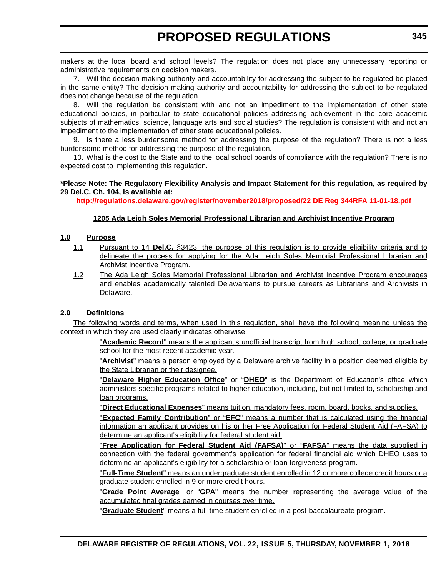makers at the local board and school levels? The regulation does not place any unnecessary reporting or administrative requirements on decision makers.

7. Will the decision making authority and accountability for addressing the subject to be regulated be placed in the same entity? The decision making authority and accountability for addressing the subject to be regulated does not change because of the regulation.

8. Will the regulation be consistent with and not an impediment to the implementation of other state educational policies, in particular to state educational policies addressing achievement in the core academic subjects of mathematics, science, language arts and social studies? The regulation is consistent with and not an impediment to the implementation of other state educational policies.

9. Is there a less burdensome method for addressing the purpose of the regulation? There is not a less burdensome method for addressing the purpose of the regulation.

10. What is the cost to the State and to the local school boards of compliance with the regulation? There is no expected cost to implementing this regulation.

#### **\*Please Note: The Regulatory Flexibility Analysis and Impact Statement for this regulation, as required by 29 Del.C. Ch. 104, is available at:**

**<http://regulations.delaware.gov/register/november2018/proposed/22 DE Reg 344RFA 11-01-18.pdf>**

#### **1205 Ada Leigh Soles Memorial Professional Librarian and Archivist Incentive Program**

#### **1.0 Purpose**

- 1.1 Pursuant to 14 **Del.C.** §3423, the purpose of this regulation is to provide eligibility criteria and to delineate the process for applying for the Ada Leigh Soles Memorial Professional Librarian and Archivist Incentive Program.
- 1.2 The Ada Leigh Soles Memorial Professional Librarian and Archivist Incentive Program encourages and enables academically talented Delawareans to pursue careers as Librarians and Archivists in Delaware.

#### **2.0 Definitions**

The following words and terms, when used in this regulation, shall have the following meaning unless the context in which they are used clearly indicates otherwise:

> "**Academic Record**" means the applicant's unofficial transcript from high school, college, or graduate school for the most recent academic year.

> "**Archivist**" means a person employed by a Delaware archive facility in a position deemed eligible by the State Librarian or their designee.

> "**Delaware Higher Education Office**" or "**DHEO**" is the Department of Education's office which administers specific programs related to higher education, including, but not limited to, scholarship and loan programs.

"**Direct Educational Expenses**" means tuition, mandatory fees, room, board, books, and supplies.

"**Expected Family Contribution**" or "**EFC**" means a number that is calculated using the financial information an applicant provides on his or her Free Application for Federal Student Aid (FAFSA) to determine an applicant's eligibility for federal student aid.

"**Free Application for Federal Student Aid (FAFSA)**" or "**FAFSA**" means the data supplied in connection with the federal government's application for federal financial aid which DHEO uses to determine an applicant's eligibility for a scholarship or loan forgiveness program.

"**Full-Time Student**" means an undergraduate student enrolled in 12 or more college credit hours or a graduate student enrolled in 9 or more credit hours.

"**Grade Point Average**" or "**GPA**" means the number representing the average value of the accumulated final grades earned in courses over time.

"**Graduate Student**" means a full-time student enrolled in a post-baccalaureate program.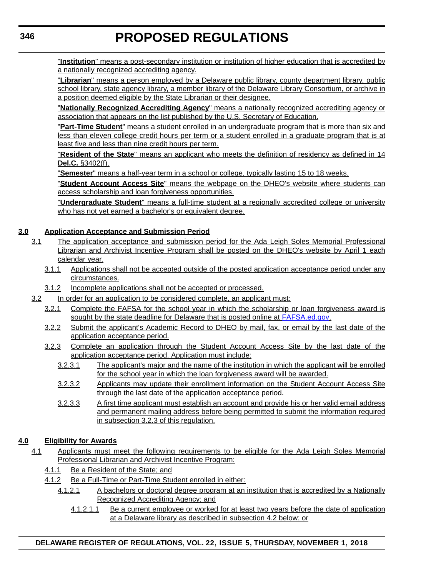"**Institution**" means a post-secondary institution or institution of higher education that is accredited by a nationally recognized accrediting agency.

"**Librarian**" means a person employed by a Delaware public library, county department library, public school library, state agency library, a member library of the Delaware Library Consortium, or archive in a position deemed eligible by the State Librarian or their designee.

"**Nationally Recognized Accrediting Agency**" means a nationally recognized accrediting agency or association that appears on the list published by the U.S. Secretary of Education.

"**Part-Time Student**" means a student enrolled in an undergraduate program that is more than six and less than eleven college credit hours per term or a student enrolled in a graduate program that is at least five and less than nine credit hours per term.

"**Resident of the State**" means an applicant who meets the definition of residency as defined in 14 **Del.C.** §3402(f).

"**Semester**" means a half-year term in a school or college, typically lasting 15 to 18 weeks.

"**Student Account Access Site**" means the webpage on the DHEO's website where students can access scholarship and loan forgiveness opportunities.

"**Undergraduate Student**" means a full-time student at a regionally accredited college or university who has not yet earned a bachelor's or equivalent degree.

#### **3.0 Application Acceptance and Submission Period**

- 3.1 The application acceptance and submission period for the Ada Leigh Soles Memorial Professional Librarian and Archivist Incentive Program shall be posted on the DHEO's website by April 1 each calendar year.
	- 3.1.1 Applications shall not be accepted outside of the posted application acceptance period under any circumstances.
	- 3.1.2 Incomplete applications shall not be accepted or processed.
- 3.2 In order for an application to be considered complete, an applicant must:
	- 3.2.1 Complete the FAFSA for the school year in which the scholarship or loan forgiveness award is sought by the state deadline for Delaware that is posted online at<FAFSA.ed.gov>.
	- 3.2.2 Submit the applicant's Academic Record to DHEO by mail, fax, or email by the last date of the application acceptance period.
	- 3.2.3 Complete an application through the Student Account Access Site by the last date of the application acceptance period. Application must include:
		- 3.2.3.1 The applicant's major and the name of the institution in which the applicant will be enrolled for the school year in which the loan forgiveness award will be awarded.
		- 3.2.3.2 Applicants may update their enrollment information on the Student Account Access Site through the last date of the application acceptance period.
		- 3.2.3.3 A first time applicant must establish an account and provide his or her valid email address and permanent mailing address before being permitted to submit the information required in subsection 3.2.3 of this regulation.

#### **4.0 Eligibility for Awards**

- 4.1 Applicants must meet the following requirements to be eligible for the Ada Leigh Soles Memorial Professional Librarian and Archivist Incentive Program:
	- 4.1.1 Be a Resident of the State; and
	- 4.1.2 Be a Full-Time or Part-Time Student enrolled in either:
		- 4.1.2.1 A bachelors or doctoral degree program at an institution that is accredited by a Nationally Recognized Accrediting Agency; and
			- 4.1.2.1.1 Be a current employee or worked for at least two years before the date of application at a Delaware library as described in subsection 4.2 below; or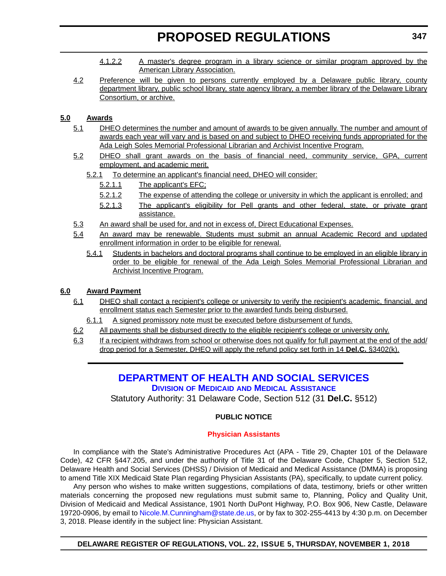- <span id="page-29-0"></span>4.1.2.2 A master's degree program in a library science or similar program approved by the American Library Association.
- 4.2 Preference will be given to persons currently employed by a Delaware public library, county department library, public school library, state agency library, a member library of the Delaware Library Consortium, or archive.

#### **5.0 Awards**

- 5.1 DHEO determines the number and amount of awards to be given annually. The number and amount of awards each year will vary and is based on and subject to DHEO receiving funds appropriated for the Ada Leigh Soles Memorial Professional Librarian and Archivist Incentive Program.
- 5.2 DHEO shall grant awards on the basis of financial need, community service, GPA, current employment, and academic merit.
	- 5.2.1 To determine an applicant's financial need, DHEO will consider:
		- 5.2.1.1 The applicant's EFC;
		- 5.2.1.2 The expense of attending the college or university in which the applicant is enrolled; and
		- 5.2.1.3 The applicant's eligibility for Pell grants and other federal, state, or private grant assistance.
- 5.3 An award shall be used for, and not in excess of, Direct Educational Expenses.
- 5.4 An award may be renewable. Students must submit an annual Academic Record and updated enrollment information in order to be eligible for renewal.
	- 5.4.1 Students in bachelors and doctoral programs shall continue to be employed in an eligible library in order to be eligible for renewal of the Ada Leigh Soles Memorial Professional Librarian and Archivist Incentive Program.

### **6.0 Award Payment**

- 6.1 DHEO shall contact a recipient's college or university to verify the recipient's academic, financial, and enrollment status each Semester prior to the awarded funds being disbursed.
	- 6.1.1 A signed promissory note must be executed before disbursement of funds.
- 6.2 All payments shall be disbursed directly to the eligible recipient's college or university only.
- 6.3 If a recipient withdraws from school or otherwise does not qualify for full payment at the end of the add/ drop period for a Semester, DHEO will apply the refund policy set forth in 14 **Del.C.** §3402(k).

# **[DEPARTMENT OF HEALTH AND SOCIAL SERVICES](https://www.dhss.delaware.gov/dhss/dmma/)**

**DIVISION OF MEDICAID [AND MEDICAL ASSISTANCE](https://www.dhss.delaware.gov/dhss/dmma/)**

Statutory Authority: 31 Delaware Code, Section 512 (31 **Del.C.** §512)

#### **PUBLIC NOTICE**

#### **[Physician Assistants](#page-3-0)**

In compliance with the State's Administrative Procedures Act (APA - Title 29, Chapter 101 of the Delaware Code), 42 CFR §447.205, and under the authority of Title 31 of the Delaware Code, Chapter 5, Section 512, Delaware Health and Social Services (DHSS) / Division of Medicaid and Medical Assistance (DMMA) is proposing to amend Title XIX Medicaid State Plan regarding Physician Assistants (PA), specifically, to update current policy.

Any person who wishes to make written suggestions, compilations of data, testimony, briefs or other written materials concerning the proposed new regulations must submit same to, Planning, Policy and Quality Unit, Division of Medicaid and Medical Assistance, 1901 North DuPont Highway, P.O. Box 906, New Castle, Delaware 19720-0906, by email to [Nicole.M.Cunningham@state.de.us,](mailto:Nicole.M.Cunningham@state.de.us) or by fax to 302-255-4413 by 4:30 p.m. on December 3, 2018. Please identify in the subject line: Physician Assistant.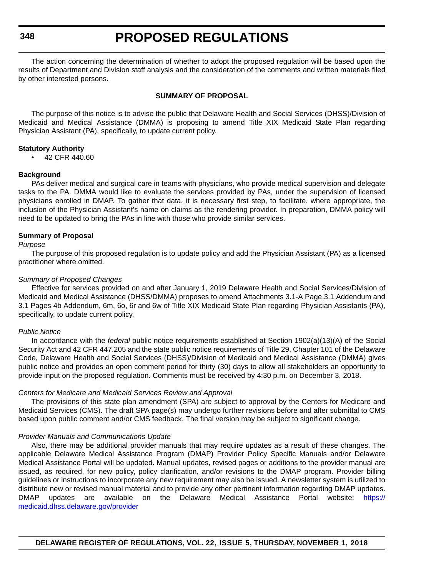**348**

### **PROPOSED REGULATIONS**

The action concerning the determination of whether to adopt the proposed regulation will be based upon the results of Department and Division staff analysis and the consideration of the comments and written materials filed by other interested persons.

#### **SUMMARY OF PROPOSAL**

The purpose of this notice is to advise the public that Delaware Health and Social Services (DHSS)/Division of Medicaid and Medical Assistance (DMMA) is proposing to amend Title XIX Medicaid State Plan regarding Physician Assistant (PA), specifically, to update current policy.

#### **Statutory Authority**

• 42 CFR 440.60

#### **Background**

PAs deliver medical and surgical care in teams with physicians, who provide medical supervision and delegate tasks to the PA. DMMA would like to evaluate the services provided by PAs, under the supervision of licensed physicians enrolled in DMAP. To gather that data, it is necessary first step, to facilitate, where appropriate, the inclusion of the Physician Assistant's name on claims as the rendering provider. In preparation, DMMA policy will need to be updated to bring the PAs in line with those who provide similar services.

#### **Summary of Proposal**

#### *Purpose*

The purpose of this proposed regulation is to update policy and add the Physician Assistant (PA) as a licensed practitioner where omitted.

#### *Summary of Proposed Changes*

Effective for services provided on and after January 1, 2019 Delaware Health and Social Services/Division of Medicaid and Medical Assistance (DHSS/DMMA) proposes to amend Attachments 3.1-A Page 3.1 Addendum and 3.1 Pages 4b Addendum, 6m, 6o, 6r and 6w of Title XIX Medicaid State Plan regarding Physician Assistants (PA), specifically, to update current policy.

#### *Public Notice*

In accordance with the *federal* public notice requirements established at Section 1902(a)(13)(A) of the Social Security Act and 42 CFR 447.205 and the state public notice requirements of Title 29, Chapter 101 of the Delaware Code, Delaware Health and Social Services (DHSS)/Division of Medicaid and Medical Assistance (DMMA) gives public notice and provides an open comment period for thirty (30) days to allow all stakeholders an opportunity to provide input on the proposed regulation. Comments must be received by 4:30 p.m. on December 3, 2018.

#### *Centers for Medicare and Medicaid Services Review and Approval*

The provisions of this state plan amendment (SPA) are subject to approval by the Centers for Medicare and Medicaid Services (CMS). The draft SPA page(s) may undergo further revisions before and after submittal to CMS based upon public comment and/or CMS feedback. The final version may be subject to significant change.

#### *Provider Manuals and Communications Update*

Also, there may be additional provider manuals that may require updates as a result of these changes. The applicable Delaware Medical Assistance Program (DMAP) Provider Policy Specific Manuals and/or Delaware Medical Assistance Portal will be updated. Manual updates, revised pages or additions to the provider manual are issued, as required, for new policy, policy clarification, and/or revisions to the DMAP program. Provider billing guidelines or instructions to incorporate any new requirement may also be issued. A newsletter system is utilized to distribute new or revised manual material and to provide any other pertinent information regarding DMAP updates. DMAP updates are available on the Delaware Medical Assistance Portal website: [https://](https://medicaid.dhss.delaware.gov/provider) [medicaid.dhss.delaware.gov/provider](https://medicaid.dhss.delaware.gov/provider)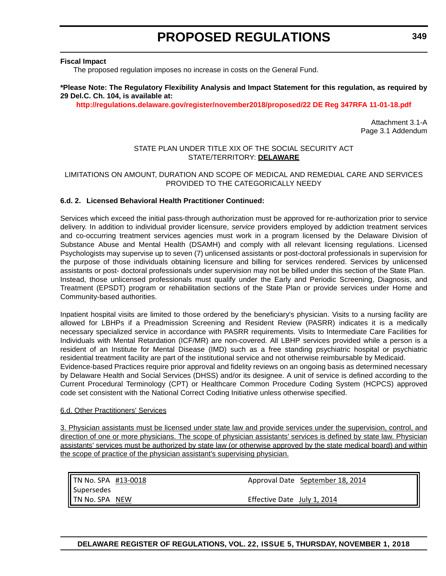#### **Fiscal Impact**

The proposed regulation imposes no increase in costs on the General Fund.

#### **\*Please Note: The Regulatory Flexibility Analysis and Impact Statement for this regulation, as required by 29 Del.C. Ch. 104, is available at:**

**<http://regulations.delaware.gov/register/november2018/proposed/22 DE Reg 347RFA 11-01-18.pdf>**

Attachment 3.1-A Page 3.1 Addendum

#### STATE PLAN UNDER TITLE XIX OF THE SOCIAL SECURITY ACT STATE/TERRITORY: **DELAWARE**

#### LIMITATIONS ON AMOUNT, DURATION AND SCOPE OF MEDICAL AND REMEDIAL CARE AND SERVICES PROVIDED TO THE CATEGORICALLY NEEDY

#### **6.d. 2. Licensed Behavioral Health Practitioner Continued:**

Services which exceed the initial pass-through authorization must be approved for re-authorization prior to service delivery. In addition to individual provider licensure, *service* providers employed by addiction treatment services and co-occurring treatment services agencies must work in a program licensed by the Delaware Division of Substance Abuse and Mental Health (DSAMH) and comply with all relevant licensing regulations. Licensed Psychologists may supervise up to seven (7) unlicensed assistants or post-doctoral professionals in supervision for the purpose of those individuals obtaining licensure and billing for services rendered. Services by unlicensed assistants or post- doctoral professionals under supervision may not be billed under this section of the State Plan. Instead, those unlicensed professionals must qualify under the Early and Periodic Screening, Diagnosis, and Treatment (EPSDT) program or rehabilitation sections of the State Plan or provide services under Home and Community-based authorities.

Inpatient hospital visits are limited to those ordered by the beneficiary's physician. Visits to a nursing facility are allowed for LBHPs if a Preadmission Screening and Resident Review (PASRR) indicates it is a medically necessary specialized service in accordance with PASRR requirements. Visits to Intermediate Care Facilities for Individuals with Mental Retardation (ICF/MR) are non-covered. All LBHP services provided while a person is a resident of an Institute for Mental Disease (IMD) such as a free standing psychiatric hospital or psychiatric residential treatment facility are part of the institutional service and not otherwise reimbursable by Medicaid. Evidence-based Practices require prior approval and fidelity reviews on an ongoing basis as determined necessary by Delaware Health and Social Services (DHSS) and/or its designee. A unit of service is defined according to the Current Procedural Terminology (CPT) or Healthcare Common Procedure Coding System (HCPCS) approved code set consistent with the National Correct Coding Initiative unless otherwise specified.

#### 6.d. Other Practitioners' Services

3. Physician assistants must be licensed under state law and provide services under the supervision, control, and direction of one or more physicians. The scope of physician assistants' services is defined by state law. Physician assistants' services must be authorized by state law (or otherwise approved by the state medical board) and within the scope of practice of the physician assistant's supervising physician.

TN No. SPA #13‐0018 Supersedes TN No. SPA NEW Approval Date September 18, 2014 Effective Date July 1, 2014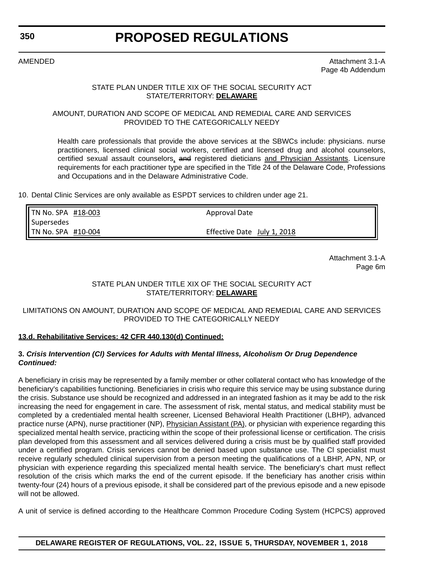#### **350**

# **PROPOSED REGULATIONS**

AMENDED Attachment 3.1-A Page 4b Addendum

#### STATE PLAN UNDER TITLE XIX OF THE SOCIAL SECURITY ACT STATE/TERRITORY: **DELAWARE**

#### AMOUNT, DURATION AND SCOPE OF MEDICAL AND REMEDIAL CARE AND SERVICES PROVIDED TO THE CATEGORICALLY NEEDY

Health care professionals that provide the above services at the SBWCs include: physicians. nurse practitioners, licensed clinical social workers, certified and licensed drug and alcohol counselors, certified sexual assault counselors, and registered dieticians and Physician Assistants. Licensure requirements for each practitioner type are specified in the Title 24 of the Delaware Code, Professions and Occupations and in the Delaware Administrative Code.

10. Dental Clinic Services are only available as ESPDT services to children under age 21.

| $\blacksquare$ TN No. SPA #18-003 | Approval Date               |  |
|-----------------------------------|-----------------------------|--|
| Supersedes                        |                             |  |
| <b>TN No. SPA #10-004</b>         | Effective Date July 1, 2018 |  |

Attachment 3.1-A Page 6m

#### STATE PLAN UNDER TITLE XIX OF THE SOCIAL SECURITY ACT STATE/TERRITORY: **DELAWARE**

#### LIMITATIONS ON AMOUNT, DURATION AND SCOPE OF MEDICAL AND REMEDIAL CARE AND SERVICES PROVIDED TO THE CATEGORICALLY NEEDY

#### **13.d. Rehabilitative Services: 42 CFR 440.130(d) Continued:**

#### **3.** *Crisis Intervention (Cl) Services for Adults with Mental Illness, Alcoholism Or Drug Dependence Continued:*

A beneficiary in crisis may be represented by a family member or other collateral contact who has knowledge of the beneficiary's capabilities functioning. Beneficiaries in crisis who require this service may be using substance during the crisis. Substance use should be recognized and addressed in an integrated fashion as it may be add to the risk increasing the need for engagement in care. The assessment of risk, mental status, and medical stability must be completed by a credentialed mental health screener, Licensed Behavioral Health Practitioner (LBHP), advanced practice nurse (APN), nurse practitioner (NP), Physician Assistant (PA), or physician with experience regarding this specialized mental health service, practicing within the scope of their professional license or certification. The crisis plan developed from this assessment and all services delivered during a crisis must be by qualified staff provided under a certified program. Crisis services cannot be denied based upon substance use. The Cl specialist must receive regularly scheduled clinical supervision from a person meeting the qualifications of a LBHP, APN, NP, or physician with experience regarding this specialized mental health service. The beneficiary's chart must reflect resolution of the crisis which marks the end of the current episode. If the beneficiary has another crisis within twenty-four (24) hours of a previous episode, it shall be considered part of the previous episode and a new episode will not be allowed.

A unit of service is defined according to the Healthcare Common Procedure Coding System (HCPCS) approved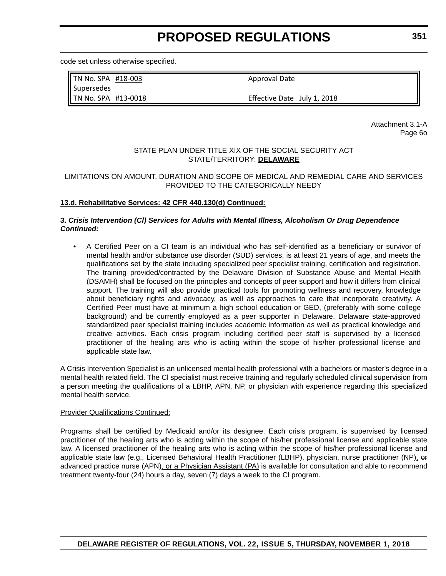code set unless otherwise specified.

TN No. SPA #18‐003 Supersedes TN No. SPA #13‐0018 Approval Date

Effective Date July 1, 2018

Attachment 3.1-A Page 6o

#### STATE PLAN UNDER TITLE XIX OF THE SOCIAL SECURITY ACT STATE/TERRITORY: **DELAWARE**

#### LIMITATIONS ON AMOUNT, DURATION AND SCOPE OF MEDICAL AND REMEDIAL CARE AND SERVICES PROVIDED TO THE CATEGORICALLY NEEDY

#### **13.d. Rehabilitative Services: 42 CFR 440.130(d) Continued:**

#### **3.** *Crisis Intervention (Cl) Services for Adults with Mental Illness, Alcoholism Or Drug Dependence Continued:*

• A Certified Peer on a CI team is an individual who has self-identified as a beneficiary or survivor of mental health and/or substance use disorder (SUD) services, is at least 21 years of age, and meets the qualifications set by the state including specialized peer specialist training, certification and registration. The training provided/contracted by the Delaware Division of Substance Abuse and Mental Health (DSAMH) shall be focused on the principles and concepts of peer support and how it differs from clinical support. The training will also provide practical tools for promoting wellness and recovery, knowledge about beneficiary rights and advocacy, as well as approaches to care that incorporate creativity. A Certified Peer must have at minimum a high school education or GED, (preferably with some college background) and be currently employed as a peer supporter in Delaware. Delaware state-approved standardized peer specialist training includes academic information as well as practical knowledge and creative activities. Each crisis program including certified peer staff is supervised by a licensed practitioner of the healing arts who is acting within the scope of his/her professional license and applicable state law.

A Crisis Intervention Specialist is an unlicensed mental health professional with a bachelors or master's degree in a mental health related field. The Cl specialist must receive training and regularly scheduled clinical supervision from a person meeting the qualifications of a LBHP, APN, NP, or physician with experience regarding this specialized mental health service.

#### Provider Qualifications Continued:

Programs shall be certified by Medicaid and/or its designee. Each crisis program, is supervised by licensed practitioner of the healing arts who is acting within the scope of his/her professional license and applicable state law. A licensed practitioner of the healing arts who is acting within the scope of his/her professional license and applicable state law (e.g., Licensed Behavioral Health Practitioner (LBHP), physician, nurse practitioner (NP), or advanced practice nurse (APN), or a Physician Assistant (PA) is available for consultation and able to recommend treatment twenty-four (24) hours a day, seven (7) days a week to the Cl program.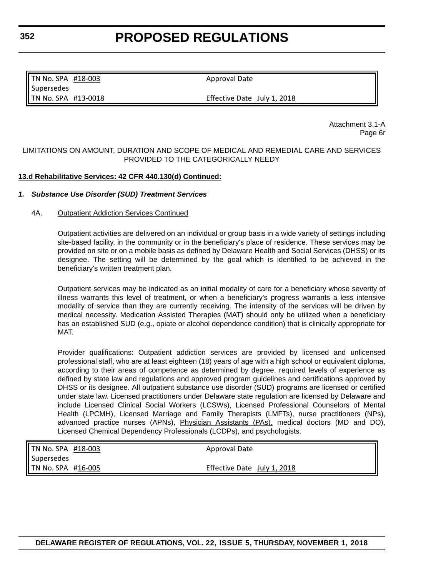TN No. SPA #18-003 Supersedes TN No. SPA #13‐0018

Approval Date

Effective Date July 1, 2018

Attachment 3.1-A Page 6r

#### LIMITATIONS ON AMOUNT, DURATION AND SCOPE OF MEDICAL AND REMEDIAL CARE AND SERVICES PROVIDED TO THE CATEGORICALLY NEEDY

#### **13.d Rehabilitative Services: 42 CFR 440.130(d) Continued:**

#### *1. Substance Use Disorder (SUD) Treatment Services*

#### 4A. Outpatient Addiction Services Continued

Outpatient activities are delivered on an individual or group basis in a wide variety of settings including site-based facility, in the community or in the beneficiary's place of residence. These services may be provided on site or on a mobile basis as defined by Delaware Health and Social Services (DHSS) or its designee. The setting will be determined by the goal which is identified to be achieved in the beneficiary's written treatment plan.

Outpatient services may be indicated as an initial modality of care for a beneficiary whose severity of illness warrants this level of treatment, or when a beneficiary's progress warrants a less intensive modality of service than they are currently receiving. The intensity of the services will be driven by medical necessity. Medication Assisted Therapies (MAT) should only be utilized when a beneficiary has an established SUD (e.g., opiate or alcohol dependence condition) that is clinically appropriate for MAT.

Provider qualifications: Outpatient addiction services are provided by licensed and unlicensed professional staff, who are at least eighteen (18) years of age with a high school or equivalent diploma, according to their areas of competence as determined by degree, required levels of experience as defined by state law and regulations and approved program guidelines and certifications approved by DHSS or its designee. All outpatient substance use disorder (SUD) programs are licensed or certified under state law. Licensed practitioners under Delaware state regulation are licensed by Delaware and include Licensed Clinical Social Workers (LCSWs), Licensed Professional Counselors of Mental Health (LPCMH), Licensed Marriage and Family Therapists (LMFTs), nurse practitioners (NPs), advanced practice nurses (APNs), Physician Assistants (PAs), medical doctors (MD and DO), Licensed Chemical Dependency Professionals (LCDPs), and psychologists.

| <b>I</b> TN No. SPA #18-003 | Approval Date               |
|-----------------------------|-----------------------------|
| 'l Supersedes               |                             |
| I TN No. SPA #16-005        | Effective Date July 1, 2018 |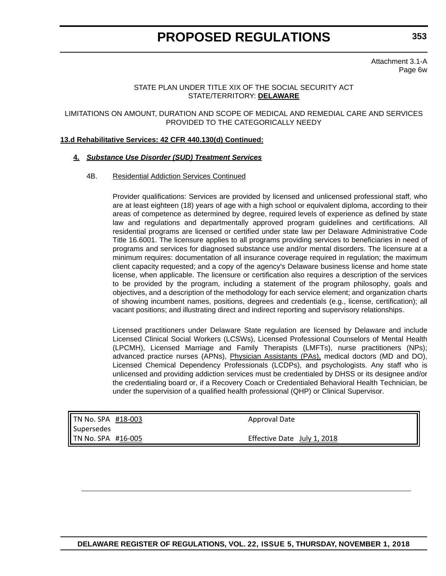**353**

Attachment 3.1-A Page 6w

#### STATE PLAN UNDER TITLE XIX OF THE SOCIAL SECURITY ACT STATE/TERRITORY: **DELAWARE**

#### LIMITATIONS ON AMOUNT, DURATION AND SCOPE OF MEDICAL AND REMEDIAL CARE AND SERVICES PROVIDED TO THE CATEGORICALLY NEEDY

#### **13.d Rehabilitative Services: 42 CFR 440.130(d) Continued:**

#### **4.** *Substance Use Disorder (SUD) Treatment Services*

#### 4B. Residential Addiction Services Continued

Provider qualifications: Services are provided by licensed and unlicensed professional staff, who are at least eighteen (18) years of age with a high school or equivalent diploma, according to their areas of competence as determined by degree, required levels of experience as defined by state law and regulations and departmentally approved program guidelines and certifications. All residential programs are licensed or certified under state law per Delaware Administrative Code Title 16.6001. The licensure applies to all programs providing services to beneficiaries in need of programs and services for diagnosed substance use and/or mental disorders. The licensure at a minimum requires: documentation of all insurance coverage required in regulation; the maximum client capacity requested; and a copy of the agency's Delaware business license and home state license, when applicable. The licensure or certification also requires a description of the services to be provided by the program, including a statement of the program philosophy, goals and objectives, and a description of the methodology for each service element; and organization charts of showing incumbent names, positions, degrees and credentials (e.g., license, certification); all vacant positions; and illustrating direct and indirect reporting and supervisory relationships.

Licensed practitioners under Delaware State regulation are licensed by Delaware and include Licensed Clinical Social Workers (LCSWs), Licensed Professional Counselors of Mental Health (LPCMH), Licensed Marriage and Family Therapists (LMFTs), nurse practitioners (NPs); advanced practice nurses (APNs), *Physician Assistants (PAs)*, medical doctors (MD and DO), Licensed Chemical Dependency Professionals (LCDPs), and psychologists. Any staff who is unlicensed and providing addiction services must be credentialed by DHSS or its designee and/or the credentialing board or, if a Recovery Coach or Credentialed Behavioral Health Technician, be under the supervision of a qualified health professional (QHP) or Clinical Supervisor.

TN No. SPA #18‐003 Supersedes TN No. SPA #16‐005

Approval Date

Effective Date July 1, 2018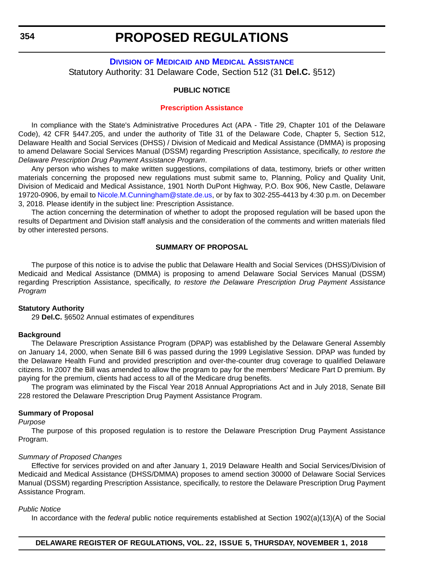### **DIVISION OF MEDICAID [AND MEDICAL ASSISTANCE](https://www.dhss.delaware.gov/dhss/dmma/)** Statutory Authority: 31 Delaware Code, Section 512 (31 **Del.C.** §512)

#### **PUBLIC NOTICE**

#### **[Prescription Assistance](#page-3-0)**

In compliance with the State's Administrative Procedures Act (APA - Title 29, Chapter 101 of the Delaware Code), 42 CFR §447.205, and under the authority of Title 31 of the Delaware Code, Chapter 5, Section 512, Delaware Health and Social Services (DHSS) / Division of Medicaid and Medical Assistance (DMMA) is proposing to amend Delaware Social Services Manual (DSSM) regarding Prescription Assistance, specifically, *to restore the Delaware Prescription Drug Payment Assistance Program*.

Any person who wishes to make written suggestions, compilations of data, testimony, briefs or other written materials concerning the proposed new regulations must submit same to, Planning, Policy and Quality Unit, Division of Medicaid and Medical Assistance, 1901 North DuPont Highway, P.O. Box 906, New Castle, Delaware 19720-0906, by email to [Nicole.M.Cunningham@state.de.us](mailto:Nicole.M.Cunningham@state.de.us), or by fax to 302-255-4413 by 4:30 p.m. on December 3, 2018. Please identify in the subject line: Prescription Assistance.

The action concerning the determination of whether to adopt the proposed regulation will be based upon the results of Department and Division staff analysis and the consideration of the comments and written materials filed by other interested persons.

#### **SUMMARY OF PROPOSAL**

The purpose of this notice is to advise the public that Delaware Health and Social Services (DHSS)/Division of Medicaid and Medical Assistance (DMMA) is proposing to amend Delaware Social Services Manual (DSSM) regarding Prescription Assistance, specifically, *to restore the Delaware Prescription Drug Payment Assistance Program*

#### **Statutory Authority**

29 **Del.C.** §6502 Annual estimates of expenditures

#### **Background**

The Delaware Prescription Assistance Program (DPAP) was established by the Delaware General Assembly on January 14, 2000, when Senate Bill 6 was passed during the 1999 Legislative Session. DPAP was funded by the Delaware Health Fund and provided prescription and over-the-counter drug coverage to qualified Delaware citizens. In 2007 the Bill was amended to allow the program to pay for the members' Medicare Part D premium. By paying for the premium, clients had access to all of the Medicare drug benefits.

The program was eliminated by the Fiscal Year 2018 Annual Appropriations Act and in July 2018, Senate Bill 228 restored the Delaware Prescription Drug Payment Assistance Program.

#### **Summary of Proposal**

#### *Purpose*

The purpose of this proposed regulation is to restore the Delaware Prescription Drug Payment Assistance Program.

#### *Summary of Proposed Changes*

Effective for services provided on and after January 1, 2019 Delaware Health and Social Services/Division of Medicaid and Medical Assistance (DHSS/DMMA) proposes to amend section 30000 of Delaware Social Services Manual (DSSM) regarding Prescription Assistance, specifically, to restore the Delaware Prescription Drug Payment Assistance Program.

#### *Public Notice*

In accordance with the *federal* public notice requirements established at Section 1902(a)(13)(A) of the Social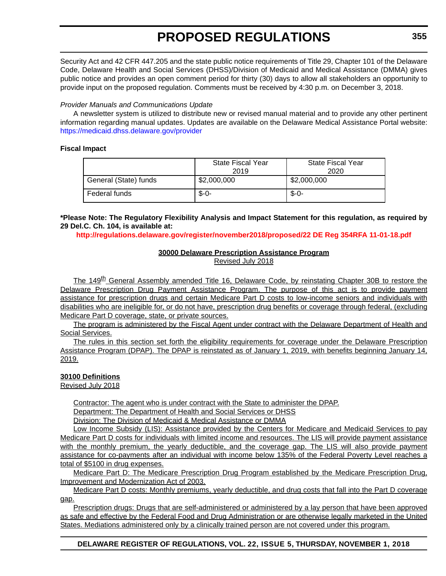Security Act and 42 CFR 447.205 and the state public notice requirements of Title 29, Chapter 101 of the Delaware Code, Delaware Health and Social Services (DHSS)/Division of Medicaid and Medical Assistance (DMMA) gives public notice and provides an open comment period for thirty (30) days to allow all stakeholders an opportunity to provide input on the proposed regulation. Comments must be received by 4:30 p.m. on December 3, 2018.

### *Provider Manuals and Communications Update*

A newsletter system is utilized to distribute new or revised manual material and to provide any other pertinent information regarding manual updates. Updates are available on the Delaware Medical Assistance Portal website: <https://medicaid.dhss.delaware.gov/provider>

#### **Fiscal Impact**

|                       | State Fiscal Year<br>2019 | <b>State Fiscal Year</b><br>2020 |
|-----------------------|---------------------------|----------------------------------|
| General (State) funds | \$2,000,000               | \$2,000,000                      |
| Federal funds         | $S - O -$                 | $$ -0-$                          |

**\*Please Note: The Regulatory Flexibility Analysis and Impact Statement for this regulation, as required by 29 Del.C. Ch. 104, is available at:**

**<http://regulations.delaware.gov/register/november2018/proposed/22 DE Reg 354RFA 11-01-18.pdf>**

### **30000 Delaware Prescription Assistance Program**

Revised July 2018

The 149<sup>th</sup> General Assembly amended Title 16, Delaware Code, by reinstating Chapter 30B to restore the Delaware Prescription Drug Payment Assistance Program. The purpose of this act is to provide payment assistance for prescription drugs and certain Medicare Part D costs to low-income seniors and individuals with disabilities who are ineligible for, or do not have, prescription drug benefits or coverage through federal, (excluding Medicare Part D coverage, state, or private sources.

The program is administered by the Fiscal Agent under contract with the Delaware Department of Health and Social Services.

The rules in this section set forth the eligibility requirements for coverage under the Delaware Prescription Assistance Program (DPAP). The DPAP is reinstated as of January 1, 2019, with benefits beginning January 14, 2019.

### **30100 Definitions**

Revised July 2018

Contractor: The agent who is under contract with the State to administer the DPAP.

Department: The Department of Health and Social Services or DHSS

Division: The Division of Medicaid & Medical Assistance or DMMA

Low Income Subsidy (LIS): Assistance provided by the Centers for Medicare and Medicaid Services to pay Medicare Part D costs for individuals with limited income and resources. The LIS will provide payment assistance with the monthly premium, the yearly deductible, and the coverage gap. The LIS will also provide payment assistance for co-payments after an individual with income below 135% of the Federal Poverty Level reaches a total of \$5100 in drug expenses.

Medicare Part D: The Medicare Prescription Drug Program established by the Medicare Prescription Drug, Improvement and Modernization Act of 2003.

Medicare Part D costs: Monthly premiums, yearly deductible, and drug costs that fall into the Part D coverage gap.

Prescription drugs: Drugs that are self-administered or administered by a lay person that have been approved as safe and effective by the Federal Food and Drug Administration or are otherwise legally marketed in the United States. Mediations administered only by a clinically trained person are not covered under this program.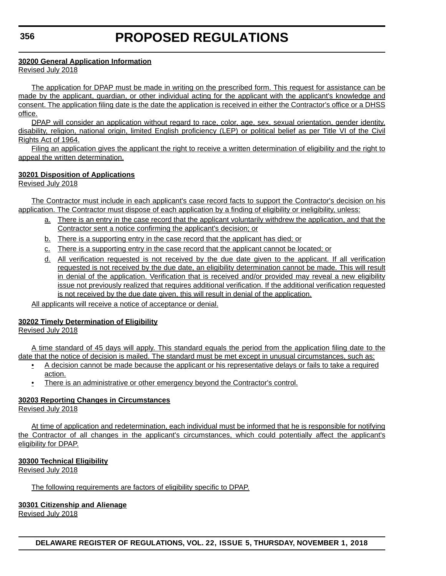### **30200 General Application Information**

Revised July 2018

The application for DPAP must be made in writing on the prescribed form. This request for assistance can be made by the applicant, guardian, or other individual acting for the applicant with the applicant's knowledge and consent. The application filing date is the date the application is received in either the Contractor's office or a DHSS office.

DPAP will consider an application without regard to race, color, age, sex, sexual orientation, gender identity, disability, religion, national origin, limited English proficiency (LEP) or political belief as per Title VI of the Civil Rights Act of 1964.

Filing an application gives the applicant the right to receive a written determination of eligibility and the right to appeal the written determination.

### **30201 Disposition of Applications**

Revised July 2018

The Contractor must include in each applicant's case record facts to support the Contractor's decision on his application. The Contractor must dispose of each application by a finding of eligibility or ineligibility, unless:

- a. There is an entry in the case record that the applicant voluntarily withdrew the application, and that the Contractor sent a notice confirming the applicant's decision; or
- b. There is a supporting entry in the case record that the applicant has died; or
- c. There is a supporting entry in the case record that the applicant cannot be located; or
- d. All verification requested is not received by the due date given to the applicant. If all verification requested is not received by the due date, an eligibility determination cannot be made. This will result in denial of the application. Verification that is received and/or provided may reveal a new eligibility issue not previously realized that requires additional verification. If the additional verification requested is not received by the due date given, this will result in denial of the application.

All applicants will receive a notice of acceptance or denial.

## **30202 Timely Determination of Eligibility**

Revised July 2018

A time standard of 45 days will apply. This standard equals the period from the application filing date to the date that the notice of decision is mailed. The standard must be met except in unusual circumstances, such as:

- A decision cannot be made because the applicant or his representative delays or fails to take a required action.
- There is an administrative or other emergency beyond the Contractor's control.

## **30203 Reporting Changes in Circumstances**

Revised July 2018

At time of application and redetermination, each individual must be informed that he is responsible for notifying the Contractor of all changes in the applicant's circumstances, which could potentially affect the applicant's eligibility for DPAP.

#### **30300 Technical Eligibility**

Revised July 2018

The following requirements are factors of eligibility specific to DPAP.

#### **30301 Citizenship and Alienage**

Revised July 2018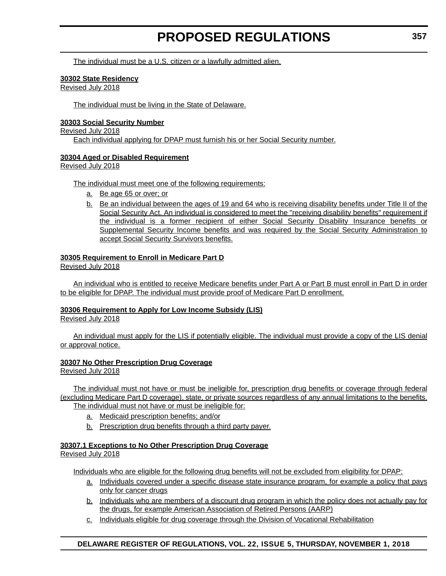The individual must be a U.S. citizen or a lawfully admitted alien.

#### **30302 State Residency**

Revised July 2018

The individual must be living in the State of Delaware.

#### **30303 Social Security Number**

Revised July 2018 Each individual applying for DPAP must furnish his or her Social Security number.

### **30304 Aged or Disabled Requirement**

Revised July 2018

The individual must meet one of the following requirements:

- a. Be age 65 or over; or
- b. Be an individual between the ages of 19 and 64 who is receiving disability benefits under Title II of the Social Security Act. An individual is considered to meet the "receiving disability benefits" requirement if the individual is a former recipient of either Social Security Disability Insurance benefits or Supplemental Security Income benefits and was required by the Social Security Administration to accept Social Security Survivors benefits.

#### **30305 Requirement to Enroll in Medicare Part D**

Revised July 2018

An individual who is entitled to receive Medicare benefits under Part A or Part B must enroll in Part D in order to be eligible for DPAP. The individual must provide proof of Medicare Part D enrollment.

#### **30306 Requirement to Apply for Low Income Subsidy (LIS)**

Revised July 2018

An individual must apply for the LIS if potentially eligible. The individual must provide a copy of the LIS denial or approval notice.

#### **30307 No Other Prescription Drug Coverage**

Revised July 2018

The individual must not have or must be ineligible for, prescription drug benefits or coverage through federal (excluding Medicare Part D coverage), state, or private sources regardless of any annual limitations to the benefits. The individual must not have or must be ineligible for:

- a. Medicaid prescription benefits; and/or
- b. Prescription drug benefits through a third party payer.

#### **30307.1 Exceptions to No Other Prescription Drug Coverage** Revised July 2018

Individuals who are eligible for the following drug benefits will not be excluded from eligibility for DPAP:

- a. Individuals covered under a specific disease state insurance program, for example a policy that pays only for cancer drugs
- b. Individuals who are members of a discount drug program in which the policy does not actually pay for the drugs, for example American Association of Retired Persons (AARP)
- c. Individuals eligible for drug coverage through the Division of Vocational Rehabilitation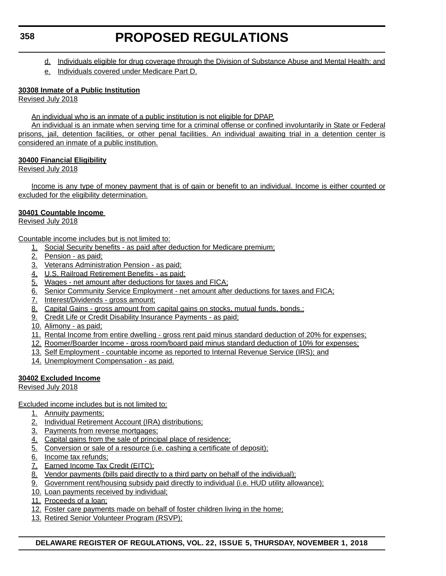- d. Individuals eligible for drug coverage through the Division of Substance Abuse and Mental Health; and
- e. Individuals covered under Medicare Part D.

### **30308 Inmate of a Public Institution**

Revised July 2018

An individual who is an inmate of a public institution is not eligible for DPAP.

An individual is an inmate when serving time for a criminal offense or confined involuntarily in State or Federal prisons, jail, detention facilities, or other penal facilities. An individual awaiting trial in a detention center is considered an inmate of a public institution.

### **30400 Financial Eligibility**

Revised July 2018

Income is any type of money payment that is of gain or benefit to an individual. Income is either counted or excluded for the eligibility determination.

### **30401 Countable Income**

Revised July 2018

Countable income includes but is not limited to:

- 1. Social Security benefits as paid after deduction for Medicare premium;
- 2. Pension as paid;
- 3. Veterans Administration Pension as paid;
- 4. U.S. Railroad Retirement Benefits as paid;
- 5. Wages net amount after deductions for taxes and FICA;
- 6. Senior Community Service Employment net amount after deductions for taxes and FICA;
- 7. Interest/Dividends gross amount;
- 8. Capital Gains gross amount from capital gains on stocks, mutual funds, bonds.;
- 9. Credit Life or Credit Disability Insurance Payments as paid;
- 10. Alimony as paid;
- 11. Rental Income from entire dwelling gross rent paid minus standard deduction of 20% for expenses;
- 12. Roomer/Boarder Income gross room/board paid minus standard deduction of 10% for expenses;
- 13. Self Employment countable income as reported to Internal Revenue Service (IRS); and
- 14. Unemployment Compensation as paid.

## **30402 Excluded Income**

Revised July 2018

Excluded income includes but is not limited to:

- 1. Annuity payments;
- 2. Individual Retirement Account (IRA) distributions;
- 3. Payments from reverse mortgages;
- 4. Capital gains from the sale of principal place of residence;
- 5. Conversion or sale of a resource (i.e. cashing a certificate of deposit);
- 6. Income tax refunds;
- 7. Earned Income Tax Credit (EITC);
- 8. Vendor payments (bills paid directly to a third party on behalf of the individual);
- 9. Government rent/housing subsidy paid directly to individual (i.e. HUD utility allowance);
- 10. Loan payments received by individual;
- 11. Proceeds of a loan;
- 12. Foster care payments made on behalf of foster children living in the home;
- 13. Retired Senior Volunteer Program (RSVP);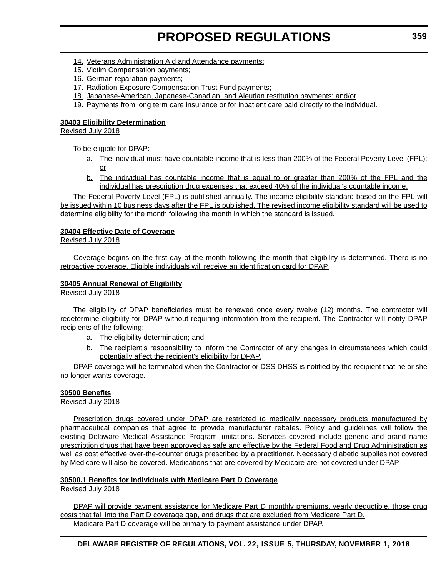- 14. Veterans Administration Aid and Attendance payments;
- 15. Victim Compensation payments;
- 16. German reparation payments;
- 17. Radiation Exposure Compensation Trust Fund payments;
- 18. Japanese-American, Japanese-Canadian, and Aleutian restitution payments; and/or
- 19. Payments from long term care insurance or for inpatient care paid directly to the individual.

### **30403 Eligibility Determination**

Revised July 2018

To be eligible for DPAP:

- a. The individual must have countable income that is less than 200% of the Federal Poverty Level (FPL); or
- b. The individual has countable income that is equal to or greater than 200% of the FPL and the individual has prescription drug expenses that exceed 40% of the individual's countable income.

The Federal Poverty Level (FPL) is published annually. The income eligibility standard based on the FPL will be issued within 10 business days after the FPL is published. The revised income eligibility standard will be used to determine eligibility for the month following the month in which the standard is issued.

### **30404 Effective Date of Coverage**

Revised July 2018

Coverage begins on the first day of the month following the month that eligibility is determined. There is no retroactive coverage. Eligible individuals will receive an identification card for DPAP.

### **30405 Annual Renewal of Eligibility**

Revised July 2018

The eligibility of DPAP beneficiaries must be renewed once every twelve (12) months. The contractor will redetermine eligibility for DPAP without requiring information from the recipient. The Contractor will notify DPAP recipients of the following:

- a. The eligibility determination; and
- b. The recipient's responsibility to inform the Contractor of any changes in circumstances which could potentially affect the recipient's eligibility for DPAP.

DPAP coverage will be terminated when the Contractor or DSS DHSS is notified by the recipient that he or she no longer wants coverage.

## **30500 Benefits**

Revised July 2018

Prescription drugs covered under DPAP are restricted to medically necessary products manufactured by pharmaceutical companies that agree to provide manufacturer rebates. Policy and guidelines will follow the existing Delaware Medical Assistance Program limitations. Services covered include generic and brand name prescription drugs that have been approved as safe and effective by the Federal Food and Drug Administration as well as cost effective over-the-counter drugs prescribed by a practitioner. Necessary diabetic supplies not covered by Medicare will also be covered. Medications that are covered by Medicare are not covered under DPAP.

## **30500.1 Benefits for Individuals with Medicare Part D Coverage**

Revised July 2018

DPAP will provide payment assistance for Medicare Part D monthly premiums, yearly deductible, those drug costs that fall into the Part D coverage gap, and drugs that are excluded from Medicare Part D. Medicare Part D coverage will be primary to payment assistance under DPAP.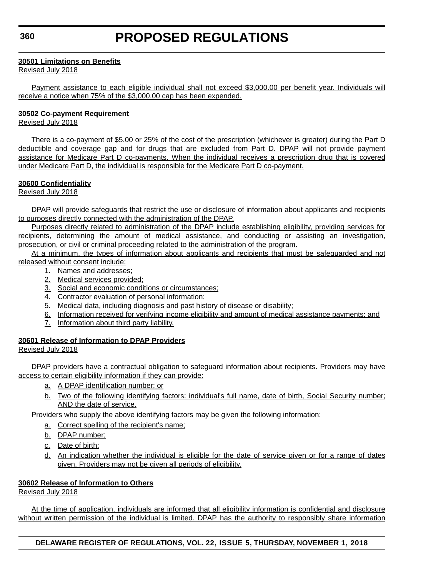#### **30501 Limitations on Benefits**

Revised July 2018

Payment assistance to each eligible individual shall not exceed \$3,000.00 per benefit year. Individuals will receive a notice when 75% of the \$3,000.00 cap has been expended.

### **30502 Co-payment Requirement**

Revised July 2018

There is a co-payment of \$5.00 or 25% of the cost of the prescription (whichever is greater) during the Part D deductible and coverage gap and for drugs that are excluded from Part D. DPAP will not provide payment assistance for Medicare Part D co-payments. When the individual receives a prescription drug that is covered under Medicare Part D, the individual is responsible for the Medicare Part D co-payment.

## **30600 Confidentiality**

Revised July 2018

DPAP will provide safeguards that restrict the use or disclosure of information about applicants and recipients to purposes directly connected with the administration of the DPAP.

Purposes directly related to administration of the DPAP include establishing eligibility, providing services for recipients, determining the amount of medical assistance, and conducting or assisting an investigation, prosecution, or civil or criminal proceeding related to the administration of the program.

At a minimum, the types of information about applicants and recipients that must be safeguarded and not released without consent include:

- 1. Names and addresses;
- 2. Medical services provided;
- 3. Social and economic conditions or circumstances:
- 4. Contractor evaluation of personal information;
- 5. Medical data, including diagnosis and past history of disease or disability;
- 6. Information received for verifying income eligibility and amount of medical assistance payments; and
- 7. Information about third party liability.

## **30601 Release of Information to DPAP Providers**

Revised July 2018

DPAP providers have a contractual obligation to safeguard information about recipients. Providers may have access to certain eligibility information if they can provide:

- a. A DPAP identification number; or
- b. Two of the following identifying factors: individual's full name, date of birth, Social Security number; AND the date of service.

Providers who supply the above identifying factors may be given the following information:

- a. Correct spelling of the recipient's name;
- b. DPAP number;
- c. Date of birth;
- d. An indication whether the individual is eligible for the date of service given or for a range of dates given. Providers may not be given all periods of eligibility.

## **30602 Release of Information to Others**

Revised July 2018

At the time of application, individuals are informed that all eligibility information is confidential and disclosure without written permission of the individual is limited. DPAP has the authority to responsibly share information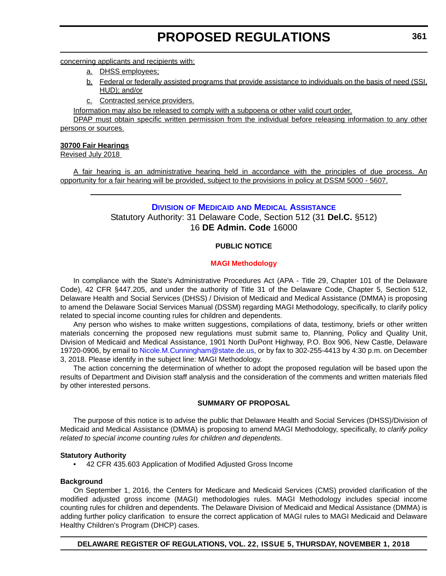concerning applicants and recipients with:

- a. DHSS employees;
- b. Federal or federally assisted programs that provide assistance to individuals on the basis of need (SSI, HUD); and/or
- c. Contracted service providers.

Information may also be released to comply with a subpoena or other valid court order.

DPAP must obtain specific written permission from the individual before releasing information to any other persons or sources.

#### **30700 Fair Hearings**

Revised July 2018

A fair hearing is an administrative hearing held in accordance with the principles of due process. An opportunity for a fair hearing will be provided, subject to the provisions in policy at DSSM 5000 - 5607.

## **DIVISION OF MEDICAID [AND MEDICAL ASSISTANCE](https://www.dhss.delaware.gov/dhss/dmma/)** Statutory Authority: 31 Delaware Code, Section 512 (31 **Del.C.** §512) 16 **DE Admin. Code** 16000

### **PUBLIC NOTICE**

#### **[MAGI Methodology](#page-3-0)**

In compliance with the State's Administrative Procedures Act (APA - Title 29, Chapter 101 of the Delaware Code), 42 CFR §447.205, and under the authority of Title 31 of the Delaware Code, Chapter 5, Section 512, Delaware Health and Social Services (DHSS) / Division of Medicaid and Medical Assistance (DMMA) is proposing to amend the Delaware Social Services Manual (DSSM) regarding MAGI Methodology, specifically, to clarify policy related to special income counting rules for children and dependents.

Any person who wishes to make written suggestions, compilations of data, testimony, briefs or other written materials concerning the proposed new regulations must submit same to, Planning, Policy and Quality Unit, Division of Medicaid and Medical Assistance, 1901 North DuPont Highway, P.O. Box 906, New Castle, Delaware 19720-0906, by email to [Nicole.M.Cunningham@state.de.us,](mailto:Nicole.M.Cunningham@state.de.us) or by fax to 302-255-4413 by 4:30 p.m. on December 3, 2018. Please identify in the subject line: MAGI Methodology.

The action concerning the determination of whether to adopt the proposed regulation will be based upon the results of Department and Division staff analysis and the consideration of the comments and written materials filed by other interested persons.

#### **SUMMARY OF PROPOSAL**

The purpose of this notice is to advise the public that Delaware Health and Social Services (DHSS)/Division of Medicaid and Medical Assistance (DMMA) is proposing to amend MAGI Methodology, specifically, *to clarify policy related to special income counting rules for children and dependents*.

#### **Statutory Authority**

• 42 CFR 435.603 Application of Modified Adjusted Gross Income

#### **Background**

On September 1, 2016, the Centers for Medicare and Medicaid Services (CMS) provided clarification of the modified adjusted gross income (MAGI) methodologies rules. MAGI Methodology includes special income counting rules for children and dependents. The Delaware Division of Medicaid and Medical Assistance (DMMA) is adding further policy clarification to ensure the correct application of MAGI rules to MAGI Medicaid and Delaware Healthy Children's Program (DHCP) cases.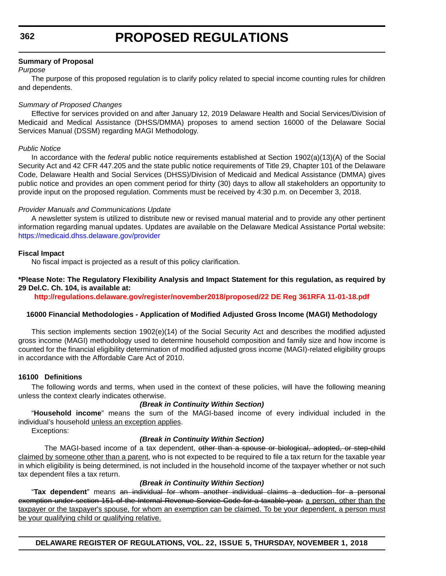### **Summary of Proposal**

#### *Purpose*

The purpose of this proposed regulation is to clarify policy related to special income counting rules for children and dependents.

#### *Summary of Proposed Changes*

Effective for services provided on and after January 12, 2019 Delaware Health and Social Services/Division of Medicaid and Medical Assistance (DHSS/DMMA) proposes to amend section 16000 of the Delaware Social Services Manual (DSSM) regarding MAGI Methodology.

#### *Public Notice*

In accordance with the *federal* public notice requirements established at Section 1902(a)(13)(A) of the Social Security Act and 42 CFR 447.205 and the state public notice requirements of Title 29, Chapter 101 of the Delaware Code, Delaware Health and Social Services (DHSS)/Division of Medicaid and Medical Assistance (DMMA) gives public notice and provides an open comment period for thirty (30) days to allow all stakeholders an opportunity to provide input on the proposed regulation. Comments must be received by 4:30 p.m. on December 3, 2018.

#### *Provider Manuals and Communications Update*

A newsletter system is utilized to distribute new or revised manual material and to provide any other pertinent information regarding manual updates. Updates are available on the Delaware Medical Assistance Portal website: <https://medicaid.dhss.delaware.gov/provider>

#### **Fiscal Impact**

No fiscal impact is projected as a result of this policy clarification.

#### **\*Please Note: The Regulatory Flexibility Analysis and Impact Statement for this regulation, as required by 29 Del.C. Ch. 104, is available at:**

**<http://regulations.delaware.gov/register/november2018/proposed/22 DE Reg 361RFA 11-01-18.pdf>**

#### **16000 Financial Methodologies - Application of Modified Adjusted Gross Income (MAGI) Methodology**

This section implements section 1902(e)(14) of the Social Security Act and describes the modified adjusted gross income (MAGI) methodology used to determine household composition and family size and how income is counted for the financial eligibility determination of modified adjusted gross income (MAGI)-related eligibility groups in accordance with the Affordable Care Act of 2010.

#### **16100 Definitions**

The following words and terms, when used in the context of these policies, will have the following meaning unless the context clearly indicates otherwise.

#### *(Break in Continuity Within Section)*

"**Household income**" means the sum of the MAGI-based income of every individual included in the individual's household unless an exception applies.

Exceptions:

#### *(Break in Continuity Within Section)*

The MAGI-based income of a tax dependent, other than a spouse or biological, adopted, or step-child claimed by someone other than a parent, who is not expected to be required to file a tax return for the taxable year in which eligibility is being determined, is not included in the household income of the taxpayer whether or not such tax dependent files a tax return.

#### *(Break in Continuity Within Section)*

"**Tax dependent**" means an individual for whom another individual claims a deduction for a personal exemption under section 151 of the Internal Revenue Service Code for a taxable year. a person, other than the taxpayer or the taxpayer's spouse, for whom an exemption can be claimed. To be your dependent, a person must be your qualifying child or qualifying relative.

**DELAWARE REGISTER OF REGULATIONS, VOL. 22, ISSUE 5, THURSDAY, NOVEMBER 1, 2018**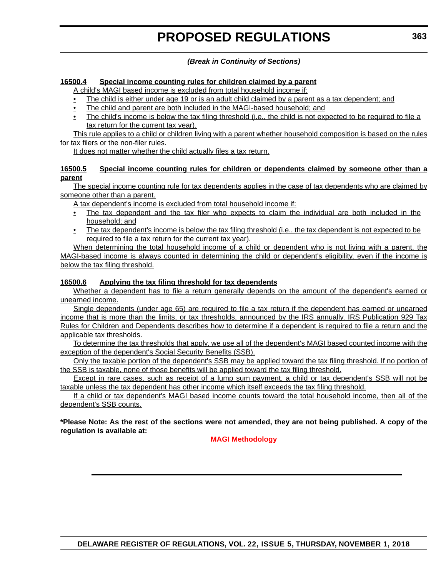### *(Break in Continuity of Sections)*

#### **16500.4 Special income counting rules for children claimed by a parent**

A child's MAGI based income is excluded from total household income if:

- The child is either under age 19 or is an adult child claimed by a parent as a tax dependent; and
- The child and parent are both included in the MAGI-based household; and
- The child's income is below the tax filing threshold (i.e., the child is not expected to be required to file a tax return for the current tax year).

This rule applies to a child or children living with a parent whether household composition is based on the rules for tax filers or the non-filer rules.

It does not matter whether the child actually files a tax return.

#### **16500.5 Special income counting rules for children or dependents claimed by someone other than a parent**

The special income counting rule for tax dependents applies in the case of tax dependents who are claimed by someone other than a parent.

A tax dependent's income is excluded from total household income if:

- The tax dependent and the tax filer who expects to claim the individual are both included in the household; and
- The tax dependent's income is below the tax filing threshold (i.e., the tax dependent is not expected to be required to file a tax return for the current tax year).

When determining the total household income of a child or dependent who is not living with a parent, the MAGI-based income is always counted in determining the child or dependent's eligibility, even if the income is below the tax filing threshold.

#### **16500.6 Applying the tax filing threshold for tax dependents**

Whether a dependent has to file a return generally depends on the amount of the dependent's earned or unearned income.

Single dependents (under age 65) are required to file a tax return if the dependent has earned or unearned income that is more than the limits, or tax thresholds, announced by the IRS annually. IRS Publication 929 Tax Rules for Children and Dependents describes how to determine if a dependent is required to file a return and the applicable tax thresholds.

To determine the tax thresholds that apply, we use all of the dependent's MAGI based counted income with the exception of the dependent's Social Security Benefits (SSB).

Only the taxable portion of the dependent's SSB may be applied toward the tax filing threshold. If no portion of the SSB is taxable, none of those benefits will be applied toward the tax filing threshold.

Except in rare cases, such as receipt of a lump sum payment, a child or tax dependent's SSB will not be taxable unless the tax dependent has other income which itself exceeds the tax filing threshold.

If a child or tax dependent's MAGI based income counts toward the total household income, then all of the dependent's SSB counts.

**\*Please Note: As the rest of the sections were not amended, they are not being published. A copy of the regulation is available at:**

#### **[MAGI Methodology](http://regulations.delaware.gov/register/november2018/proposed/22 DE Reg 361 11-01-18.htm)**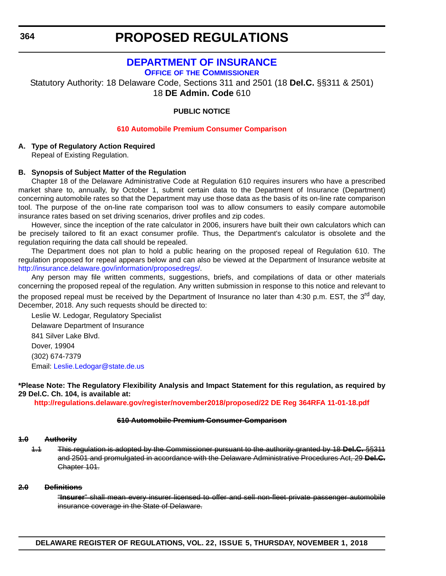## **[DEPARTMENT OF INSURANCE](https://insurance.delaware.gov/)**

**OFFICE OF [THE COMMISSIONER](https://insurance.delaware.gov/)**

Statutory Authority: 18 Delaware Code, Sections 311 and 2501 (18 **Del.C.** §§311 & 2501) 18 **DE Admin. Code** 610

**PUBLIC NOTICE**

#### **[610 Automobile Premium Consumer Comparison](#page-3-0)**

### **A. Type of Regulatory Action Required**

Repeal of Existing Regulation.

#### **B. Synopsis of Subject Matter of the Regulation**

Chapter 18 of the Delaware Administrative Code at Regulation 610 requires insurers who have a prescribed market share to, annually, by October 1, submit certain data to the Department of Insurance (Department) concerning automobile rates so that the Department may use those data as the basis of its on-line rate comparison tool. The purpose of the on-line rate comparison tool was to allow consumers to easily compare automobile insurance rates based on set driving scenarios, driver profiles and zip codes.

However, since the inception of the rate calculator in 2006, insurers have built their own calculators which can be precisely tailored to fit an exact consumer profile. Thus, the Department's calculator is obsolete and the regulation requiring the data call should be repealed.

The Department does not plan to hold a public hearing on the proposed repeal of Regulation 610. The regulation proposed for repeal appears below and can also be viewed at the Department of Insurance website at [http://insurance.delaware.gov/information/proposedregs/.](http://insurance.delaware.gov/information/proposedregs/)

Any person may file written comments, suggestions, briefs, and compilations of data or other materials concerning the proposed repeal of the regulation. Any written submission in response to this notice and relevant to the proposed repeal must be received by the Department of Insurance no later than 4:30 p.m. EST, the 3<sup>rd</sup> day, December, 2018. Any such requests should be directed to:

Leslie W. Ledogar, Regulatory Specialist Delaware Department of Insurance 841 Silver Lake Blvd. Dover, 19904 (302) 674-7379 Email: [Leslie.Ledogar@state.de.us](mailto:Leslie.Ledogar@state.de.us)

**\*Please Note: The Regulatory Flexibility Analysis and Impact Statement for this regulation, as required by 29 Del.C. Ch. 104, is available at:**

**<http://regulations.delaware.gov/register/november2018/proposed/22 DE Reg 364RFA 11-01-18.pdf>**

#### **610 Automobile Premium Consumer Comparison**

#### **1.0 Authority**

1.1 This regulation is adopted by the Commissioner pursuant to the authority granted by 18 **Del.C.** §§311 and 2501 and promulgated in accordance with the Delaware Administrative Procedures Act, 29 **Del.C.** Chapter 101.

#### **2.0 Definitions**

"**Insurer**" shall mean every insurer licensed to offer and sell non-fleet private passenger automobile insurance coverage in the State of Delaware.

**DELAWARE REGISTER OF REGULATIONS, VOL. 22, ISSUE 5, THURSDAY, NOVEMBER 1, 2018**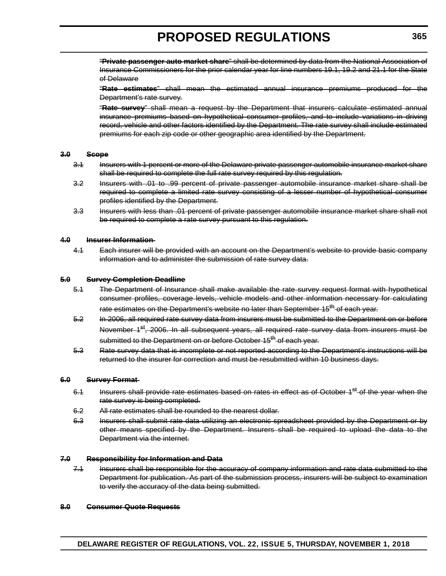"**Private passenger auto market share**" shall be determined by data from the National Association of Insurance Commissioners for the prior calendar year for line numbers 19.1, 19.2 and 21.1 for the State of Delaware

"**Rate estimates**" shall mean the estimated annual insurance premiums produced for the Department's rate survey.

"**Rate survey**" shall mean a request by the Department that insurers calculate estimated annual insurance premiums based on hypothetical consumer profiles, and to include variations in driving record, vehicle and other factors identified by the Department. The rate survey shall include estimated premiums for each zip code or other geographic area identified by the Department.

#### **3.0 Scope**

- 3.1 Insurers with 1 percent or more of the Delaware private passenger automobile insurance market share shall be required to complete the full rate survey required by this regulation.
- 3.2 Insurers with .01 to .99 percent of private passenger automobile insurance market share shall be required to complete a limited rate survey consisting of a lesser number of hypothetical consumer profiles identified by the Department.
- 3.3 Insurers with less than .01 percent of private passenger automobile insurance market share shall not be required to complete a rate survey pursuant to this regulation.

#### **4.0 Insurer Information**

4.1 Each insurer will be provided with an account on the Department's website to provide basic company information and to administer the submission of rate survey data.

#### **5.0 Survey Completion Deadline**

- 5.1 The Department of Insurance shall make available the rate survey request format with hypothetical consumer profiles, coverage levels, vehicle models and other information necessary for calculating rate estimates on the Department's website no later than September 15<sup>th</sup> of each year.
- 5.2 In 2006, all required rate survey data from insurers must be submitted to the Department on or before November 1<sup>st</sup>, 2006. In all subsequent years, all required rate survey data from insurers must be submitted to the Department on or before October 15<sup>th</sup> of each year.
- 5.3 Rate survey data that is incomplete or not reported according to the Department's instructions will be returned to the insurer for correction and must be resubmitted within 10 business days.

#### **6.0 Survey Format**

- 6.1 Insurers shall provide rate estimates based on rates in effect as of October 1<sup>st</sup> of the year when the rate survey is being completed.
- 6.2 All rate estimates shall be rounded to the nearest dollar.
- 6.3 Insurers shall submit rate data utilizing an electronic spreadsheet provided by the Department or by other means specified by the Department. Insurers shall be required to upload the data to the Department via the internet.

#### **7.0 Responsibility for Information and Data**

7.1 Insurers shall be responsible for the accuracy of company information and rate data submitted to the Department for publication. As part of the submission process, insurers will be subject to examination to verify the accuracy of the data being submitted.

#### **8.0 Consumer Quote Requests**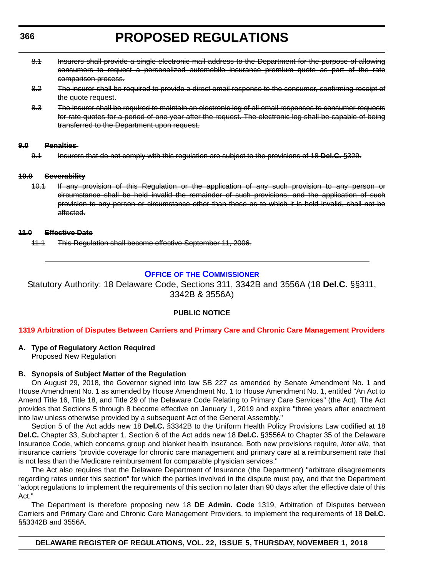- 8.1 Insurers shall provide a single electronic mail address to the Department for the purpose of allowing consumers to request a personalized automobile insurance premium quote as part of the rate comparison process.
- 8.2 The insurer shall be required to provide a direct email response to the consumer, confirming receipt of the quote request.
- 8.3 The insurer shall be required to maintain an electronic log of all email responses to consumer requests for rate quotes for a period of one year after the request. The electronic log shall be capable of being transferred to the Department upon request.

#### **9.0 Penalties**

9.1 Insurers that do not comply with this regulation are subject to the provisions of 18 **Del.C.** §329.

#### **10.0 Severability**

10.1 If any provision of this Regulation or the application of any such provision to any person or circumstance shall be held invalid the remainder of such provisions, and the application of such provision to any person or circumstance other than those as to which it is held invalid, shall not be affected.

#### **11.0 Effective Date**

11.1 This Regulation shall become effective September 11, 2006.

### **OFFICE OF [THE COMMISSIONER](https://insurance.delaware.gov/)**

Statutory Authority: 18 Delaware Code, Sections 311, 3342B and 3556A (18 **Del.C.** §§311, 3342B & 3556A)

#### **PUBLIC NOTICE**

#### **[1319 Arbitration of Disputes Between Carriers and Primary Care and Chronic Care Management Providers](#page-3-0)**

#### **A. Type of Regulatory Action Required**

Proposed New Regulation

#### **B. Synopsis of Subject Matter of the Regulation**

On August 29, 2018, the Governor signed into law SB 227 as amended by Senate Amendment No. 1 and House Amendment No. 1 as amended by House Amendment No. 1 to House Amendment No. 1, entitled "An Act to Amend Title 16, Title 18, and Title 29 of the Delaware Code Relating to Primary Care Services" (the Act). The Act provides that Sections 5 through 8 become effective on January 1, 2019 and expire "three years after enactment into law unless otherwise provided by a subsequent Act of the General Assembly."

Section 5 of the Act adds new 18 **Del.C.** §3342B to the Uniform Health Policy Provisions Law codified at 18 **Del.C.** Chapter 33, Subchapter 1. Section 6 of the Act adds new 18 **Del.C.** §3556A to Chapter 35 of the Delaware Insurance Code, which concerns group and blanket health insurance. Both new provisions require, *inter alia*, that insurance carriers "provide coverage for chronic care management and primary care at a reimbursement rate that is not less than the Medicare reimbursement for comparable physician services."

The Act also requires that the Delaware Department of Insurance (the Department) "arbitrate disagreements regarding rates under this section" for which the parties involved in the dispute must pay, and that the Department "adopt regulations to implement the requirements of this section no later than 90 days after the effective date of this Act."

The Department is therefore proposing new 18 **DE Admin. Code** 1319, Arbitration of Disputes between Carriers and Primary Care and Chronic Care Management Providers, to implement the requirements of 18 **Del.C.** §§3342B and 3556A.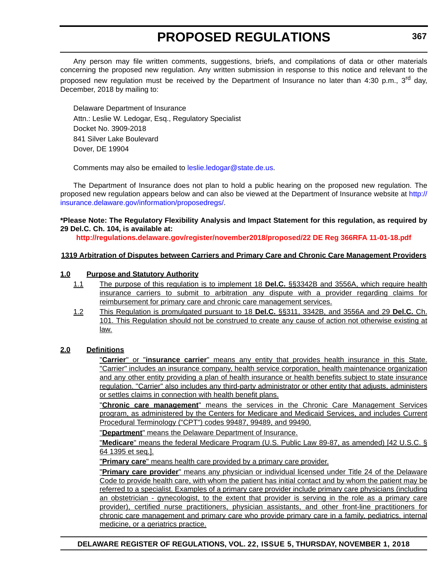Any person may file written comments, suggestions, briefs, and compilations of data or other materials concerning the proposed new regulation. Any written submission in response to this notice and relevant to the proposed new regulation must be received by the Department of Insurance no later than 4:30 p.m., 3<sup>rd</sup> day, December, 2018 by mailing to:

Delaware Department of Insurance Attn.: Leslie W. Ledogar, Esq., Regulatory Specialist Docket No. 3909-2018 841 Silver Lake Boulevard Dover, DE 19904

Comments may also be emailed to [leslie.ledogar@state.de.us](mailto:leslie.ledogar@state.de.us).

The Department of Insurance does not plan to hold a public hearing on the proposed new regulation. The proposed new regulation appears below and can also be viewed at the Department of Insurance website at [http://](http://insurance.delaware.gov/information/proposedregs/) [insurance.delaware.gov/information/proposedregs/](http://insurance.delaware.gov/information/proposedregs/).

#### **\*Please Note: The Regulatory Flexibility Analysis and Impact Statement for this regulation, as required by 29 Del.C. Ch. 104, is available at:**

**<http://regulations.delaware.gov/register/november2018/proposed/22 DE Reg 366RFA 11-01-18.pdf>**

#### **1319 Arbitration of Disputes between Carriers and Primary Care and Chronic Care Management Providers**

#### **1.0 Purpose and Statutory Authority**

- 1.1 The purpose of this regulation is to implement 18 **Del.C.** §§3342B and 3556A, which require health insurance carriers to submit to arbitration any dispute with a provider regarding claims for reimbursement for primary care and chronic care management services.
- 1.2 This Regulation is promulgated pursuant to 18 **Del.C.** §§311, 3342B, and 3556A and 29 **Del.C.** Ch. 101. This Regulation should not be construed to create any cause of action not otherwise existing at law.

#### **2.0 Definitions**

"**Carrier**" or "**insurance carrier**" means any entity that provides health insurance in this State. "Carrier" includes an insurance company, health service corporation, health maintenance organization and any other entity providing a plan of health insurance or health benefits subject to state insurance regulation. "Carrier" also includes any third-party administrator or other entity that adjusts, administers or settles claims in connection with health benefit plans.

"**Chronic care management**" means the services in the Chronic Care Management Services program, as administered by the Centers for Medicare and Medicaid Services, and includes Current Procedural Terminology ("CPT") codes 99487, 99489, and 99490.

"**Department**" means the Delaware Department of Insurance.

"**Medicare**" means the federal Medicare Program (U.S. Public Law 89-87, as amended) [42 U.S.C. § 64 1395 et seq.].

"**Primary care**" means health care provided by a primary care provider.

"**Primary care provider**" means any physician or individual licensed under Title 24 of the Delaware Code to provide health care, with whom the patient has initial contact and by whom the patient may be referred to a specialist. Examples of a primary care provider include primary care physicians (including an obstetrician - gynecologist, to the extent that provider is serving in the role as a primary care provider), certified nurse practitioners, physician assistants, and other front-line practitioners for chronic care management and primary care who provide primary care in a family, pediatrics, internal medicine, or a geriatrics practice.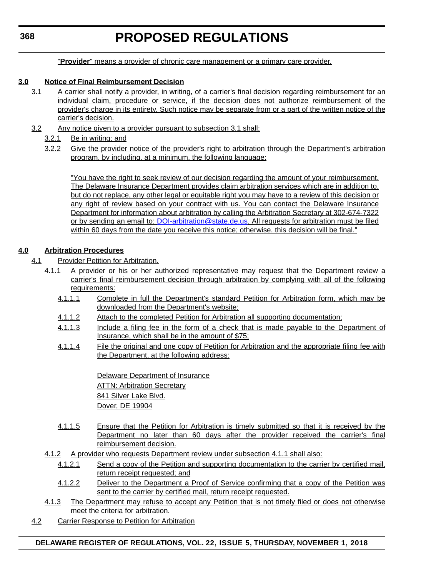"**Provider**" means a provider of chronic care management or a primary care provider.

### **3.0 Notice of Final Reimbursement Decision**

- 3.1 A carrier shall notify a provider, in writing, of a carrier's final decision regarding reimbursement for an individual claim, procedure or service, if the decision does not authorize reimbursement of the provider's charge in its entirety. Such notice may be separate from or a part of the written notice of the carrier's decision.
- 3.2 Any notice given to a provider pursuant to subsection 3.1 shall:
	- 3.2.1 Be in writing; and
	- 3.2.2 Give the provider notice of the provider's right to arbitration through the Department's arbitration program, by including, at a minimum, the following language:

"You have the right to seek review of our decision regarding the amount of your reimbursement. The Delaware Insurance Department provides claim arbitration services which are in addition to, but do not replace, any other legal or equitable right you may have to a review of this decision or any right of review based on your contract with us. You can contact the Delaware Insurance Department for information about arbitration by calling the Arbitration Secretary at 302-674-7322 or by sending an email to: [DOI-arbitration@state.de.us](mailto:DOI-arbitration@state.de.us). All requests for arbitration must be filed within 60 days from the date you receive this notice; otherwise, this decision will be final."

### **4.0 Arbitration Procedures**

- 4.1 Provider Petition for Arbitration.
	- 4.1.1 A provider or his or her authorized representative may request that the Department review a carrier's final reimbursement decision through arbitration by complying with all of the following requirements:
		- 4.1.1.1 Complete in full the Department's standard Petition for Arbitration form, which may be downloaded from the Department's website;
		- 4.1.1.2 Attach to the completed Petition for Arbitration all supporting documentation;
		- 4.1.1.3 Include a filing fee in the form of a check that is made payable to the Department of Insurance, which shall be in the amount of \$75;
		- 4.1.1.4 File the original and one copy of Petition for Arbitration and the appropriate filing fee with the Department, at the following address:

Delaware Department of Insurance **ATTN: Arbitration Secretary** 841 Silver Lake Blvd. Dover, DE 19904

- 4.1.1.5 Ensure that the Petition for Arbitration is timely submitted so that it is received by the Department no later than 60 days after the provider received the carrier's final reimbursement decision.
- 4.1.2 A provider who requests Department review under subsection 4.1.1 shall also:
	- 4.1.2.1 Send a copy of the Petition and supporting documentation to the carrier by certified mail, return receipt requested; and
	- 4.1.2.2 Deliver to the Department a Proof of Service confirming that a copy of the Petition was sent to the carrier by certified mail, return receipt requested.
- 4.1.3 The Department may refuse to accept any Petition that is not timely filed or does not otherwise meet the criteria for arbitration.
- 4.2 Carrier Response to Petition for Arbitration

#### **DELAWARE REGISTER OF REGULATIONS, VOL. 22, ISSUE 5, THURSDAY, NOVEMBER 1, 2018**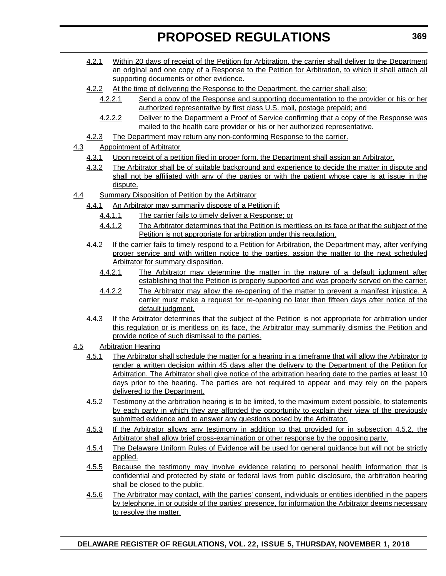- 4.2.1 Within 20 days of receipt of the Petition for Arbitration, the carrier shall deliver to the Department an original and one copy of a Response to the Petition for Arbitration, to which it shall attach all supporting documents or other evidence.
- 4.2.2 At the time of delivering the Response to the Department, the carrier shall also:
	- 4.2.2.1 Send a copy of the Response and supporting documentation to the provider or his or her authorized representative by first class U.S. mail, postage prepaid; and
	- 4.2.2.2 Deliver to the Department a Proof of Service confirming that a copy of the Response was mailed to the health care provider or his or her authorized representative.
- 4.2.3 The Department may return any non-conforming Response to the carrier.
- 4.3 Appointment of Arbitrator
	- 4.3.1 Upon receipt of a petition filed in proper form, the Department shall assign an Arbitrator.
	- 4.3.2 The Arbitrator shall be of suitable background and experience to decide the matter in dispute and shall not be affiliated with any of the parties or with the patient whose care is at issue in the dispute.
- 4.4 Summary Disposition of Petition by the Arbitrator
	- 4.4.1 An Arbitrator may summarily dispose of a Petition if:
		- 4.4.1.1 The carrier fails to timely deliver a Response; or
		- 4.4.1.2 The Arbitrator determines that the Petition is meritless on its face or that the subject of the Petition is not appropriate for arbitration under this regulation.
	- 4.4.2 If the carrier fails to timely respond to a Petition for Arbitration, the Department may, after verifying proper service and with written notice to the parties, assign the matter to the next scheduled Arbitrator for summary disposition.
		- 4.4.2.1 The Arbitrator may determine the matter in the nature of a default judgment after establishing that the Petition is properly supported and was properly served on the carrier.
		- 4.4.2.2 The Arbitrator may allow the re-opening of the matter to prevent a manifest injustice. A carrier must make a request for re-opening no later than fifteen days after notice of the default judgment.
	- 4.4.3 If the Arbitrator determines that the subject of the Petition is not appropriate for arbitration under this regulation or is meritless on its face, the Arbitrator may summarily dismiss the Petition and provide notice of such dismissal to the parties.
- 4.5 Arbitration Hearing
	- 4.5.1 The Arbitrator shall schedule the matter for a hearing in a timeframe that will allow the Arbitrator to render a written decision within 45 days after the delivery to the Department of the Petition for Arbitration. The Arbitrator shall give notice of the arbitration hearing date to the parties at least 10 days prior to the hearing. The parties are not required to appear and may rely on the papers delivered to the Department.
	- 4.5.2 Testimony at the arbitration hearing is to be limited, to the maximum extent possible, to statements by each party in which they are afforded the opportunity to explain their view of the previously submitted evidence and to answer any questions posed by the Arbitrator.
	- 4.5.3 If the Arbitrator allows any testimony in addition to that provided for in subsection 4.5.2, the Arbitrator shall allow brief cross-examination or other response by the opposing party.
	- 4.5.4 The Delaware Uniform Rules of Evidence will be used for general guidance but will not be strictly applied.
	- 4.5.5 Because the testimony may involve evidence relating to personal health information that is confidential and protected by state or federal laws from public disclosure, the arbitration hearing shall be closed to the public.
	- 4.5.6 The Arbitrator may contact, with the parties' consent, individuals or entities identified in the papers by telephone, in or outside of the parties' presence, for information the Arbitrator deems necessary to resolve the matter.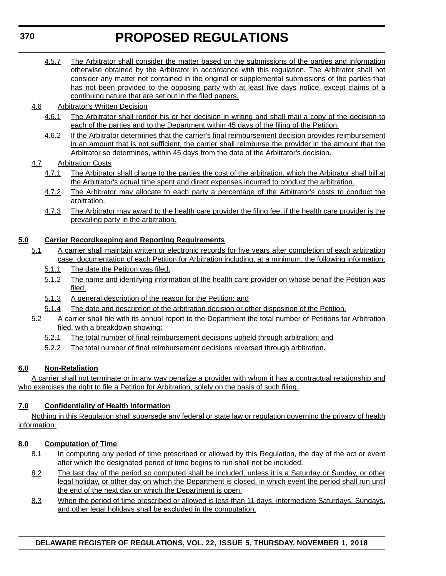- 4.5.7 The Arbitrator shall consider the matter based on the submissions of the parties and information otherwise obtained by the Arbitrator in accordance with this regulation. The Arbitrator shall not consider any matter not contained in the original or supplemental submissions of the parties that has not been provided to the opposing party with at least five days notice, except claims of a continuing nature that are set out in the filed papers.
- 4.6 Arbitrator's Written Decision
	- 4.6.1 The Arbitrator shall render his or her decision in writing and shall mail a copy of the decision to each of the parties and to the Department within 45 days of the filing of the Petition.
	- 4.6.2 If the Arbitrator determines that the carrier's final reimbursement decision provides reimbursement in an amount that is not sufficient, the carrier shall reimburse the provider in the amount that the Arbitrator so determines, within 45 days from the date of the Arbitrator's decision.

### 4.7 Arbitration Costs

- 4.7.1 The Arbitrator shall charge to the parties the cost of the arbitration, which the Arbitrator shall bill at the Arbitrator's actual time spent and direct expenses incurred to conduct the arbitration.
- 4.7.2 The Arbitrator may allocate to each party a percentage of the Arbitrator's costs to conduct the arbitration.
- 4.7.3 The Arbitrator may award to the health care provider the filing fee, if the health care provider is the prevailing party in the arbitration.

## **5.0 Carrier Recordkeeping and Reporting Requirements**

- 5.1 A carrier shall maintain written or electronic records for five years after completion of each arbitration case, documentation of each Petition for Arbitration including, at a minimum, the following information:
	- 5.1.1 The date the Petition was filed;
	- 5.1.2 The name and identifying information of the health care provider on whose behalf the Petition was filed;
	- 5.1.3 A general description of the reason for the Petition; and
	- 5.1.4 The date and description of the arbitration decision or other disposition of the Petition.
- 5.2 A carrier shall file with its annual report to the Department the total number of Petitions for Arbitration filed, with a breakdown showing:
	- 5.2.1 The total number of final reimbursement decisions upheld through arbitration; and
	- 5.2.2 The total number of final reimbursement decisions reversed through arbitration.

## **6.0 Non-Retaliation**

A carrier shall not terminate or in any way penalize a provider with whom it has a contractual relationship and who exercises the right to file a Petition for Arbitration, solely on the basis of such filing.

## **7.0 Confidentiality of Health Information**

Nothing in this Regulation shall supersede any federal or state law or regulation governing the privacy of health information.

#### **8.0 Computation of Time**

- 8.1 In computing any period of time prescribed or allowed by this Regulation, the day of the act or event after which the designated period of time begins to run shall not be included.
- 8.2 The last day of the period so computed shall be included, unless it is a Saturday or Sunday, or other legal holiday, or other day on which the Department is closed, in which event the period shall run until the end of the next day on which the Department is open.
- 8.3 When the period of time prescribed or allowed is less than 11 days, intermediate Saturdays, Sundays, and other legal holidays shall be excluded in the computation.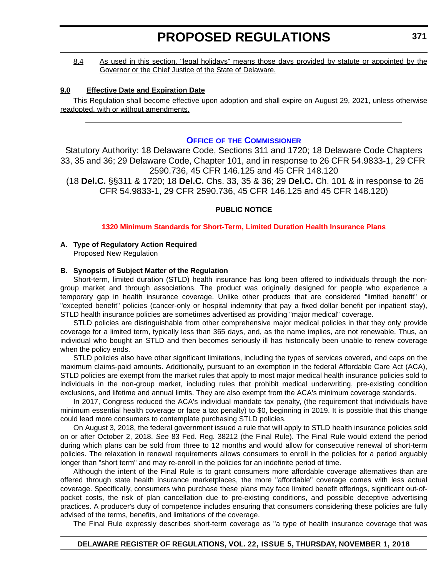8.4 As used in this section, "legal holidays" means those days provided by statute or appointed by the Governor or the Chief Justice of the State of Delaware.

#### **9.0 Effective Date and Expiration Date**

This Regulation shall become effective upon adoption and shall expire on August 29, 2021, unless otherwise readopted, with or without amendments.

#### **OFFICE OF [THE COMMISSIONER](https://insurance.delaware.gov/)**

Statutory Authority: 18 Delaware Code, Sections 311 and 1720; 18 Delaware Code Chapters 33, 35 and 36; 29 Delaware Code, Chapter 101, and in response to 26 CFR 54.9833-1, 29 CFR 2590.736, 45 CFR 146.125 and 45 CFR 148.120 (18 **Del.C.** §§311 & 1720; 18 **Del.C.** Chs. 33, 35 & 36; 29 **Del.C.** Ch. 101 & in response to 26 CFR 54.9833-1, 29 CFR 2590.736, 45 CFR 146.125 and 45 CFR 148.120)

#### **PUBLIC NOTICE**

#### **[1320 Minimum Standards for Short-Term, Limited Duration Health Insurance Plans](#page-3-0)**

## **A. Type of Regulatory Action Required**

Proposed New Regulation

#### **B. Synopsis of Subject Matter of the Regulation**

Short-term, limited duration (STLD) health insurance has long been offered to individuals through the nongroup market and through associations. The product was originally designed for people who experience a temporary gap in health insurance coverage. Unlike other products that are considered "limited benefit" or "excepted benefit" policies (cancer-only or hospital indemnity that pay a fixed dollar benefit per inpatient stay), STLD health insurance policies are sometimes advertised as providing "major medical" coverage.

STLD policies are distinguishable from other comprehensive major medical policies in that they only provide coverage for a limited term, typically less than 365 days, and, as the name implies, are not renewable. Thus, an individual who bought an STLD and then becomes seriously ill has historically been unable to renew coverage when the policy ends.

STLD policies also have other significant limitations, including the types of services covered, and caps on the maximum claims-paid amounts. Additionally, pursuant to an exemption in the federal Affordable Care Act (ACA), STLD policies are exempt from the market rules that apply to most major medical health insurance policies sold to individuals in the non-group market, including rules that prohibit medical underwriting, pre-existing condition exclusions, and lifetime and annual limits. They are also exempt from the ACA's minimum coverage standards.

In 2017, Congress reduced the ACA's individual mandate tax penalty, (the requirement that individuals have minimum essential health coverage or face a tax penalty) to \$0, beginning in 2019. It is possible that this change could lead more consumers to contemplate purchasing STLD policies.

On August 3, 2018, the federal government issued a rule that will apply to STLD health insurance policies sold on or after October 2, 2018. *See* 83 Fed. Reg. 38212 (the Final Rule). The Final Rule would extend the period during which plans can be sold from three to 12 months and would allow for consecutive renewal of short-term policies. The relaxation in renewal requirements allows consumers to enroll in the policies for a period arguably longer than "short term" and may re-enroll in the policies for an indefinite period of time.

Although the intent of the Final Rule is to grant consumers more affordable coverage alternatives than are offered through state health insurance marketplaces, the more "affordable" coverage comes with less actual coverage. Specifically, consumers who purchase these plans may face limited benefit offerings, significant out-ofpocket costs, the risk of plan cancellation due to pre-existing conditions, and possible deceptive advertising practices. A producer's duty of competence includes ensuring that consumers considering these policies are fully advised of the terms, benefits, and limitations of the coverage.

The Final Rule expressly describes short-term coverage as "a type of health insurance coverage that was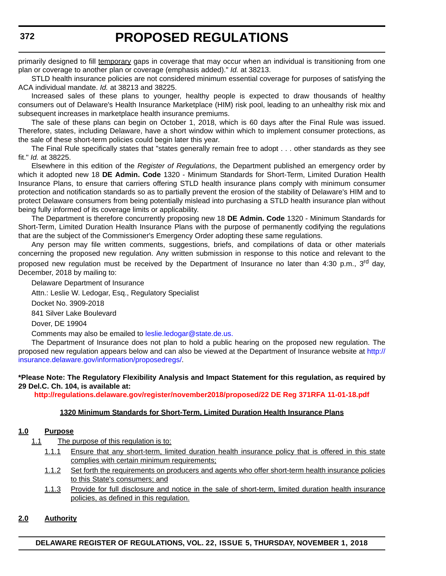primarily designed to fill temporary gaps in coverage that may occur when an individual is transitioning from one plan or coverage to another plan or coverage (emphasis added)." *Id.* at 38213.

STLD health insurance policies are not considered minimum essential coverage for purposes of satisfying the ACA individual mandate. *Id.* at 38213 and 38225.

Increased sales of these plans to younger, healthy people is expected to draw thousands of healthy consumers out of Delaware's Health Insurance Marketplace (HIM) risk pool, leading to an unhealthy risk mix and subsequent increases in marketplace health insurance premiums.

The sale of these plans can begin on October 1, 2018, which is 60 days after the Final Rule was issued. Therefore, states, including Delaware, have a short window within which to implement consumer protections, as the sale of these short-term policies could begin later this year.

The Final Rule specifically states that "states generally remain free to adopt . . . other standards as they see fit." *Id.* at 38225.

Elsewhere in this edition of the *Register of Regulations*, the Department published an emergency order by which it adopted new 18 **DE Admin. Code** 1320 - Minimum Standards for Short-Term, Limited Duration Health Insurance Plans, to ensure that carriers offering STLD health insurance plans comply with minimum consumer protection and notification standards so as to partially prevent the erosion of the stability of Delaware's HIM and to protect Delaware consumers from being potentially mislead into purchasing a STLD health insurance plan without being fully informed of its coverage limits or applicability.

The Department is therefore concurrently proposing new 18 **DE Admin. Code** 1320 - Minimum Standards for Short-Term, Limited Duration Health Insurance Plans with the purpose of permanently codifying the regulations that are the subject of the Commissioner's Emergency Order adopting these same regulations.

Any person may file written comments, suggestions, briefs, and compilations of data or other materials concerning the proposed new regulation. Any written submission in response to this notice and relevant to the proposed new regulation must be received by the Department of Insurance no later than 4:30 p.m., 3<sup>rd</sup> day. December, 2018 by mailing to:

Delaware Department of Insurance

Attn.: Leslie W. Ledogar, Esq., Regulatory Specialist

Docket No. 3909-2018

841 Silver Lake Boulevard

Dover, DE 19904

Comments may also be emailed to [leslie.ledogar@state.de.us.](mailto:leslie.ledogar@state.de.us.)

The Department of Insurance does not plan to hold a public hearing on the proposed new regulation. The proposed new regulation appears below and can also be viewed at the Department of Insurance website at [http://](http://insurance.delaware.gov/information/proposedregs/) [insurance.delaware.gov/information/proposedregs/.](http://insurance.delaware.gov/information/proposedregs/)

#### **\*Please Note: The Regulatory Flexibility Analysis and Impact Statement for this regulation, as required by 29 Del.C. Ch. 104, is available at:**

**<http://regulations.delaware.gov/register/november2018/proposed/22 DE Reg 371RFA 11-01-18.pdf>**

#### **1320 Minimum Standards for Short-Term, Limited Duration Health Insurance Plans**

#### **1.0 Purpose**

1.1 The purpose of this regulation is to:

- 1.1.1 Ensure that any short-term, limited duration health insurance policy that is offered in this state complies with certain minimum requirements;
- 1.1.2 Set forth the requirements on producers and agents who offer short-term health insurance policies to this State's consumers; and
- 1.1.3 Provide for full disclosure and notice in the sale of short-term, limited duration health insurance policies, as defined in this regulation.

#### **2.0 Authority**

**DELAWARE REGISTER OF REGULATIONS, VOL. 22, ISSUE 5, THURSDAY, NOVEMBER 1, 2018**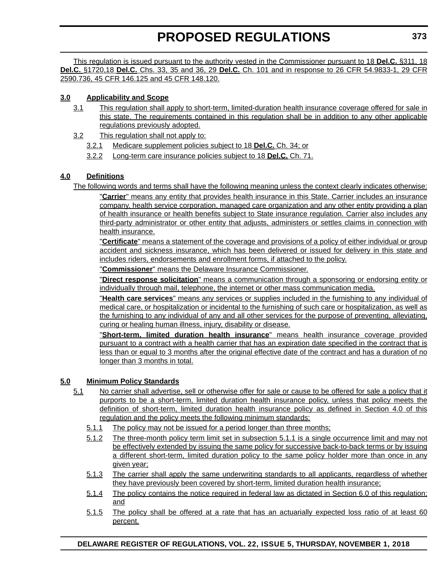This regulation is issued pursuant to the authority vested in the Commissioner pursuant to 18 **Del.C.** §311, 18 **Del.C.** §1720,18 **Del.C.** Chs. 33, 35 and 36, 29 **Del.C.** Ch. 101 and in response to 26 CFR 54.9833-1, 29 CFR 2590.736, 45 CFR 146.125 and 45 CFR 148.120.

## **3.0 Applicability and Scope**

- 3.1 This regulation shall apply to short-term, limited-duration health insurance coverage offered for sale in this state. The requirements contained in this regulation shall be in addition to any other applicable regulations previously adopted.
- 3.2 This regulation shall not apply to:
	- 3.2.1 Medicare supplement policies subject to 18 **Del.C.** Ch. 34; or
	- 3.2.2 Long-term care insurance policies subject to 18 **Del.C.** Ch. 71.

## **4.0 Definitions**

The following words and terms shall have the following meaning unless the context clearly indicates otherwise:

"**Carrier**" means any entity that provides health insurance in this State. Carrier includes an insurance company, health service corporation, managed care organization and any other entity providing a plan of health insurance or health benefits subject to State insurance regulation. Carrier also includes any third-party administrator or other entity that adjusts, administers or settles claims in connection with health insurance.

"**Certificate**" means a statement of the coverage and provisions of a policy of either individual or group accident and sickness insurance, which has been delivered or issued for delivery in this state and includes riders, endorsements and enrollment forms, if attached to the policy.

"**Commissioner**" means the Delaware Insurance Commissioner.

"**Direct response solicitation**" means a communication through a sponsoring or endorsing entity or individually through mail, telephone, the internet or other mass communication media.

"**Health care services**" means any services or supplies included in the furnishing to any individual of medical care, or hospitalization or incidental to the furnishing of such care or hospitalization, as well as the furnishing to any individual of any and all other services for the purpose of preventing, alleviating, curing or healing human illness, injury, disability or disease.

"**Short-term, limited duration health insurance**" means health insurance coverage provided pursuant to a contract with a health carrier that has an expiration date specified in the contract that is less than or equal to 3 months after the original effective date of the contract and has a duration of no longer than 3 months in total.

## **5.0 Minimum Policy Standards**

- 5.1 No carrier shall advertise, sell or otherwise offer for sale or cause to be offered for sale a policy that it purports to be a short-term, limited duration health insurance policy, unless that policy meets the definition of short-term, limited duration health insurance policy as defined in Section 4.0 of this regulation and the policy meets the following minimum standards:
	- 5.1.1 The policy may not be issued for a period longer than three months;
	- 5.1.2 The three-month policy term limit set in subsection 5.1.1 is a single occurrence limit and may not be effectively extended by issuing the same policy for successive back-to-back terms or by issuing a different short-term, limited duration policy to the same policy holder more than once in any given year;
	- 5.1.3 The carrier shall apply the same underwriting standards to all applicants, regardless of whether they have previously been covered by short-term, limited duration health insurance;
	- 5.1.4 The policy contains the notice required in federal law as dictated in Section 6.0 of this regulation; and
	- 5.1.5 The policy shall be offered at a rate that has an actuarially expected loss ratio of at least 60 percent.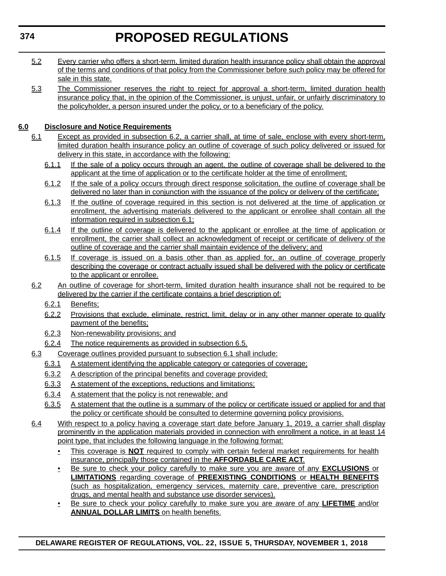- 5.2 Every carrier who offers a short-term, limited duration health insurance policy shall obtain the approval of the terms and conditions of that policy from the Commissioner before such policy may be offered for sale in this state.
- 5.3 The Commissioner reserves the right to reject for approval a short-term, limited duration health insurance policy that, in the opinion of the Commissioner, is unjust, unfair, or unfairly discriminatory to the policyholder, a person insured under the policy, or to a beneficiary of the policy.

## **6.0 Disclosure and Notice Requirements**

- 6.1 Except as provided in subsection 6.2, a carrier shall, at time of sale, enclose with every short-term, limited duration health insurance policy an outline of coverage of such policy delivered or issued for delivery in this state, in accordance with the following:
	- 6.1.1 If the sale of a policy occurs through an agent, the outline of coverage shall be delivered to the applicant at the time of application or to the certificate holder at the time of enrollment;
	- 6.1.2 If the sale of a policy occurs through direct response solicitation, the outline of coverage shall be delivered no later than in conjunction with the issuance of the policy or delivery of the certificate;
	- 6.1.3 If the outline of coverage required in this section is not delivered at the time of application or enrollment, the advertising materials delivered to the applicant or enrollee shall contain all the information required in subsection 6.1;
	- 6.1.4 If the outline of coverage is delivered to the applicant or enrollee at the time of application or enrollment, the carrier shall collect an acknowledgment of receipt or certificate of delivery of the outline of coverage and the carrier shall maintain evidence of the delivery; and
	- 6.1.5 If coverage is issued on a basis other than as applied for, an outline of coverage properly describing the coverage or contract actually issued shall be delivered with the policy or certificate to the applicant or enrollee.
- 6.2 An outline of coverage for short-term, limited duration health insurance shall not be required to be delivered by the carrier if the certificate contains a brief description of:
	- 6.2.1 Benefits;
	- 6.2.2 Provisions that exclude, eliminate, restrict, limit, delay or in any other manner operate to qualify payment of the benefits;
	- 6.2.3 Non-renewability provisions; and
	- 6.2.4 The notice requirements as provided in subsection 6.5.
- 6.3 Coverage outlines provided pursuant to subsection 6.1 shall include:
	- 6.3.1 A statement identifying the applicable category or categories of coverage;
	- 6.3.2 A description of the principal benefits and coverage provided;
	- 6.3.3 A statement of the exceptions, reductions and limitations;
	- 6.3.4 A statement that the policy is not renewable; and
	- 6.3.5 A statement that the outline is a summary of the policy or certificate issued or applied for and that the policy or certificate should be consulted to determine governing policy provisions.
- 6.4 With respect to a policy having a coverage start date before January 1, 2019, a carrier shall display prominently in the application materials provided in connection with enrollment a notice, in at least 14 point type, that includes the following language in the following format:
	- This coverage is **NOT** required to comply with certain federal market requirements for health insurance, principally those contained in the **AFFORDABLE CARE ACT**.
	- Be sure to check your policy carefully to make sure you are aware of any **EXCLUSIONS** or **LIMITATIONS** regarding coverage of **PREEXISTING CONDITIONS** or **HEALTH BENEFITS** (such as hospitalization, emergency services, maternity care, preventive care, prescription drugs, and mental health and substance use disorder services).
	- Be sure to check your policy carefully to make sure you are aware of any **LIFETIME** and/or **ANNUAL DOLLAR LIMITS** on health benefits.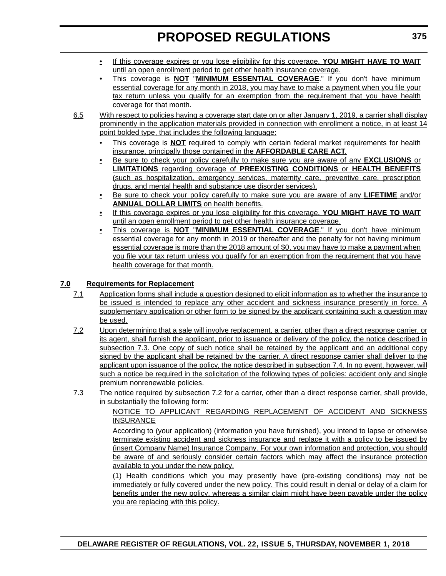- If this coverage expires or you lose eligibility for this coverage, **YOU MIGHT HAVE TO WAIT** until an open enrollment period to get other health insurance coverage.
- This coverage is **NOT** "**MINIMUM ESSENTIAL COVERAGE**." If you don't have minimum essential coverage for any month in 2018, you may have to make a payment when you file your tax return unless you qualify for an exemption from the requirement that you have health coverage for that month.
- 6.5 With respect to policies having a coverage start date on or after January 1, 2019, a carrier shall display prominently in the application materials provided in connection with enrollment a notice, in at least 14 point bolded type, that includes the following language:
	- This coverage is **NOT** required to comply with certain federal market requirements for health insurance, principally those contained in the **AFFORDABLE CARE ACT**.
	- Be sure to check your policy carefully to make sure you are aware of any **EXCLUSIONS** or **LIMITATIONS** regarding coverage of **PREEXISTING CONDITIONS** or **HEALTH BENEFITS** (such as hospitalization, emergency services, maternity care, preventive care, prescription drugs, and mental health and substance use disorder services).
	- Be sure to check your policy carefully to make sure you are aware of any **LIFETIME** and/or **ANNUAL DOLLAR LIMITS** on health benefits.
	- If this coverage expires or you lose eligibility for this coverage, **YOU MIGHT HAVE TO WAIT** until an open enrollment period to get other health insurance coverage.
	- This coverage is **NOT** "**MINIMUM ESSENTIAL COVERAGE**." If you don't have minimum essential coverage for any month in 2019 or thereafter and the penalty for not having minimum essential coverage is more than the 2018 amount of \$0, you may have to make a payment when you file your tax return unless you qualify for an exemption from the requirement that you have health coverage for that month.

## **7.0 Requirements for Replacement**

- 7.1 Application forms shall include a question designed to elicit information as to whether the insurance to be issued is intended to replace any other accident and sickness insurance presently in force. A supplementary application or other form to be signed by the applicant containing such a question may be used.
- 7.2 Upon determining that a sale will involve replacement, a carrier, other than a direct response carrier, or its agent, shall furnish the applicant, prior to issuance or delivery of the policy, the notice described in subsection 7.3. One copy of such notice shall be retained by the applicant and an additional copy signed by the applicant shall be retained by the carrier. A direct response carrier shall deliver to the applicant upon issuance of the policy, the notice described in subsection 7.4. In no event, however, will such a notice be required in the solicitation of the following types of policies: accident only and single premium nonrenewable policies.
- 7.3 The notice required by subsection 7.2 for a carrier, other than a direct response carrier, shall provide, in substantially the following form:

NOTICE TO APPLICANT REGARDING REPLACEMENT OF ACCIDENT AND SICKNESS **INSURANCE** 

According to (your application) (information you have furnished), you intend to lapse or otherwise terminate existing accident and sickness insurance and replace it with a policy to be issued by (insert Company Name) Insurance Company. For your own information and protection, you should be aware of and seriously consider certain factors which may affect the insurance protection available to you under the new policy.

(1) Health conditions which you may presently have (pre-existing conditions) may not be immediately or fully covered under the new policy. This could result in denial or delay of a claim for benefits under the new policy, whereas a similar claim might have been payable under the policy you are replacing with this policy.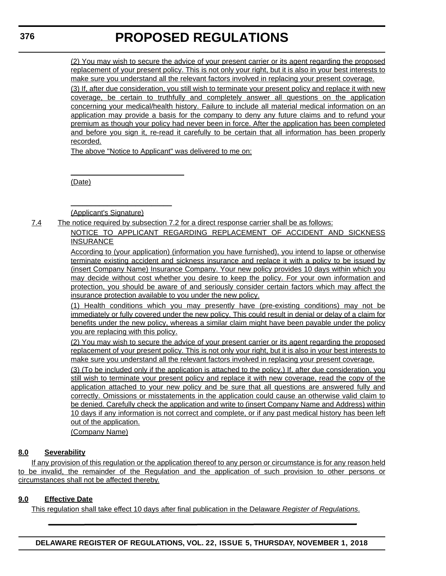(2) You may wish to secure the advice of your present carrier or its agent regarding the proposed replacement of your present policy. This is not only your right, but it is also in your best interests to make sure you understand all the relevant factors involved in replacing your present coverage.

(3) If, after due consideration, you still wish to terminate your present policy and replace it with new coverage, be certain to truthfully and completely answer all questions on the application concerning your medical/health history. Failure to include all material medical information on an application may provide a basis for the company to deny any future claims and to refund your premium as though your policy had never been in force. After the application has been completed and before you sign it, re-read it carefully to be certain that all information has been properly recorded.

The above "Notice to Applicant" was delivered to me on:

(Date)

(Applicant's Signature)

 $\overline{\phantom{a}}$  , where  $\overline{\phantom{a}}$  , where  $\overline{\phantom{a}}$  , where  $\overline{\phantom{a}}$ 

 $\overline{\phantom{a}}$  , where  $\overline{\phantom{a}}$  , where  $\overline{\phantom{a}}$  , where  $\overline{\phantom{a}}$ 

7.4 The notice required by subsection 7.2 for a direct response carrier shall be as follows:

NOTICE TO APPLICANT REGARDING REPLACEMENT OF ACCIDENT AND SICKNESS INSURANCE

According to (your application) (information you have furnished), you intend to lapse or otherwise terminate existing accident and sickness insurance and replace it with a policy to be issued by (insert Company Name) Insurance Company. Your new policy provides 10 days within which you may decide without cost whether you desire to keep the policy. For your own information and protection, you should be aware of and seriously consider certain factors which may affect the insurance protection available to you under the new policy.

(1) Health conditions which you may presently have (pre-existing conditions) may not be immediately or fully covered under the new policy. This could result in denial or delay of a claim for benefits under the new policy, whereas a similar claim might have been payable under the policy you are replacing with this policy.

(2) You may wish to secure the advice of your present carrier or its agent regarding the proposed replacement of your present policy. This is not only your right, but it is also in your best interests to make sure you understand all the relevant factors involved in replacing your present coverage.

(3) (To be included only if the application is attached to the policy.) If, after due consideration, you still wish to terminate your present policy and replace it with new coverage, read the copy of the application attached to your new policy and be sure that all questions are answered fully and correctly. Omissions or misstatements in the application could cause an otherwise valid claim to be denied. Carefully check the application and write to (insert Company Name and Address) within 10 days if any information is not correct and complete, or if any past medical history has been left out of the application.

(Company Name)

## **8.0 Severability**

If any provision of this regulation or the application thereof to any person or circumstance is for any reason held to be invalid, the remainder of the Regulation and the application of such provision to other persons or circumstances shall not be affected thereby.

## **9.0 Effective Date**

This regulation shall take effect 10 days after final publication in the Delaware *Register of Regulations*.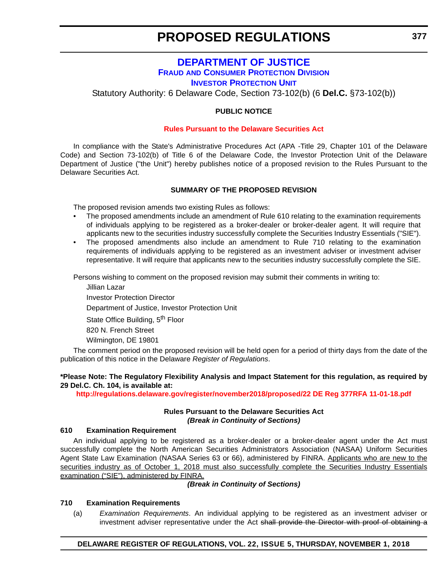## **[DEPARTMENT OF JUSTICE](https://attorneygeneral.delaware.gov/fraud/) FRAUD [AND CONSUMER PROTECTION DIVISION](https://attorneygeneral.delaware.gov/fraud/) [INVESTOR PROTECTION UNIT](https://attorneygeneral.delaware.gov/fraud/)**

Statutory Authority: 6 Delaware Code, Section 73-102(b) (6 **Del.C.** §73-102(b))

### **PUBLIC NOTICE**

#### **[Rules Pursuant to the Delaware Securities Act](#page-3-0)**

In compliance with the State's Administrative Procedures Act (APA -Title 29, Chapter 101 of the Delaware Code) and Section 73-102(b) of Title 6 of the Delaware Code, the Investor Protection Unit of the Delaware Department of Justice ("the Unit") hereby publishes notice of a proposed revision to the Rules Pursuant to the Delaware Securities Act.

#### **SUMMARY OF THE PROPOSED REVISION**

The proposed revision amends two existing Rules as follows:

- The proposed amendments include an amendment of Rule 610 relating to the examination requirements of individuals applying to be registered as a broker-dealer or broker-dealer agent. It will require that applicants new to the securities industry successfully complete the Securities Industry Essentials ("SIE").
- The proposed amendments also include an amendment to Rule 710 relating to the examination requirements of individuals applying to be registered as an investment adviser or investment adviser representative. It will require that applicants new to the securities industry successfully complete the SIE.

Persons wishing to comment on the proposed revision may submit their comments in writing to:

Jillian Lazar Investor Protection Director Department of Justice, Investor Protection Unit State Office Building, 5<sup>th</sup> Floor 820 N. French Street Wilmington, DE 19801

The comment period on the proposed revision will be held open for a period of thirty days from the date of the publication of this notice in the Delaware *Register of Regulations*.

#### **\*Please Note: The Regulatory Flexibility Analysis and Impact Statement for this regulation, as required by 29 Del.C. Ch. 104, is available at:**

**<http://regulations.delaware.gov/register/november2018/proposed/22 DE Reg 377RFA 11-01-18.pdf>**

#### **Rules Pursuant to the Delaware Securities Act** *(Break in Continuity of Sections)*

#### **610 Examination Requirement**

An individual applying to be registered as a broker-dealer or a broker-dealer agent under the Act must successfully complete the North American Securities Administrators Association (NASAA) Uniform Securities Agent State Law Examination (NASAA Series 63 or 66), administered by FINRA. Applicants who are new to the securities industry as of October 1, 2018 must also successfully complete the Securities Industry Essentials examination ("SIE"), administered by FINRA.

#### *(Break in Continuity of Sections)*

#### **710 Examination Requirements**

(a) *Examination Requirements*. An individual applying to be registered as an investment adviser or investment adviser representative under the Act shall provide the Director with proof of obtaining a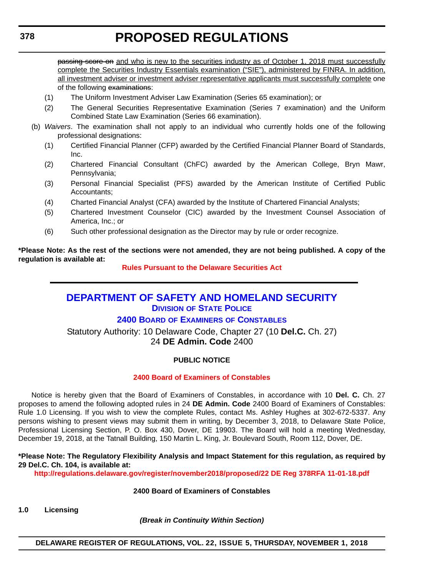passing score on and who is new to the securities industry as of October 1, 2018 must successfully complete the Securities Industry Essentials examination ("SIE"), administered by FINRA. In addition, all investment adviser or investment adviser representative applicants must successfully complete one of the following examinations:

- (1) The Uniform Investment Adviser Law Examination (Series 65 examination); or
- (2) The General Securities Representative Examination (Series 7 examination) and the Uniform Combined State Law Examination (Series 66 examination).
- (b) *Waivers*. The examination shall not apply to an individual who currently holds one of the following professional designations:
	- (1) Certified Financial Planner (CFP) awarded by the Certified Financial Planner Board of Standards, Inc.
	- (2) Chartered Financial Consultant (ChFC) awarded by the American College, Bryn Mawr, Pennsylvania;
	- (3) Personal Financial Specialist (PFS) awarded by the American Institute of Certified Public Accountants;
	- (4) Charted Financial Analyst (CFA) awarded by the Institute of Chartered Financial Analysts;
	- (5) Chartered Investment Counselor (CIC) awarded by the Investment Counsel Association of America, Inc.; or
	- (6) Such other professional designation as the Director may by rule or order recognize.

**\*Please Note: As the rest of the sections were not amended, they are not being published. A copy of the regulation is available at:**

**[Rules Pursuant to the Delaware Securities Act](http://regulations.delaware.gov/register/november2018/proposed/22 DE Reg 377 11-01-18.htm)** 

## **[DEPARTMENT OF SAFETY AND HOMELAND SECURITY](https://dsp.delaware.gov/)**

**DIVISION [OF STATE POLICE](https://dsp.delaware.gov/)**

## **2400 BOARD OF EXAMINERS [OF CONSTABLES](https://dsp.delaware.gov/)**

Statutory Authority: 10 Delaware Code, Chapter 27 (10 **Del.C.** Ch. 27) 24 **DE Admin. Code** 2400

#### **PUBLIC NOTICE**

#### **[2400 Board of Examiners of Constables](#page-3-0)**

Notice is hereby given that the Board of Examiners of Constables, in accordance with 10 **Del. C.** Ch. 27 proposes to amend the following adopted rules in 24 **DE Admin. Code** 2400 Board of Examiners of Constables: Rule 1.0 Licensing. If you wish to view the complete Rules, contact Ms. Ashley Hughes at 302-672-5337. Any persons wishing to present views may submit them in writing, by December 3, 2018, to Delaware State Police, Professional Licensing Section, P. O. Box 430, Dover, DE 19903. The Board will hold a meeting Wednesday, December 19, 2018, at the Tatnall Building, 150 Martin L. King, Jr. Boulevard South, Room 112, Dover, DE.

**\*Please Note: The Regulatory Flexibility Analysis and Impact Statement for this regulation, as required by 29 Del.C. Ch. 104, is available at:**

**<http://regulations.delaware.gov/register/november2018/proposed/22 DE Reg 378RFA 11-01-18.pdf>**

#### **2400 Board of Examiners of Constables**

**1.0 Licensing**

*(Break in Continuity Within Section)*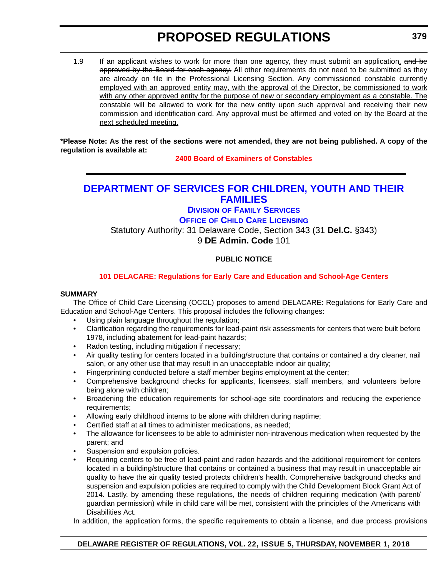1.9 If an applicant wishes to work for more than one agency, they must submit an application, and be approved by the Board for each agency. All other requirements do not need to be submitted as they are already on file in the Professional Licensing Section. Any commissioned constable currently employed with an approved entity may, with the approval of the Director, be commissioned to work with any other approved entity for the purpose of new or secondary employment as a constable. The constable will be allowed to work for the new entity upon such approval and receiving their new commission and identification card. Any approval must be affirmed and voted on by the Board at the next scheduled meeting.

**\*Please Note: As the rest of the sections were not amended, they are not being published. A copy of the regulation is available at:**

**[2400 Board of Examiners of Constables](http://regulations.delaware.gov/register/november2018/proposed/22 DE Reg 378 11-01-18.htm)** 

## **[DEPARTMENT OF SERVICES FOR CHILDREN, YOUTH AND THEIR](https://kids.delaware.gov/fs/fs.shtml)  FAMILIES**

**DIVISION [OF FAMILY SERVICES](https://kids.delaware.gov/fs/fs.shtml) OFFICE [OF CHILD CARE LICENSING](https://kids.delaware.gov/fs/fs.shtml)** Statutory Authority: 31 Delaware Code, Section 343 (31 **Del.C.** §343) 9 **DE Admin. Code** 101

## **PUBLIC NOTICE**

### **[101 DELACARE: Regulations for Early Care and Education and School-Age Centers](#page-3-0)**

#### **SUMMARY**

The Office of Child Care Licensing (OCCL) proposes to amend DELACARE: Regulations for Early Care and Education and School-Age Centers. This proposal includes the following changes:

- Using plain language throughout the regulation;
- Clarification regarding the requirements for lead-paint risk assessments for centers that were built before 1978, including abatement for lead-paint hazards;
- Radon testing, including mitigation if necessary;
- Air quality testing for centers located in a building/structure that contains or contained a dry cleaner, nail salon, or any other use that may result in an unacceptable indoor air quality;
- Fingerprinting conducted before a staff member begins employment at the center;
- Comprehensive background checks for applicants, licensees, staff members, and volunteers before being alone with children;
- Broadening the education requirements for school-age site coordinators and reducing the experience requirements;
- Allowing early childhood interns to be alone with children during naptime;
- Certified staff at all times to administer medications, as needed;
- The allowance for licensees to be able to administer non-intravenous medication when requested by the parent; and
- Suspension and expulsion policies.
- Requiring centers to be free of lead-paint and radon hazards and the additional requirement for centers located in a building/structure that contains or contained a business that may result in unacceptable air quality to have the air quality tested protects children's health. Comprehensive background checks and suspension and expulsion policies are required to comply with the Child Development Block Grant Act of 2014. Lastly, by amending these regulations, the needs of children requiring medication (with parent/ guardian permission) while in child care will be met, consistent with the principles of the Americans with Disabilities Act.

In addition, the application forms, the specific requirements to obtain a license, and due process provisions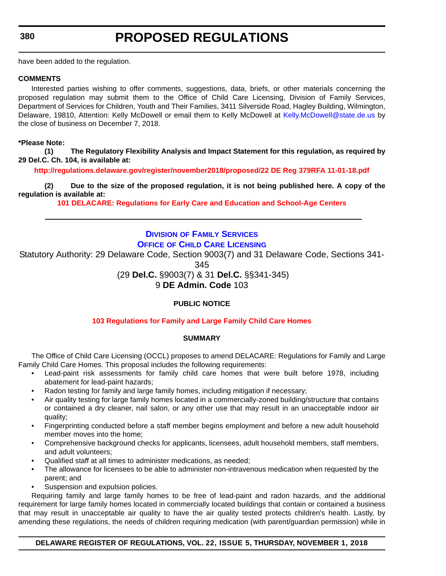have been added to the regulation.

#### **COMMENTS**

Interested parties wishing to offer comments, suggestions, data, briefs, or other materials concerning the proposed regulation may submit them to the Office of Child Care Licensing, Division of Family Services, Department of Services for Children, Youth and Their Families, 3411 Silverside Road, Hagley Building, Wilmington, Delaware, 19810, Attention: Kelly McDowell or email them to Kelly McDowell at [Kelly.McDowell@state.de.us](mailto:Kelly.McDowell@state.de.us) by the close of business on December 7, 2018.

#### **\*Please Note:**

**(1) The Regulatory Flexibility Analysis and Impact Statement for this regulation, as required by 29 Del.C. Ch. 104, is available at:**

**<http://regulations.delaware.gov/register/november2018/proposed/22 DE Reg 379RFA 11-01-18.pdf>**

**(2) Due to the size of the proposed regulation, it is not being published here. A copy of the regulation is available at:**

**[101 DELACARE: Regulations for Early Care and Education and School-Age Centers](http://regulations.delaware.gov/register/november2018/proposed/22 DE Reg 379 11-01-18.htm)** 

## **DIVISION [OF FAMILY SERVICES](https://kids.delaware.gov/fs/fs.shtml) OFFICE [OF CHILD CARE LICENSING](https://kids.delaware.gov/fs/fs.shtml)**

Statutory Authority: 29 Delaware Code, Section 9003(7) and 31 Delaware Code, Sections 341-

345

(29 **Del.C.** §9003(7) & 31 **Del.C.** §§341-345)

9 **DE Admin. Code** 103

## **PUBLIC NOTICE**

## **[103 Regulations for Family and Large Family Child Care Homes](#page-3-0)**

#### **SUMMARY**

The Office of Child Care Licensing (OCCL) proposes to amend DELACARE: Regulations for Family and Large Family Child Care Homes. This proposal includes the following requirements:

- Lead-paint risk assessments for family child care homes that were built before 1978, including abatement for lead-paint hazards;
- Radon testing for family and large family homes, including mitigation if necessary;
- Air quality testing for large family homes located in a commercially-zoned building/structure that contains or contained a dry cleaner, nail salon, or any other use that may result in an unacceptable indoor air quality;
- Fingerprinting conducted before a staff member begins employment and before a new adult household member moves into the home;
- Comprehensive background checks for applicants, licensees, adult household members, staff members, and adult volunteers;
- Qualified staff at all times to administer medications, as needed;
- The allowance for licensees to be able to administer non-intravenous medication when requested by the parent; and
- Suspension and expulsion policies.

Requiring family and large family homes to be free of lead-paint and radon hazards, and the additional requirement for large family homes located in commercially located buildings that contain or contained a business that may result in unacceptable air quality to have the air quality tested protects children's health. Lastly, by amending these regulations, the needs of children requiring medication (with parent/guardian permission) while in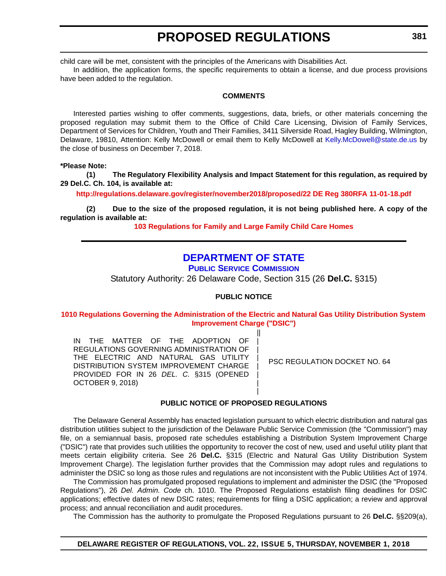child care will be met, consistent with the principles of the Americans with Disabilities Act.

In addition, the application forms, the specific requirements to obtain a license, and due process provisions have been added to the regulation.

#### **COMMENTS**

Interested parties wishing to offer comments, suggestions, data, briefs, or other materials concerning the proposed regulation may submit them to the Office of Child Care Licensing, Division of Family Services, Department of Services for Children, Youth and Their Families, 3411 Silverside Road, Hagley Building, Wilmington, Delaware, 19810, Attention: Kelly McDowell or email them to Kelly McDowell at [Kelly.McDowell@state.de.us](mailto:Kelly.McDowell@state.de.us) by the close of business on December 7, 2018.

**\*Please Note:** 

**(1) The Regulatory Flexibility Analysis and Impact Statement for this regulation, as required by 29 Del.C. Ch. 104, is available at:**

**<http://regulations.delaware.gov/register/november2018/proposed/22 DE Reg 380RFA 11-01-18.pdf>**

**(2) Due to the size of the proposed regulation, it is not being published here. A copy of the regulation is available at:**

**[103 Regulations for Family and Large Family Child Care Homes](http://regulations.delaware.gov/register/november2018/proposed/22 DE Reg 380 11-01-18.htm)** 

## **[DEPARTMENT OF STATE](https://depsc.delaware.gov/)**

**[PUBLIC SERVICE COMMISSION](https://depsc.delaware.gov/)**

Statutory Authority: 26 Delaware Code, Section 315 (26 **Del.C.** §315)

#### **PUBLIC NOTICE**

**[1010 Regulations Governing the Administration of the Electric and Natural Gas Utility Distribution System](#page-3-0)  Improvement Charge ("DSIC")**

> || | | | | | | |

IN THE MATTER OF THE ADOPTION OF REGULATIONS GOVERNING ADMINISTRATION OF THE ELECTRIC AND NATURAL GAS UTILITY DISTRIBUTION SYSTEM IMPROVEMENT CHARGE PROVIDED FOR IN 26 *DEL. C.* §315 (OPENED OCTOBER 9, 2018)

PSC REGULATION DOCKET NO. 64

#### **PUBLIC NOTICE OF PROPOSED REGULATIONS**

The Delaware General Assembly has enacted legislation pursuant to which electric distribution and natural gas distribution utilities subject to the jurisdiction of the Delaware Public Service Commission (the "Commission") may file, on a semiannual basis, proposed rate schedules establishing a Distribution System Improvement Charge ("DSIC") rate that provides such utilities the opportunity to recover the cost of new, used and useful utility plant that meets certain eligibility criteria. See 26 **Del.C.** §315 (Electric and Natural Gas Utility Distribution System Improvement Charge). The legislation further provides that the Commission may adopt rules and regulations to administer the DSIC so long as those rules and regulations are not inconsistent with the Public Utilities Act of 1974.

The Commission has promulgated proposed regulations to implement and administer the DSIC (the "Proposed Regulations"), 26 *Del. Admin. Code* ch. 1010. The Proposed Regulations establish filing deadlines for DSIC applications; effective dates of new DSIC rates; requirements for filing a DSIC application; a review and approval process; and annual reconciliation and audit procedures.

The Commission has the authority to promulgate the Proposed Regulations pursuant to 26 **Del.C.** §§209(a),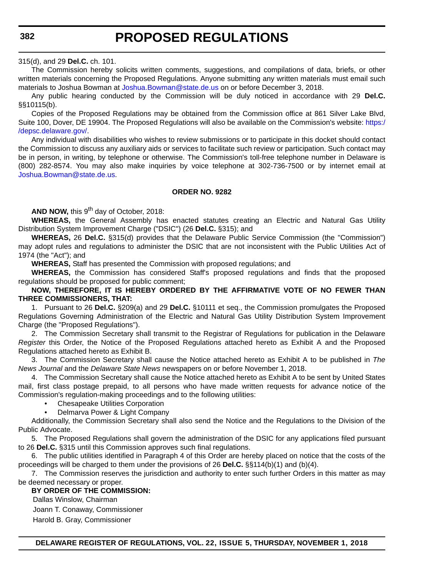315(d), and 29 **Del.C.** ch. 101.

The Commission hereby solicits written comments, suggestions, and compilations of data, briefs, or other written materials concerning the Proposed Regulations. Anyone submitting any written materials must email such materials to Joshua Bowman at [Joshua.Bowman@state.de.us](mailto:Joshua.Bowman@state.de.us) on or before December 3, 2018.

Any public hearing conducted by the Commission will be duly noticed in accordance with 29 **Del.C.** §§10115(b).

Copies of the Proposed Regulations may be obtained from the Commission office at 861 Silver Lake Blvd, Suite 100, Dover, DE 19904. The Proposed Regulations will also be available on the Commission's website: [https:/](https://depsc.delaware.gov/) [/depsc.delaware.gov/.](https://depsc.delaware.gov/)

Any individual with disabilities who wishes to review submissions or to participate in this docket should contact the Commission to discuss any auxiliary aids or services to facilitate such review or participation. Such contact may be in person, in writing, by telephone or otherwise. The Commission's toll-free telephone number in Delaware is (800) 282-8574. You may also make inquiries by voice telephone at 302-736-7500 or by internet email at [Joshua.Bowman@state.de.us.](mailto:Joshua.Bowman@state.de.us)

#### **ORDER NO. 9282**

AND NOW, this 9<sup>th</sup> day of October, 2018:

**WHEREAS,** the General Assembly has enacted statutes creating an Electric and Natural Gas Utility Distribution System Improvement Charge ("DSIC") (26 **Del.C.** §315); and

**WHEREAS,** 26 **Del.C.** §315(d) provides that the Delaware Public Service Commission (the "Commission") may adopt rules and regulations to administer the DSIC that are not inconsistent with the Public Utilities Act of 1974 (the "Act"); and

**WHEREAS,** Staff has presented the Commission with proposed regulations; and

**WHEREAS,** the Commission has considered Staff's proposed regulations and finds that the proposed regulations should be proposed for public comment;

**NOW, THEREFORE, IT IS HEREBY ORDERED BY THE AFFIRMATIVE VOTE OF NO FEWER THAN THREE COMMISSIONERS, THAT:**

1. Pursuant to 26 **Del.C.** §209(a) and 29 **Del.C.** §10111 et seq., the Commission promulgates the Proposed Regulations Governing Administration of the Electric and Natural Gas Utility Distribution System Improvement Charge (the "Proposed Regulations").

2. The Commission Secretary shall transmit to the Registrar of Regulations for publication in the Delaware *Register* this Order, the Notice of the Proposed Regulations attached hereto as Exhibit A and the Proposed Regulations attached hereto as Exhibit B.

3. The Commission Secretary shall cause the Notice attached hereto as Exhibit A to be published in *The News Journal* and the *Delaware State News* newspapers on or before November 1, 2018.

4. The Commission Secretary shall cause the Notice attached hereto as Exhibit A to be sent by United States mail, first class postage prepaid, to all persons who have made written requests for advance notice of the Commission's regulation-making proceedings and to the following utilities:

• Chesapeake Utilities Corporation

• Delmarva Power & Light Company

Additionally, the Commission Secretary shall also send the Notice and the Regulations to the Division of the Public Advocate.

5. The Proposed Regulations shall govern the administration of the DSIC for any applications filed pursuant to 26 **Del.C.** §315 until this Commission approves such final regulations.

6. The public utilities identified in Paragraph 4 of this Order are hereby placed on notice that the costs of the proceedings will be charged to them under the provisions of 26 **Del.C.** §§114(b)(1) and (b)(4).

7. The Commission reserves the jurisdiction and authority to enter such further Orders in this matter as may be deemed necessary or proper.

#### **BY ORDER OF THE COMMISSION:**

Dallas Winslow, Chairman

Joann T. Conaway, Commissioner

Harold B. Gray, Commissioner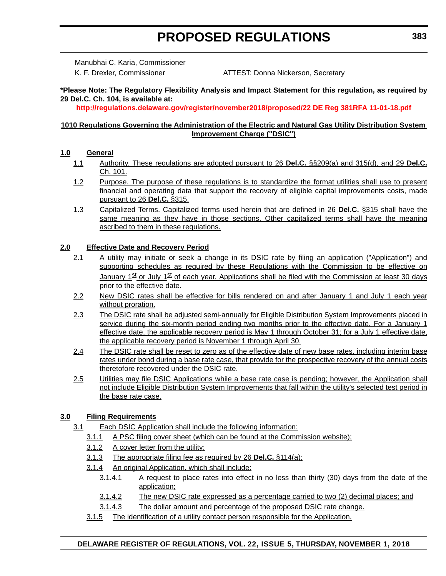Manubhai C. Karia, Commissioner

K. F. Drexler, Commissioner **ATTEST: Donna Nickerson, Secretary** 

#### **\*Please Note: The Regulatory Flexibility Analysis and Impact Statement for this regulation, as required by 29 Del.C. Ch. 104, is available at:**

**<http://regulations.delaware.gov/register/november2018/proposed/22 DE Reg 381RFA 11-01-18.pdf>**

#### **1010 Regulations Governing the Administration of the Electric and Natural Gas Utility Distribution System Improvement Charge ("DSIC")**

### **1.0 General**

- 1.1 Authority. These regulations are adopted pursuant to 26 **Del.C.** §§209(a) and 315(d), and 29 **Del.C.** Ch. 101.
- 1.2 Purpose. The purpose of these regulations is to standardize the format utilities shall use to present financial and operating data that support the recovery of eligible capital improvements costs, made pursuant to 26 **Del.C.** §315.
- 1.3 Capitalized Terms. Capitalized terms used herein that are defined in 26 **Del.C.** §315 shall have the same meaning as they have in those sections. Other capitalized terms shall have the meaning ascribed to them in these regulations.

### **2.0 Effective Date and Recovery Period**

- 2.1 A utility may initiate or seek a change in its DSIC rate by filing an application ("Application") and supporting schedules as required by these Regulations with the Commission to be effective on January 1<sup>st</sup> or July 1<sup>st</sup> of each year. Applications shall be filed with the Commission at least 30 days prior to the effective date.
- 2.2 New DSIC rates shall be effective for bills rendered on and after January 1 and July 1 each year without proration.
- 2.3 The DSIC rate shall be adjusted semi-annually for Eligible Distribution System Improvements placed in service during the six-month period ending two months prior to the effective date. For a January 1 effective date, the applicable recovery period is May 1 through October 31; for a July 1 effective date, the applicable recovery period is November 1 through April 30.
- 2.4 The DSIC rate shall be reset to zero as of the effective date of new base rates, including interim base rates under bond during a base rate case, that provide for the prospective recovery of the annual costs theretofore recovered under the DSIC rate.
- 2.5 Utilities may file DSIC Applications while a base rate case is pending; however, the Application shall not include Eligible Distribution System Improvements that fall within the utility's selected test period in the base rate case.

## **3.0 Filing Requirements**

- 3.1 Each DSIC Application shall include the following information:
	- 3.1.1 A PSC filing cover sheet (which can be found at the Commission website);
	- 3.1.2 A cover letter from the utility;
	- 3.1.3 The appropriate filing fee as required by 26 **Del.C.** §114(a);
	- 3.1.4 An original Application, which shall include:
		- 3.1.4.1 A request to place rates into effect in no less than thirty (30) days from the date of the application;
		- 3.1.4.2 The new DSIC rate expressed as a percentage carried to two (2) decimal places; and
		- 3.1.4.3 The dollar amount and percentage of the proposed DSIC rate change.
	- 3.1.5 The identification of a utility contact person responsible for the Application.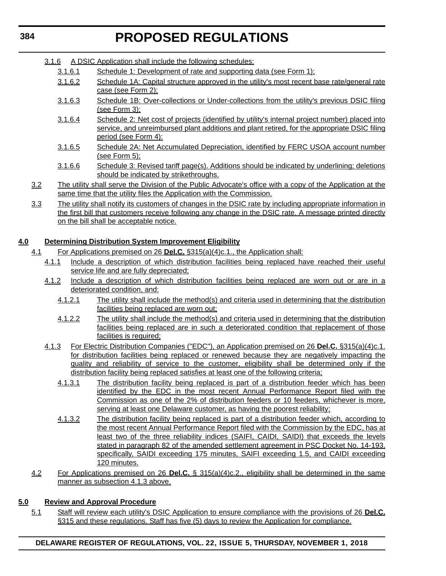| 3.1.6 |  |  |  | A DSIC Application shall include the following schedules: |
|-------|--|--|--|-----------------------------------------------------------|
|       |  |  |  |                                                           |

- 3.1.6.1 Schedule 1: Development of rate and supporting data (see Form 1):
- 3.1.6.2 Schedule 1A: Capital structure approved in the utility's most recent base rate/general rate case (see Form 2);
- 3.1.6.3 Schedule 1B: Over-collections or Under-collections from the utility's previous DSIC filing (see Form 3);
- 3.1.6.4 Schedule 2: Net cost of projects (identified by utility's internal project number) placed into service, and unreimbursed plant additions and plant retired, for the appropriate DSIC filing period (see Form 4):
- 3.1.6.5 Schedule 2A: Net Accumulated Depreciation, identified by FERC USOA account number (see Form 5);
- 3.1.6.6 Schedule 3: Revised tariff page(s). Additions should be indicated by underlining; deletions should be indicated by strikethroughs.
- 3.2 The utility shall serve the Division of the Public Advocate's office with a copy of the Application at the same time that the utility files the Application with the Commission.
- 3.3 The utility shall notify its customers of changes in the DSIC rate by including appropriate information in the first bill that customers receive following any change in the DSIC rate. A message printed directly on the bill shall be acceptable notice.

## **4.0 Determining Distribution System Improvement Eligibility**

- 4.1 For Applications premised on 26 **Del.C.** §315(a)(4)c.1., the Application shall:
	- 4.1.1 Include a description of which distribution facilities being replaced have reached their useful service life and are fully depreciated;
	- 4.1.2 Include a description of which distribution facilities being replaced are worn out or are in a deteriorated condition, and:
		- 4.1.2.1 The utility shall include the method(s) and criteria used in determining that the distribution facilities being replaced are worn out;
		- 4.1.2.2 The utility shall include the method(s) and criteria used in determining that the distribution facilities being replaced are in such a deteriorated condition that replacement of those facilities is required:
	- 4.1.3 For Electric Distribution Companies ("EDC"), an Application premised on 26 **Del.C.** §315(a)(4)c.1. for distribution facilities being replaced or renewed because they are negatively impacting the quality and reliability of service to the customer, eligibility shall be determined only if the distribution facility being replaced satisfies at least one of the following criteria;
		- 4.1.3.1 The distribution facility being replaced is part of a distribution feeder which has been identified by the EDC in the most recent Annual Performance Report filed with the Commission as one of the 2% of distribution feeders or 10 feeders, whichever is more, serving at least one Delaware customer, as having the poorest reliability;
		- 4.1.3.2 The distribution facility being replaced is part of a distribution feeder which, according to the most recent Annual Performance Report filed with the Commission by the EDC, has at least two of the three reliability indices (SAIFI, CAIDI, SAIDI) that exceeds the levels stated in paragraph 82 of the amended settlement agreement in PSC Docket No. 14-193, specifically, SAIDI exceeding 175 minutes, SAIFI exceeding 1.5, and CAIDI exceeding 120 minutes.
- 4.2 For Applications premised on 26 **Del.C.** § 315(a)(4)c.2., eligibility shall be determined in the same manner as subsection 4.1.3 above.

## **5.0 Review and Approval Procedure**

5.1 Staff will review each utility's DSIC Application to ensure compliance with the provisions of 26 **Del.C.** §315 and these regulations. Staff has five (5) days to review the Application for compliance.

## **DELAWARE REGISTER OF REGULATIONS, VOL. 22, ISSUE 5, THURSDAY, NOVEMBER 1, 2018**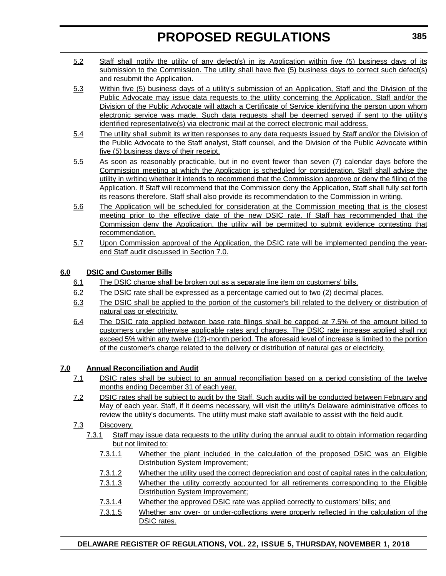- 5.2 Staff shall notify the utility of any defect(s) in its Application within five (5) business days of its submission to the Commission. The utility shall have five (5) business days to correct such defect(s) and resubmit the Application.
- 5.3 Within five (5) business days of a utility's submission of an Application, Staff and the Division of the Public Advocate may issue data requests to the utility concerning the Application. Staff and/or the Division of the Public Advocate will attach a Certificate of Service identifying the person upon whom electronic service was made. Such data requests shall be deemed served if sent to the utility's identified representative(s) via electronic mail at the correct electronic mail address.
- 5.4 The utility shall submit its written responses to any data requests issued by Staff and/or the Division of the Public Advocate to the Staff analyst, Staff counsel, and the Division of the Public Advocate within five (5) business days of their receipt.
- 5.5 As soon as reasonably practicable, but in no event fewer than seven (7) calendar days before the Commission meeting at which the Application is scheduled for consideration, Staff shall advise the utility in writing whether it intends to recommend that the Commission approve or deny the filing of the Application. If Staff will recommend that the Commission deny the Application, Staff shall fully set forth its reasons therefore. Staff shall also provide its recommendation to the Commission in writing.
- 5.6 The Application will be scheduled for consideration at the Commission meeting that is the closest meeting prior to the effective date of the new DSIC rate. If Staff has recommended that the Commission deny the Application, the utility will be permitted to submit evidence contesting that recommendation.
- 5.7 Upon Commission approval of the Application, the DSIC rate will be implemented pending the yearend Staff audit discussed in Section 7.0.

## **6.0 DSIC and Customer Bills**

- 6.1 The DSIC charge shall be broken out as a separate line item on customers' bills.
- 6.2 The DSIC rate shall be expressed as a percentage carried out to two (2) decimal places.
- 6.3 The DSIC shall be applied to the portion of the customer's bill related to the delivery or distribution of natural gas or electricity.
- 6.4 The DSIC rate applied between base rate filings shall be capped at 7.5% of the amount billed to customers under otherwise applicable rates and charges. The DSIC rate increase applied shall not exceed 5% within any twelve (12)-month period. The aforesaid level of increase is limited to the portion of the customer's charge related to the delivery or distribution of natural gas or electricity.

## **7.0 Annual Reconciliation and Audit**

- 7.1 DSIC rates shall be subject to an annual reconciliation based on a period consisting of the twelve months ending December 31 of each year.
- 7.2 DSIC rates shall be subject to audit by the Staff. Such audits will be conducted between February and May of each year. Staff, if it deems necessary, will visit the utility's Delaware administrative offices to review the utility's documents. The utility must make staff available to assist with the field audit.

## 7.3 Discovery.

- 7.3.1 Staff may issue data requests to the utility during the annual audit to obtain information regarding but not limited to:
	- 7.3.1.1 Whether the plant included in the calculation of the proposed DSIC was an Eligible Distribution System Improvement;
	- 7.3.1.2 Whether the utility used the correct depreciation and cost of capital rates in the calculation;
	- 7.3.1.3 Whether the utility correctly accounted for all retirements corresponding to the Eligible Distribution System Improvement;
	- 7.3.1.4 Whether the approved DSIC rate was applied correctly to customers' bills; and
	- 7.3.1.5 Whether any over- or under-collections were properly reflected in the calculation of the DSIC rates.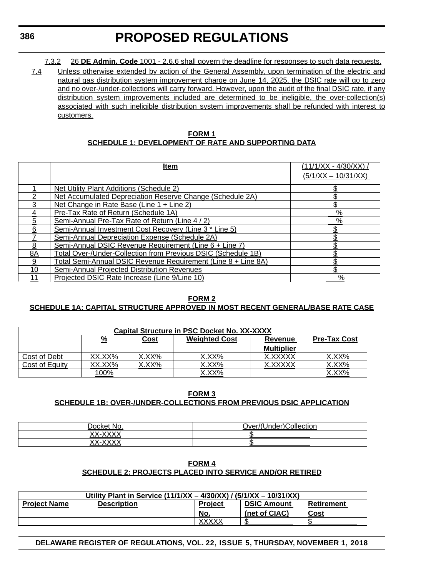7.3.2 26 **DE Admin. Code** 1001 - 2.6.6 shall govern the deadline for responses to such data requests.

7.4 Unless otherwise extended by action of the General Assembly, upon termination of the electric and natural gas distribution system improvement charge on June 14, 2025, the DSIC rate will go to zero and no over-/under-collections will carry forward. However, upon the audit of the final DSIC rate, if any distribution system improvements included are determined to be ineligible, the over-collection(s) associated with such ineligible distribution system improvements shall be refunded with interest to customers.

| <b>FORM1</b>                                               |  |
|------------------------------------------------------------|--|
| <b>SCHEDULE 1: DEVELOPMENT OF RATE AND SUPPORTING DATA</b> |  |

|    | <u>Item</u>                                                   | $(11/1/XX - 4/30/XX)$ |
|----|---------------------------------------------------------------|-----------------------|
|    |                                                               | $(5/1/XX - 10/31/XX)$ |
|    | <b>Net Utility Plant Additions (Schedule 2)</b>               |                       |
| 2  | Net Accumulated Depreciation Reserve Change (Schedule 2A)     |                       |
|    | Net Change in Rate Base (Line 1 + Line 2)                     |                       |
|    | Pre-Tax Rate of Return (Schedule 1A)                          | $\frac{0}{2}$         |
| 5  | Semi-Annual Pre-Tax Rate of Return (Line 4 / 2)               | $\overline{\%}$       |
| 6  | Semi-Annual Investment Cost Recovery (Line 3 * Line 5)        |                       |
|    | Semi-Annual Depreciation Expense (Schedule 2A)                |                       |
| 8  | Semi-Annual DSIC Revenue Requirement (Line 6 + Line 7)        |                       |
| 8A | Total Over-/Under-Collection from Previous DSIC (Schedule 1B) |                       |
| 9  | Total Semi-Annual DSIC Revenue Requirement (Line 8 + Line 8A) |                       |
| 10 | <b>Semi-Annual Projected Distribution Revenues</b>            |                       |
|    | Projected DSIC Rate Increase (Line 9/Line 10)                 | %                     |

### **FORM 2 SCHEDULE 1A: CAPITAL STRUCTURE APPROVED IN MOST RECENT GENERAL/BASE RATE CASE**

| <b>Capital Structure in PSC Docket No. XX-XXXX</b> |          |             |                      |                   |                     |
|----------------------------------------------------|----------|-------------|----------------------|-------------------|---------------------|
|                                                    | <u>%</u> | <u>Cost</u> | <b>Weighted Cost</b> | Revenue           | <b>Pre-Tax Cost</b> |
|                                                    |          |             |                      | <b>Multiplier</b> |                     |
| Cost of Debt                                       | XX.XX%   | X.XX%       | X.XX%                | X.XXXXX           | XX%                 |
| Cost of Equity                                     | `XX%     | XX%         | XX%                  |                   | XX%                 |
|                                                    | 00%      |             | X.XX%                |                   | XX%                 |

### **FORM 3 SCHEDULE 1B: OVER-/UNDER-COLLECTIONS FROM PREVIOUS DSIC APPLICATION**

| <b>Docket</b><br>N∩<br>w             | <br>$\cdot$ inder <sup>10</sup><br>⊃ver/<br><b>Collection</b> |
|--------------------------------------|---------------------------------------------------------------|
| $\frac{1}{2}$<br>vv<br>$\lambda = 1$ |                                                               |
| $\frac{1}{2}$<br>vv<br>. <i>.</i>    |                                                               |

#### **FORM 4 SCHEDULE 2: PROJECTS PLACED INTO SERVICE AND/OR RETIRED**

| Utility Plant in Service (11/1/XX - 4/30/XX) / (5/1/XX - 10/31/XX) |                    |                |                    |            |
|--------------------------------------------------------------------|--------------------|----------------|--------------------|------------|
| <b>Project Name</b>                                                | <b>Description</b> | <b>Project</b> | <b>DSIC Amount</b> | Retirement |
|                                                                    |                    | No.            | (net of CIAC)      | Cost       |
|                                                                    |                    | <b>XXXXX</b>   | œ                  |            |

**DELAWARE REGISTER OF REGULATIONS, VOL. 22, ISSUE 5, THURSDAY, NOVEMBER 1, 2018**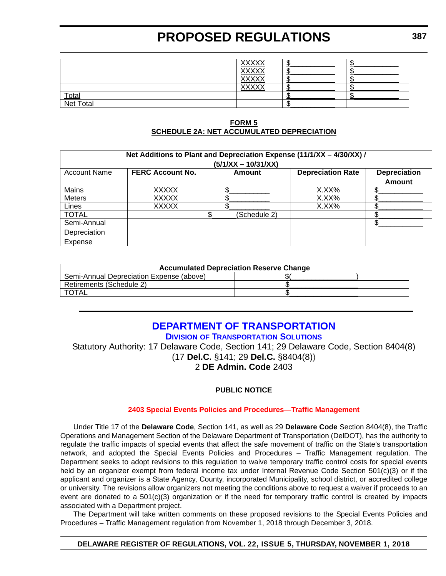|                    | <b>XXXXX</b>                 |  |
|--------------------|------------------------------|--|
|                    | <b>XXXXX</b>                 |  |
|                    | <b>XXXXX</b>                 |  |
|                    | <b>VVVVV</b><br><b>YYYYY</b> |  |
|                    |                              |  |
| Total<br>Net Total |                              |  |

#### **FORM 5 SCHEDULE 2A: NET ACCUMULATED DEPRECIATION**

| Net Additions to Plant and Depreciation Expense (11/1/XX - 4/30/XX) / |                         |              |                          |                     |  |  |
|-----------------------------------------------------------------------|-------------------------|--------------|--------------------------|---------------------|--|--|
| $(5/1/XX - 10/31/XX)$                                                 |                         |              |                          |                     |  |  |
| <b>Account Name</b>                                                   | <b>FERC Account No.</b> | Amount       | <b>Depreciation Rate</b> | <b>Depreciation</b> |  |  |
|                                                                       |                         |              |                          | <b>Amount</b>       |  |  |
| Mains                                                                 | <b>XXXXX</b>            |              | X.XX%                    |                     |  |  |
| <b>Meters</b>                                                         | <b>XXXXX</b>            |              | X.XX%                    |                     |  |  |
| Lines                                                                 | <b>XXXXX</b>            |              | X.XX%                    |                     |  |  |
| <b>TOTAL</b>                                                          |                         | (Schedule 2) |                          |                     |  |  |
| Semi-Annual                                                           |                         |              |                          |                     |  |  |
| Depreciation                                                          |                         |              |                          |                     |  |  |
| Expense                                                               |                         |              |                          |                     |  |  |

| <b>Accumulated Depreciation Reserve Change</b> |  |  |  |  |
|------------------------------------------------|--|--|--|--|
| Semi-Annual Depreciation Expense (above)       |  |  |  |  |
| Retirements (Schedule 2)                       |  |  |  |  |
|                                                |  |  |  |  |

## **[DEPARTMENT OF TRANSPORTATION](https://www.deldot.gov/index.shtml)**

**DIVISION [OF TRANSPORTATION SOLUTIONS](https://www.deldot.gov/index.shtml)**

Statutory Authority: 17 Delaware Code, Section 141; 29 Delaware Code, Section 8404(8) (17 **Del.C.** §141; 29 **Del.C.** §8404(8))

2 **DE Admin. Code** 2403

## **PUBLIC NOTICE**

## **[2403 Special Events Policies and Procedures—Traffic Management](#page-3-0)**

Under Title 17 of the **Delaware Code**, Section 141, as well as 29 **Delaware Code** Section 8404(8), the Traffic Operations and Management Section of the Delaware Department of Transportation (DelDOT), has the authority to regulate the traffic impacts of special events that affect the safe movement of traffic on the State's transportation network, and adopted the Special Events Policies and Procedures – Traffic Management regulation. The Department seeks to adopt revisions to this regulation to waive temporary traffic control costs for special events held by an organizer exempt from federal income tax under Internal Revenue Code Section 501(c)(3) or if the applicant and organizer is a State Agency, County, incorporated Municipality, school district, or accredited college or university. The revisions allow organizers not meeting the conditions above to request a waiver if proceeds to an event are donated to a 501(c)(3) organization or if the need for temporary traffic control is created by impacts associated with a Department project.

The Department will take written comments on these proposed revisions to the Special Events Policies and Procedures – Traffic Management regulation from November 1, 2018 through December 3, 2018.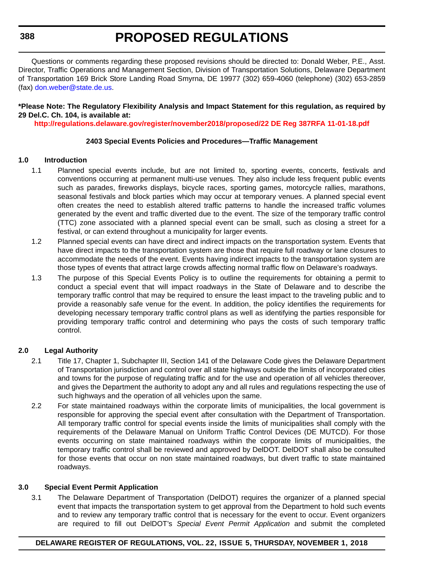**388**

## **PROPOSED REGULATIONS**

Questions or comments regarding these proposed revisions should be directed to: Donald Weber, P.E., Asst. Director, Traffic Operations and Management Section, Division of Transportation Solutions, Delaware Department of Transportation 169 Brick Store Landing Road Smyrna, DE 19977 (302) 659-4060 (telephone) (302) 653-2859 (fax) [don.weber@state.de.us.](mailto:don.weber@state.de.us)

#### **\*Please Note: The Regulatory Flexibility Analysis and Impact Statement for this regulation, as required by 29 Del.C. Ch. 104, is available at:**

**<http://regulations.delaware.gov/register/november2018/proposed/22 DE Reg 387RFA 11-01-18.pdf>**

#### **2403 Special Events Policies and Procedures—Traffic Management**

#### **1.0 Introduction**

- 1.1 Planned special events include, but are not limited to, sporting events, concerts, festivals and conventions occurring at permanent multi-use venues. They also include less frequent public events such as parades, fireworks displays, bicycle races, sporting games, motorcycle rallies, marathons, seasonal festivals and block parties which may occur at temporary venues. A planned special event often creates the need to establish altered traffic patterns to handle the increased traffic volumes generated by the event and traffic diverted due to the event. The size of the temporary traffic control (TTC) zone associated with a planned special event can be small, such as closing a street for a festival, or can extend throughout a municipality for larger events.
- 1.2 Planned special events can have direct and indirect impacts on the transportation system. Events that have direct impacts to the transportation system are those that require full roadway or lane closures to accommodate the needs of the event. Events having indirect impacts to the transportation system are those types of events that attract large crowds affecting normal traffic flow on Delaware's roadways.
- 1.3 The purpose of this Special Events Policy is to outline the requirements for obtaining a permit to conduct a special event that will impact roadways in the State of Delaware and to describe the temporary traffic control that may be required to ensure the least impact to the traveling public and to provide a reasonably safe venue for the event. In addition, the policy identifies the requirements for developing necessary temporary traffic control plans as well as identifying the parties responsible for providing temporary traffic control and determining who pays the costs of such temporary traffic control.

#### **2.0 Legal Authority**

- 2.1 Title 17, Chapter 1, Subchapter III, Section 141 of the Delaware Code gives the Delaware Department of Transportation jurisdiction and control over all state highways outside the limits of incorporated cities and towns for the purpose of regulating traffic and for the use and operation of all vehicles thereover, and gives the Department the authority to adopt any and all rules and regulations respecting the use of such highways and the operation of all vehicles upon the same.
- 2.2 For state maintained roadways within the corporate limits of municipalities, the local government is responsible for approving the special event after consultation with the Department of Transportation. All temporary traffic control for special events inside the limits of municipalities shall comply with the requirements of the Delaware Manual on Uniform Traffic Control Devices (DE MUTCD). For those events occurring on state maintained roadways within the corporate limits of municipalities, the temporary traffic control shall be reviewed and approved by DelDOT. DelDOT shall also be consulted for those events that occur on non state maintained roadways, but divert traffic to state maintained roadways.

#### **3.0 Special Event Permit Application**

3.1 The Delaware Department of Transportation (DelDOT) requires the organizer of a planned special event that impacts the transportation system to get approval from the Department to hold such events and to review any temporary traffic control that is necessary for the event to occur. Event organizers are required to fill out DelDOT's *Special Event Permit Application* and submit the completed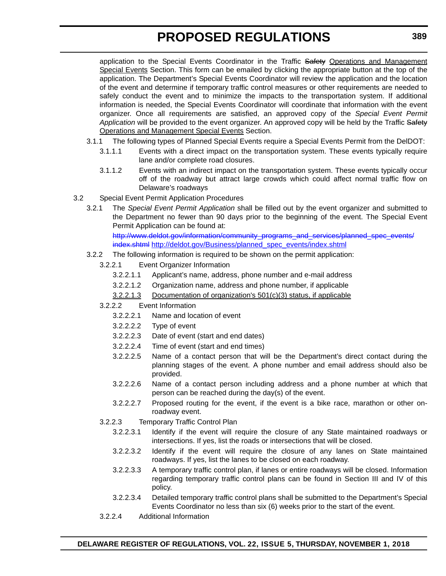application to the Special Events Coordinator in the Traffic Safety Operations and Management Special Events Section. This form can be emailed by clicking the appropriate button at the top of the application. The Department's Special Events Coordinator will review the application and the location of the event and determine if temporary traffic control measures or other requirements are needed to safely conduct the event and to minimize the impacts to the transportation system. If additional information is needed, the Special Events Coordinator will coordinate that information with the event organizer. Once all requirements are satisfied, an approved copy of the *Special Event Permit* Application will be provided to the event organizer. An approved copy will be held by the Traffic Safety Operations and Management Special Events Section.

- 3.1.1 The following types of Planned Special Events require a Special Events Permit from the DelDOT:
	- 3.1.1.1 Events with a direct impact on the transportation system. These events typically require lane and/or complete road closures.
		- 3.1.1.2 Events with an indirect impact on the transportation system. These events typically occur off of the roadway but attract large crowds which could affect normal traffic flow on Delaware's roadways
- 3.2 Special Event Permit Application Procedures
	- 3.2.1 The *Special Event Permit Application* shall be filled out by the event organizer and submitted to the Department no fewer than 90 days prior to the beginning of the event. The Special Event Permit Application can be found at:

[http://www.deldot.gov/information/community\\_programs\\_and\\_services/planned\\_spec\\_events/](http://www.deldot.gov/information/community_programs_and_services/planned_spec_events/index.shtml) [index.shtml](http://www.deldot.gov/information/community_programs_and_services/planned_spec_events/index.shtml) http://deldot.gov/Business/planned spec events/index.shtml

- 3.2.2 The following information is required to be shown on the permit application:
	- 3.2.2.1 Event Organizer Information
		- 3.2.2.1.1 Applicant's name, address, phone number and e-mail address
		- 3.2.2.1.2 Organization name, address and phone number, if applicable
		- 3.2.2.1.3 Documentation of organization's 501(c)(3) status, if applicable
	- 3.2.2.2 Event Information
		- 3.2.2.2.1 Name and location of event
		- 3.2.2.2.2 Type of event
		- 3.2.2.2.3 Date of event (start and end dates)
		- 3.2.2.2.4 Time of event (start and end times)
		- 3.2.2.2.5 Name of a contact person that will be the Department's direct contact during the planning stages of the event. A phone number and email address should also be provided.
		- 3.2.2.2.6 Name of a contact person including address and a phone number at which that person can be reached during the day(s) of the event.
		- 3.2.2.2.7 Proposed routing for the event, if the event is a bike race, marathon or other onroadway event.
	- 3.2.2.3 Temporary Traffic Control Plan
		- 3.2.2.3.1 Identify if the event will require the closure of any State maintained roadways or intersections. If yes, list the roads or intersections that will be closed.
		- 3.2.2.3.2 Identify if the event will require the closure of any lanes on State maintained roadways. If yes, list the lanes to be closed on each roadway.
		- 3.2.2.3.3 A temporary traffic control plan, if lanes or entire roadways will be closed. Information regarding temporary traffic control plans can be found in Section III and IV of this policy.
		- 3.2.2.3.4 Detailed temporary traffic control plans shall be submitted to the Department's Special Events Coordinator no less than six (6) weeks prior to the start of the event.
	- 3.2.2.4 Additional Information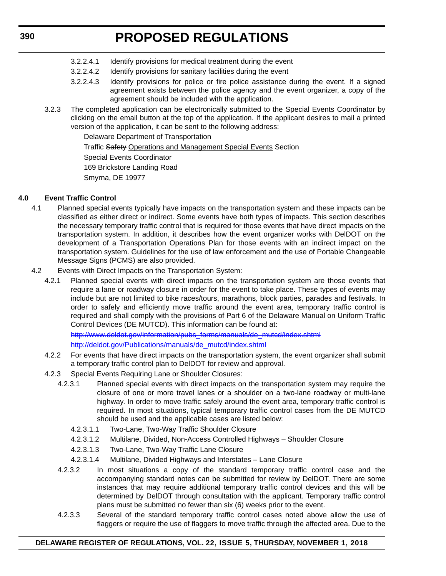- 3.2.2.4.1 Identify provisions for medical treatment during the event
- 3.2.2.4.2 Identify provisions for sanitary facilities during the event
- 3.2.2.4.3 Identify provisions for police or fire police assistance during the event. If a signed agreement exists between the police agency and the event organizer, a copy of the agreement should be included with the application.
- 3.2.3 The completed application can be electronically submitted to the Special Events Coordinator by clicking on the email button at the top of the application. If the applicant desires to mail a printed version of the application, it can be sent to the following address:

Delaware Department of Transportation

Traffic Safety Operations and Management Special Events Section

Special Events Coordinator

169 Brickstore Landing Road

Smyrna, DE 19977

### **4.0 Event Traffic Control**

- 4.1 Planned special events typically have impacts on the transportation system and these impacts can be classified as either direct or indirect. Some events have both types of impacts. This section describes the necessary temporary traffic control that is required for those events that have direct impacts on the transportation system. In addition, it describes how the event organizer works with DelDOT on the development of a Transportation Operations Plan for those events with an indirect impact on the transportation system. Guidelines for the use of law enforcement and the use of Portable Changeable Message Signs (PCMS) are also provided.
- 4.2 Events with Direct Impacts on the Transportation System:
	- 4.2.1 Planned special events with direct impacts on the transportation system are those events that require a lane or roadway closure in order for the event to take place. These types of events may include but are not limited to bike races/tours, marathons, block parties, parades and festivals. In order to safely and efficiently move traffic around the event area, temporary traffic control is required and shall comply with the provisions of Part 6 of the Delaware Manual on Uniform Traffic Control Devices (DE MUTCD). This information can be found at:

[http://www.deldot.gov/information/pubs\\_forms/manuals/de\\_mutcd/index.shtml](http://www.deldot.gov/information/pubs_forms/manuals/de_mutcd/index.shtml) [http://deldot.gov/Publications/manuals/de\\_mutcd/index.shtml](http://deldot.gov/Publications/manuals/de_mutcd/index.shtml)

- 4.2.2 For events that have direct impacts on the transportation system, the event organizer shall submit a temporary traffic control plan to DelDOT for review and approval.
- 4.2.3 Special Events Requiring Lane or Shoulder Closures:
	- 4.2.3.1 Planned special events with direct impacts on the transportation system may require the closure of one or more travel lanes or a shoulder on a two-lane roadway or multi-lane highway. In order to move traffic safely around the event area, temporary traffic control is required. In most situations, typical temporary traffic control cases from the DE MUTCD should be used and the applicable cases are listed below:
		- 4.2.3.1.1 Two-Lane, Two-Way Traffic Shoulder Closure
		- 4.2.3.1.2 Multilane, Divided, Non-Access Controlled Highways Shoulder Closure
		- 4.2.3.1.3 Two-Lane, Two-Way Traffic Lane Closure
		- 4.2.3.1.4 Multilane, Divided Highways and Interstates Lane Closure
	- 4.2.3.2 In most situations a copy of the standard temporary traffic control case and the accompanying standard notes can be submitted for review by DelDOT. There are some instances that may require additional temporary traffic control devices and this will be determined by DelDOT through consultation with the applicant. Temporary traffic control plans must be submitted no fewer than six (6) weeks prior to the event.
	- 4.2.3.3 Several of the standard temporary traffic control cases noted above allow the use of flaggers or require the use of flaggers to move traffic through the affected area. Due to the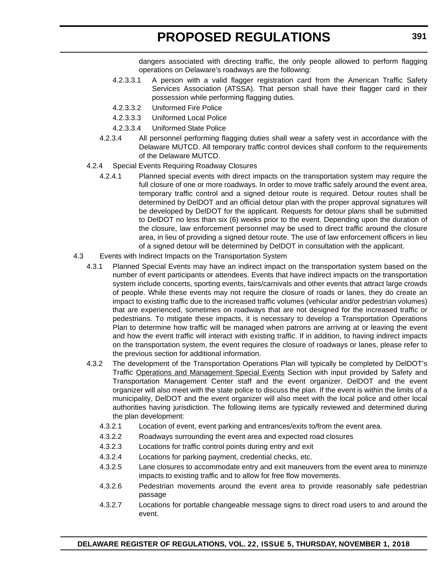dangers associated with directing traffic, the only people allowed to perform flagging operations on Delaware's roadways are the following:

- 4.2.3.3.1 A person with a valid flagger registration card from the American Traffic Safety Services Association (ATSSA). That person shall have their flagger card in their possession while performing flagging duties.
- 4.2.3.3.2 Uniformed Fire Police
- 4.2.3.3.3 Uniformed Local Police
- 4.2.3.3.4 Uniformed State Police
- 4.2.3.4 All personnel performing flagging duties shall wear a safety vest in accordance with the Delaware MUTCD. All temporary traffic control devices shall conform to the requirements of the Delaware MUTCD.
- 4.2.4 Special Events Requiring Roadway Closures
	- 4.2.4.1 Planned special events with direct impacts on the transportation system may require the full closure of one or more roadways. In order to move traffic safely around the event area, temporary traffic control and a signed detour route is required. Detour routes shall be determined by DelDOT and an official detour plan with the proper approval signatures will be developed by DelDOT for the applicant. Requests for detour plans shall be submitted to DelDOT no less than six (6) weeks prior to the event. Depending upon the duration of the closure, law enforcement personnel may be used to direct traffic around the closure area, in lieu of providing a signed detour route. The use of law enforcement officers in lieu of a signed detour will be determined by DelDOT in consultation with the applicant.
- 4.3 Events with Indirect Impacts on the Transportation System
	- 4.3.1 Planned Special Events may have an indirect impact on the transportation system based on the number of event participants or attendees. Events that have indirect impacts on the transportation system include concerts, sporting events, fairs/carnivals and other events that attract large crowds of people. While these events may not require the closure of roads or lanes, they do create an impact to existing traffic due to the increased traffic volumes (vehicular and/or pedestrian volumes) that are experienced, sometimes on roadways that are not designed for the increased traffic or pedestrians. To mitigate these impacts, it is necessary to develop a Transportation Operations Plan to determine how traffic will be managed when patrons are arriving at or leaving the event and how the event traffic will interact with existing traffic. If in addition, to having indirect impacts on the transportation system, the event requires the closure of roadways or lanes, please refer to the previous section for additional information.
	- 4.3.2 The development of the Transportation Operations Plan will typically be completed by DelDOT's Traffic Operations and Management Special Events Section with input provided by Safety and Transportation Management Center staff and the event organizer. DelDOT and the event organizer will also meet with the state police to discuss the plan. If the event is within the limits of a municipality, DelDOT and the event organizer will also meet with the local police and other local authorities having jurisdiction. The following items are typically reviewed and determined during the plan development:
		- 4.3.2.1 Location of event, event parking and entrances/exits to/from the event area.
		- 4.3.2.2 Roadways surrounding the event area and expected road closures
		- 4.3.2.3 Locations for traffic control points during entry and exit
		- 4.3.2.4 Locations for parking payment, credential checks, etc.
		- 4.3.2.5 Lane closures to accommodate entry and exit maneuvers from the event area to minimize impacts to existing traffic and to allow for free flow movements.
		- 4.3.2.6 Pedestrian movements around the event area to provide reasonably safe pedestrian passage
		- 4.3.2.7 Locations for portable changeable message signs to direct road users to and around the event.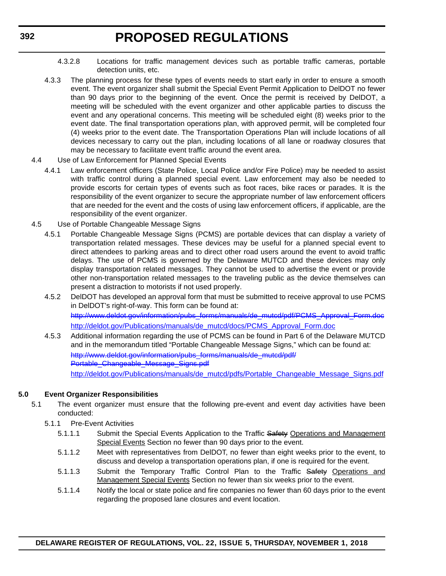- 4.3.2.8 Locations for traffic management devices such as portable traffic cameras, portable detection units, etc.
- 4.3.3 The planning process for these types of events needs to start early in order to ensure a smooth event. The event organizer shall submit the Special Event Permit Application to DelDOT no fewer than 90 days prior to the beginning of the event. Once the permit is received by DelDOT, a meeting will be scheduled with the event organizer and other applicable parties to discuss the event and any operational concerns. This meeting will be scheduled eight (8) weeks prior to the event date. The final transportation operations plan, with approved permit, will be completed four (4) weeks prior to the event date. The Transportation Operations Plan will include locations of all devices necessary to carry out the plan, including locations of all lane or roadway closures that may be necessary to facilitate event traffic around the event area.
- 4.4 Use of Law Enforcement for Planned Special Events
	- 4.4.1 Law enforcement officers (State Police, Local Police and/or Fire Police) may be needed to assist with traffic control during a planned special event. Law enforcement may also be needed to provide escorts for certain types of events such as foot races, bike races or parades. It is the responsibility of the event organizer to secure the appropriate number of law enforcement officers that are needed for the event and the costs of using law enforcement officers, if applicable, are the responsibility of the event organizer.
- 4.5 Use of Portable Changeable Message Signs
	- 4.5.1 Portable Changeable Message Signs (PCMS) are portable devices that can display a variety of transportation related messages. These devices may be useful for a planned special event to direct attendees to parking areas and to direct other road users around the event to avoid traffic delays. The use of PCMS is governed by the Delaware MUTCD and these devices may only display transportation related messages. They cannot be used to advertise the event or provide other non-transportation related messages to the traveling public as the device themselves can present a distraction to motorists if not used properly.
	- 4.5.2 DelDOT has developed an approval form that must be submitted to receive approval to use PCMS in DelDOT's right-of-way. This form can be found at: [http://www.deldot.gov/information/pubs\\_forms/manuals/de\\_mutcd/pdf/PCMS\\_Approval\\_Form.doc](http://www.deldot.gov/information/pubs_forms/manuals/de_mutcd/pdf/PCMS_Approval_Form.doc) [http://deldot.gov/Publications/manuals/de\\_mutcd/docs/PCMS\\_Approval\\_Form.doc](http://deldot.gov/Publications/manuals/de_mutcd/docs/PCMS_Approval_Form.doc)
	- 4.5.3 Additional information regarding the use of PCMS can be found in Part 6 of the Delaware MUTCD and in the memorandum titled "Portable Changeable Message Signs," which can be found at: [http://www.deldot.gov/information/pubs\\_forms/manuals/de\\_mutcd/pdf/](http://www.deldot.gov/information/pubs_forms/manuals/de_mutcd/pdf/Portable_Changeable_Message_Signs.pdf) [Portable\\_Changeable\\_Message\\_Signs.pdf](http://www.deldot.gov/information/pubs_forms/manuals/de_mutcd/pdf/Portable_Changeable_Message_Signs.pdf) [http://deldot.gov/Publications/manuals/de\\_mutcd/pdfs/Portable\\_Changeable\\_Message\\_Signs.pdf](http://deldot.gov/Publications/manuals/de_mutcd/pdfs/Portable_Changeable_Message_Signs.pdf)

### **5.0 Event Organizer Responsibilities**

- 5.1 The event organizer must ensure that the following pre-event and event day activities have been conducted:
	- 5.1.1 Pre-Event Activities
		- 5.1.1.1 Submit the Special Events Application to the Traffic Safety Operations and Management Special Events Section no fewer than 90 days prior to the event.
		- 5.1.1.2 Meet with representatives from DelDOT, no fewer than eight weeks prior to the event, to discuss and develop a transportation operations plan, if one is required for the event.
		- 5.1.1.3 Submit the Temporary Traffic Control Plan to the Traffic Safety Operations and Management Special Events Section no fewer than six weeks prior to the event.
		- 5.1.1.4 Notify the local or state police and fire companies no fewer than 60 days prior to the event regarding the proposed lane closures and event location.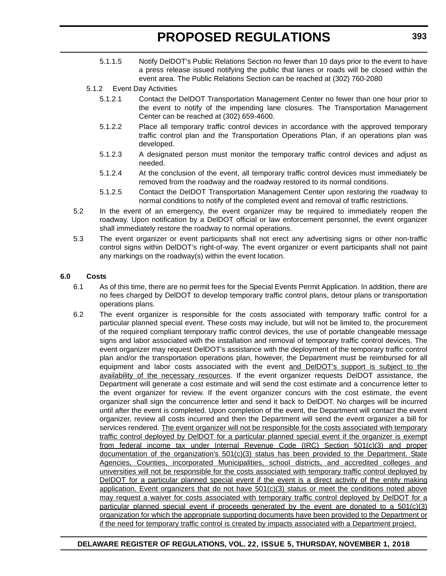- 5.1.1.5 Notify DelDOT's Public Relations Section no fewer than 10 days prior to the event to have a press release issued notifying the public that lanes or roads will be closed within the event area. The Public Relations Section can be reached at (302) 760-2080
- 5.1.2 Event Day Activities
	- 5.1.2.1 Contact the DelDOT Transportation Management Center no fewer than one hour prior to the event to notify of the impending lane closures. The Transportation Management Center can be reached at (302) 659-4600.
	- 5.1.2.2 Place all temporary traffic control devices in accordance with the approved temporary traffic control plan and the Transportation Operations Plan, if an operations plan was developed.
	- 5.1.2.3 A designated person must monitor the temporary traffic control devices and adjust as needed.
	- 5.1.2.4 At the conclusion of the event, all temporary traffic control devices must immediately be removed from the roadway and the roadway restored to its normal conditions.
	- 5.1.2.5 Contact the DelDOT Transportation Management Center upon restoring the roadway to normal conditions to notify of the completed event and removal of traffic restrictions.
- 5.2 In the event of an emergency, the event organizer may be required to immediately reopen the roadway. Upon notification by a DelDOT official or law enforcement personnel, the event organizer shall immediately restore the roadway to normal operations.
- 5.3 The event organizer or event participants shall not erect any advertising signs or other non-traffic control signs within DelDOT's right-of-way. The event organizer or event participants shall not paint any markings on the roadway(s) within the event location.

### **6.0 Costs**

- 6.1 As of this time, there are no permit fees for the Special Events Permit Application. In addition, there are no fees charged by DelDOT to develop temporary traffic control plans, detour plans or transportation operations plans.
- 6.2 The event organizer is responsible for the costs associated with temporary traffic control for a particular planned special event. These costs may include, but will not be limited to, the procurement of the required compliant temporary traffic control devices, the use of portable changeable message signs and labor associated with the installation and removal of temporary traffic control devices. The event organizer may request DelDOT's assistance with the deployment of the temporary traffic control plan and/or the transportation operations plan, however, the Department must be reimbursed for all equipment and labor costs associated with the event and DelDOT's support is subject to the availability of the necessary resources. If the event organizer requests DelDOT assistance, the Department will generate a cost estimate and will send the cost estimate and a concurrence letter to the event organizer for review. If the event organizer concurs with the cost estimate, the event organizer shall sign the concurrence letter and send it back to DelDOT. No charges will be incurred until after the event is completed. Upon completion of the event, the Department will contact the event organizer, review all costs incurred and then the Department will send the event organizer a bill for services rendered. The event organizer will not be responsible for the costs associated with temporary traffic control deployed by DelDOT for a particular planned special event if the organizer is exempt from federal income tax under Internal Revenue Code (IRC) Section 501(c)(3) and proper documentation of the organization's 501(c)(3) status has been provided to the Department. State Agencies, Counties, incorporated Municipalities, school districts, and accredited colleges and universities will not be responsible for the costs associated with temporary traffic control deployed by DelDOT for a particular planned special event if the event is a direct activity of the entity making application. Event organizers that do not have  $501(c)(3)$  status or meet the conditions noted above may request a waiver for costs associated with temporary traffic control deployed by DelDOT for a particular planned special event if proceeds generated by the event are donated to a  $501(c)(3)$ organization for which the appropriate supporting documents have been provided to the Department or if the need for temporary traffic control is created by impacts associated with a Department project.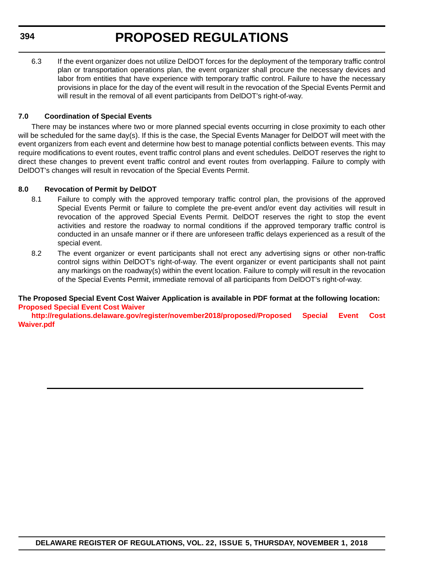6.3 If the event organizer does not utilize DelDOT forces for the deployment of the temporary traffic control plan or transportation operations plan, the event organizer shall procure the necessary devices and labor from entities that have experience with temporary traffic control. Failure to have the necessary provisions in place for the day of the event will result in the revocation of the Special Events Permit and will result in the removal of all event participants from DelDOT's right-of-way.

### **7.0 Coordination of Special Events**

There may be instances where two or more planned special events occurring in close proximity to each other will be scheduled for the same day(s). If this is the case, the Special Events Manager for DelDOT will meet with the event organizers from each event and determine how best to manage potential conflicts between events. This may require modifications to event routes, event traffic control plans and event schedules. DelDOT reserves the right to direct these changes to prevent event traffic control and event routes from overlapping. Failure to comply with DelDOT's changes will result in revocation of the Special Events Permit.

### **8.0 Revocation of Permit by DelDOT**

- 8.1 Failure to comply with the approved temporary traffic control plan, the provisions of the approved Special Events Permit or failure to complete the pre-event and/or event day activities will result in revocation of the approved Special Events Permit. DelDOT reserves the right to stop the event activities and restore the roadway to normal conditions if the approved temporary traffic control is conducted in an unsafe manner or if there are unforeseen traffic delays experienced as a result of the special event.
- 8.2 The event organizer or event participants shall not erect any advertising signs or other non-traffic control signs within DelDOT's right-of-way. The event organizer or event participants shall not paint any markings on the roadway(s) within the event location. Failure to comply will result in the revocation of the Special Events Permit, immediate removal of all participants from DelDOT's right-of-way.

### **The Proposed Special Event Cost Waiver Application is available in PDF format at the following location: [Proposed Special Event Cost Waiver](http://regulations.delaware.gov/register/november2018/proposed/Proposed Special Event Cost Waiver.pdf)**

**[http://regulations.delaware.gov/register/november2018/proposed/Proposed Special Event Cost](http://regulations.delaware.gov/register/november2018/proposed/Proposed Special Event Cost Waiver.pdf) Waiver.pdf**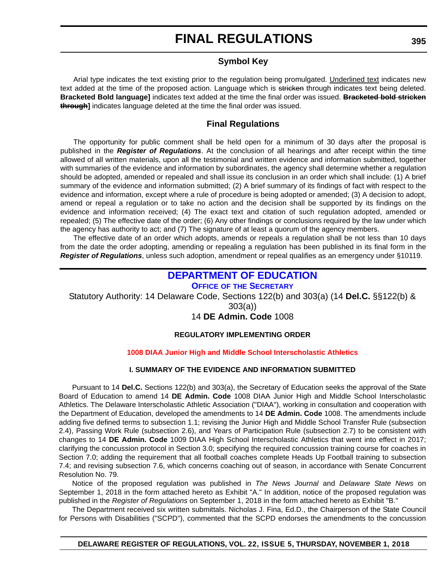### **Symbol Key**

Arial type indicates the text existing prior to the regulation being promulgated. Underlined text indicates new text added at the time of the proposed action. Language which is stricken through indicates text being deleted. **Bracketed Bold language]** indicates text added at the time the final order was issued. **Bracketed bold stricken through]** indicates language deleted at the time the final order was issued.

### **Final Regulations**

The opportunity for public comment shall be held open for a minimum of 30 days after the proposal is published in the *Register of Regulations*. At the conclusion of all hearings and after receipt within the time allowed of all written materials, upon all the testimonial and written evidence and information submitted, together with summaries of the evidence and information by subordinates, the agency shall determine whether a regulation should be adopted, amended or repealed and shall issue its conclusion in an order which shall include: (1) A brief summary of the evidence and information submitted; (2) A brief summary of its findings of fact with respect to the evidence and information, except where a rule of procedure is being adopted or amended; (3) A decision to adopt, amend or repeal a regulation or to take no action and the decision shall be supported by its findings on the evidence and information received; (4) The exact text and citation of such regulation adopted, amended or repealed; (5) The effective date of the order; (6) Any other findings or conclusions required by the law under which the agency has authority to act; and (7) The signature of at least a quorum of the agency members.

The effective date of an order which adopts, amends or repeals a regulation shall be not less than 10 days from the date the order adopting, amending or repealing a regulation has been published in its final form in the *Register of Regulations*, unless such adoption, amendment or repeal qualifies as an emergency under §10119.

### **[DEPARTMENT OF EDUCATION](https://www.doe.k12.de.us/)**

**OFFICE OF [THE SECRETARY](https://www.doe.k12.de.us/)**

Statutory Authority: 14 Delaware Code, Sections 122(b) and 303(a) (14 **Del.C.** §§122(b) &

303(a))

14 **DE Admin. Code** 1008

### **REGULATORY IMPLEMENTING ORDER**

### **[1008 DIAA Junior High and Middle School Interscholastic Athletics](#page-3-0)**

### **I. SUMMARY OF THE EVIDENCE AND INFORMATION SUBMITTED**

Pursuant to 14 **Del.C.** Sections 122(b) and 303(a), the Secretary of Education seeks the approval of the State Board of Education to amend 14 **DE Admin. Code** 1008 DIAA Junior High and Middle School Interscholastic Athletics. The Delaware Interscholastic Athletic Association ("DIAA"), working in consultation and cooperation with the Department of Education, developed the amendments to 14 **DE Admin. Code** 1008. The amendments include adding five defined terms to subsection 1.1; revising the Junior High and Middle School Transfer Rule (subsection 2.4), Passing Work Rule (subsection 2.6), and Years of Participation Rule (subsection 2.7) to be consistent with changes to 14 **DE Admin. Code** 1009 DIAA High School Interscholastic Athletics that went into effect in 2017; clarifying the concussion protocol in Section 3.0; specifying the required concussion training course for coaches in Section 7.0; adding the requirement that all football coaches complete Heads Up Football training to subsection 7.4; and revising subsection 7.6, which concerns coaching out of season, in accordance with Senate Concurrent Resolution No. 79.

Notice of the proposed regulation was published in *The News Journal* and *Delaware State News* on September 1, 2018 in the form attached hereto as Exhibit "A." In addition, notice of the proposed regulation was published in the *Register of Regulations* on September 1, 2018 in the form attached hereto as Exhibit "B."

The Department received six written submittals. Nicholas J. Fina, Ed.D., the Chairperson of the State Council for Persons with Disabilities ("SCPD"), commented that the SCPD endorses the amendments to the concussion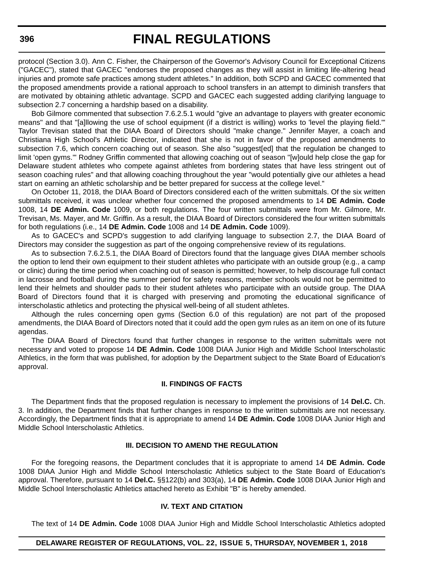protocol (Section 3.0). Ann C. Fisher, the Chairperson of the Governor's Advisory Council for Exceptional Citizens ("GACEC"), stated that GACEC "endorses the proposed changes as they will assist in limiting life-altering head injuries and promote safe practices among student athletes." In addition, both SCPD and GACEC commented that the proposed amendments provide a rational approach to school transfers in an attempt to diminish transfers that are motivated by obtaining athletic advantage. SCPD and GACEC each suggested adding clarifying language to subsection 2.7 concerning a hardship based on a disability.

Bob Gilmore commented that subsection 7.6.2.5.1 would "give an advantage to players with greater economic means" and that "[a]llowing the use of school equipment (if a district is willing) works to 'level the playing field.'" Taylor Trevisan stated that the DIAA Board of Directors should "make change." Jennifer Mayer, a coach and Christiana High School's Athletic Director, indicated that she is not in favor of the proposed amendments to subsection 7.6, which concern coaching out of season. She also "suggest[ed] that the regulation be changed to limit 'open gyms.'" Rodney Griffin commented that allowing coaching out of season "[w]ould help close the gap for Delaware student athletes who compete against athletes from bordering states that have less stringent out of season coaching rules" and that allowing coaching throughout the year "would potentially give our athletes a head start on earning an athletic scholarship and be better prepared for success at the college level."

On October 11, 2018, the DIAA Board of Directors considered each of the written submittals. Of the six written submittals received, it was unclear whether four concerned the proposed amendments to 14 **DE Admin. Code** 1008, 14 **DE Admin. Code** 1009, or both regulations. The four written submittals were from Mr. Gilmore, Mr. Trevisan, Ms. Mayer, and Mr. Griffin. As a result, the DIAA Board of Directors considered the four written submittals for both regulations (i.e., 14 **DE Admin. Code** 1008 and 14 **DE Admin. Code** 1009).

As to GACEC's and SCPD's suggestion to add clarifying language to subsection 2.7, the DIAA Board of Directors may consider the suggestion as part of the ongoing comprehensive review of its regulations.

As to subsection 7.6.2.5.1, the DIAA Board of Directors found that the language gives DIAA member schools the option to lend their own equipment to their student athletes who participate with an outside group (e.g., a camp or clinic) during the time period when coaching out of season is permitted; however, to help discourage full contact in lacrosse and football during the summer period for safety reasons, member schools would not be permitted to lend their helmets and shoulder pads to their student athletes who participate with an outside group. The DIAA Board of Directors found that it is charged with preserving and promoting the educational significance of interscholastic athletics and protecting the physical well-being of all student athletes.

Although the rules concerning open gyms (Section 6.0 of this regulation) are not part of the proposed amendments, the DIAA Board of Directors noted that it could add the open gym rules as an item on one of its future agendas.

The DIAA Board of Directors found that further changes in response to the written submittals were not necessary and voted to propose 14 **DE Admin. Code** 1008 DIAA Junior High and Middle School Interscholastic Athletics, in the form that was published, for adoption by the Department subject to the State Board of Education's approval.

### **II. FINDINGS OF FACTS**

The Department finds that the proposed regulation is necessary to implement the provisions of 14 **Del.C.** Ch. 3. In addition, the Department finds that further changes in response to the written submittals are not necessary. Accordingly, the Department finds that it is appropriate to amend 14 **DE Admin. Code** 1008 DIAA Junior High and Middle School Interscholastic Athletics.

#### **III. DECISION TO AMEND THE REGULATION**

For the foregoing reasons, the Department concludes that it is appropriate to amend 14 **DE Admin. Code** 1008 DIAA Junior High and Middle School Interscholastic Athletics subject to the State Board of Education's approval. Therefore, pursuant to 14 **Del.C.** §§122(b) and 303(a), 14 **DE Admin. Code** 1008 DIAA Junior High and Middle School Interscholastic Athletics attached hereto as Exhibit "B" is hereby amended.

#### **IV. TEXT AND CITATION**

The text of 14 **DE Admin. Code** 1008 DIAA Junior High and Middle School Interscholastic Athletics adopted

### **DELAWARE REGISTER OF REGULATIONS, VOL. 22, ISSUE 5, THURSDAY, NOVEMBER 1, 2018**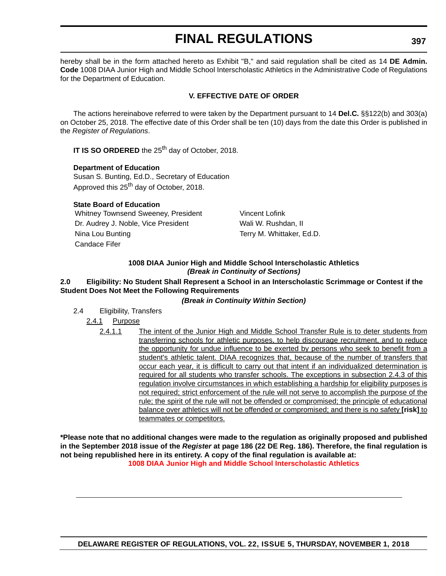hereby shall be in the form attached hereto as Exhibit "B," and said regulation shall be cited as 14 **DE Admin. Code** 1008 DIAA Junior High and Middle School Interscholastic Athletics in the Administrative Code of Regulations for the Department of Education.

### **V. EFFECTIVE DATE OF ORDER**

The actions hereinabove referred to were taken by the Department pursuant to 14 **Del.C.** §§122(b) and 303(a) on October 25, 2018. The effective date of this Order shall be ten (10) days from the date this Order is published in the *Register of Regulations*.

**IT IS SO ORDERED** the 25<sup>th</sup> day of October, 2018.

### **Department of Education**

Susan S. Bunting, Ed.D., Secretary of Education Approved this 25<sup>th</sup> day of October, 2018.

### **State Board of Education**

Whitney Townsend Sweeney, President Vincent Lofink Dr. Audrey J. Noble, Vice President Wali W. Rushdan, II Nina Lou Bunting Terry M. Whittaker, Ed.D. Candace Fifer

### **1008 DIAA Junior High and Middle School Interscholastic Athletics** *(Break in Continuity of Sections)*

### **2.0 Eligibility: No Student Shall Represent a School in an Interscholastic Scrimmage or Contest if the Student Does Not Meet the Following Requirements**

### *(Break in Continuity Within Section)*

2.4 Eligibility, Transfers

### 2.4.1 Purpose

2.4.1.1 The intent of the Junior High and Middle School Transfer Rule is to deter students from transferring schools for athletic purposes, to help discourage recruitment, and to reduce the opportunity for undue influence to be exerted by persons who seek to benefit from a student's athletic talent. DIAA recognizes that, because of the number of transfers that occur each year, it is difficult to carry out that intent if an individualized determination is required for all students who transfer schools. The exceptions in subsection 2.4.3 of this regulation involve circumstances in which establishing a hardship for eligibility purposes is not required; strict enforcement of the rule will not serve to accomplish the purpose of the rule; the spirit of the rule will not be offended or compromised; the principle of educational balance over athletics will not be offended or compromised; and there is no safety **[risk]** to teammates or competitors.

**\*Please note that no additional changes were made to the regulation as originally proposed and published in the September 2018 issue of the** *Register* **at page 186 (22 DE Reg. 186). Therefore, the final regulation is not being republished here in its entirety. A copy of the final regulation is available at: [1008 DIAA Junior High and Middle School Interscholastic Athletics](http://regulations.delaware.gov/register/november2018/final/22 DE Reg 395 11-01-18.htm)**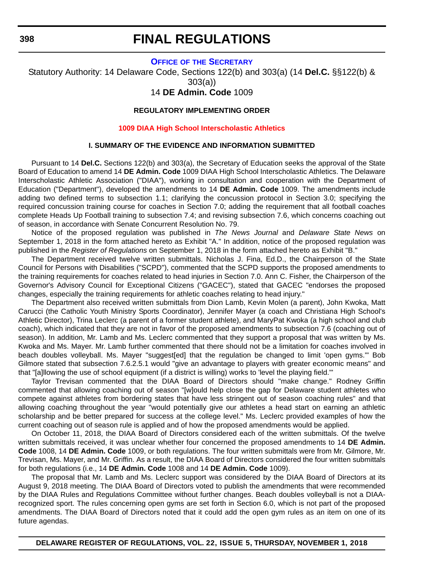### **OFFICE OF [THE SECRETARY](https://www.doe.k12.de.us/)**

Statutory Authority: 14 Delaware Code, Sections 122(b) and 303(a) (14 **Del.C.** §§122(b) & 303(a))

### 14 **DE Admin. Code** 1009

#### **REGULATORY IMPLEMENTING ORDER**

#### **[1009 DIAA High School Interscholastic Athletics](#page-3-0)**

### **I. SUMMARY OF THE EVIDENCE AND INFORMATION SUBMITTED**

Pursuant to 14 **Del.C.** Sections 122(b) and 303(a), the Secretary of Education seeks the approval of the State Board of Education to amend 14 **DE Admin. Code** 1009 DIAA High School Interscholastic Athletics. The Delaware Interscholastic Athletic Association ("DIAA"), working in consultation and cooperation with the Department of Education ("Department"), developed the amendments to 14 **DE Admin. Code** 1009. The amendments include adding two defined terms to subsection 1.1; clarifying the concussion protocol in Section 3.0; specifying the required concussion training course for coaches in Section 7.0; adding the requirement that all football coaches complete Heads Up Football training to subsection 7.4; and revising subsection 7.6, which concerns coaching out of season, in accordance with Senate Concurrent Resolution No. 79.

Notice of the proposed regulation was published in *The News Journal* and *Delaware State News* on September 1, 2018 in the form attached hereto as Exhibit "A." In addition, notice of the proposed regulation was published in the *Register of Regulations* on September 1, 2018 in the form attached hereto as Exhibit "B."

The Department received twelve written submittals. Nicholas J. Fina, Ed.D., the Chairperson of the State Council for Persons with Disabilities ("SCPD"), commented that the SCPD supports the proposed amendments to the training requirements for coaches related to head injuries in Section 7.0. Ann C. Fisher, the Chairperson of the Governor's Advisory Council for Exceptional Citizens ("GACEC"), stated that GACEC "endorses the proposed changes, especially the training requirements for athletic coaches relating to head injury."

The Department also received written submittals from Dion Lamb, Kevin Molen (a parent), John Kwoka, Matt Carucci (the Catholic Youth Ministry Sports Coordinator), Jennifer Mayer (a coach and Christiana High School's Athletic Director), Trina Leclerc (a parent of a former student athlete), and MaryPat Kwoka (a high school and club coach), which indicated that they are not in favor of the proposed amendments to subsection 7.6 (coaching out of season). In addition, Mr. Lamb and Ms. Leclerc commented that they support a proposal that was written by Ms. Kwoka and Ms. Mayer. Mr. Lamb further commented that there should not be a limitation for coaches involved in beach doubles volleyball. Ms. Mayer "suggest[ed] that the regulation be changed to limit 'open gyms.'" Bob Gilmore stated that subsection 7.6.2.5.1 would "give an advantage to players with greater economic means" and that "[a]llowing the use of school equipment (if a district is willing) works to 'level the playing field.'"

Taylor Trevisan commented that the DIAA Board of Directors should "make change." Rodney Griffin commented that allowing coaching out of season "[w]ould help close the gap for Delaware student athletes who compete against athletes from bordering states that have less stringent out of season coaching rules" and that allowing coaching throughout the year "would potentially give our athletes a head start on earning an athletic scholarship and be better prepared for success at the college level." Ms. Leclerc provided examples of how the current coaching out of season rule is applied and of how the proposed amendments would be applied.

On October 11, 2018, the DIAA Board of Directors considered each of the written submittals. Of the twelve written submittals received, it was unclear whether four concerned the proposed amendments to 14 **DE Admin. Code** 1008, 14 **DE Admin. Code** 1009, or both regulations. The four written submittals were from Mr. Gilmore, Mr. Trevisan, Ms. Mayer, and Mr. Griffin. As a result, the DIAA Board of Directors considered the four written submittals for both regulations (i.e., 14 **DE Admin. Code** 1008 and 14 **DE Admin. Code** 1009).

The proposal that Mr. Lamb and Ms. Leclerc support was considered by the DIAA Board of Directors at its August 9, 2018 meeting. The DIAA Board of Directors voted to publish the amendments that were recommended by the DIAA Rules and Regulations Committee without further changes. Beach doubles volleyball is not a DIAArecognized sport. The rules concerning open gyms are set forth in Section 6.0, which is not part of the proposed amendments. The DIAA Board of Directors noted that it could add the open gym rules as an item on one of its future agendas.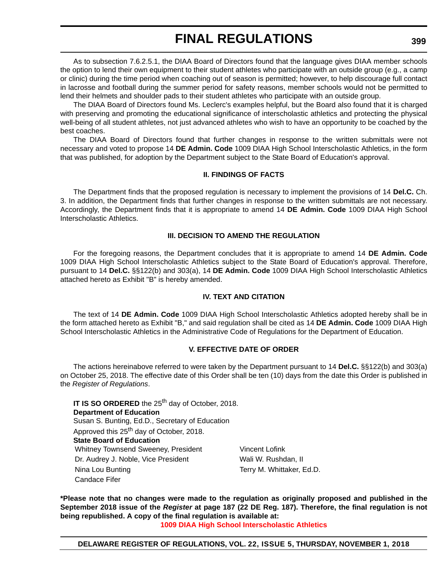As to subsection 7.6.2.5.1, the DIAA Board of Directors found that the language gives DIAA member schools the option to lend their own equipment to their student athletes who participate with an outside group (e.g., a camp or clinic) during the time period when coaching out of season is permitted; however, to help discourage full contact in lacrosse and football during the summer period for safety reasons, member schools would not be permitted to lend their helmets and shoulder pads to their student athletes who participate with an outside group.

The DIAA Board of Directors found Ms. Leclerc's examples helpful, but the Board also found that it is charged with preserving and promoting the educational significance of interscholastic athletics and protecting the physical well-being of all student athletes, not just advanced athletes who wish to have an opportunity to be coached by the best coaches.

The DIAA Board of Directors found that further changes in response to the written submittals were not necessary and voted to propose 14 **DE Admin. Code** 1009 DIAA High School Interscholastic Athletics, in the form that was published, for adoption by the Department subject to the State Board of Education's approval.

### **II. FINDINGS OF FACTS**

The Department finds that the proposed regulation is necessary to implement the provisions of 14 **Del.C.** Ch. 3. In addition, the Department finds that further changes in response to the written submittals are not necessary. Accordingly, the Department finds that it is appropriate to amend 14 **DE Admin. Code** 1009 DIAA High School Interscholastic Athletics.

### **III. DECISION TO AMEND THE REGULATION**

For the foregoing reasons, the Department concludes that it is appropriate to amend 14 **DE Admin. Code** 1009 DIAA High School Interscholastic Athletics subject to the State Board of Education's approval. Therefore, pursuant to 14 **Del.C.** §§122(b) and 303(a), 14 **DE Admin. Code** 1009 DIAA High School Interscholastic Athletics attached hereto as Exhibit "B" is hereby amended.

### **IV. TEXT AND CITATION**

The text of 14 **DE Admin. Code** 1009 DIAA High School Interscholastic Athletics adopted hereby shall be in the form attached hereto as Exhibit "B," and said regulation shall be cited as 14 **DE Admin. Code** 1009 DIAA High School Interscholastic Athletics in the Administrative Code of Regulations for the Department of Education.

### **V. EFFECTIVE DATE OF ORDER**

The actions hereinabove referred to were taken by the Department pursuant to 14 **Del.C.** §§122(b) and 303(a) on October 25, 2018. The effective date of this Order shall be ten (10) days from the date this Order is published in the *Register of Regulations*.

**IT IS SO ORDERED** the 25<sup>th</sup> day of October, 2018. **Department of Education** Susan S. Bunting, Ed.D., Secretary of Education Approved this 25<sup>th</sup> day of October, 2018. **State Board of Education** Whitney Townsend Sweeney, President Vincent Lofink Dr. Audrey J. Noble, Vice President Wali W. Rushdan, II Nina Lou Bunting Terry M. Whittaker, Ed.D. Candace Fifer

**\*Please note that no changes were made to the regulation as originally proposed and published in the September 2018 issue of the** *Register* **at page 187 (22 DE Reg. 187). Therefore, the final regulation is not being republished. A copy of the final regulation is available at:**

**[1009 DIAA High School Interscholastic Athletics](http://regulations.delaware.gov/register/november2018/final/22 DE Reg 398 11-01-18.htm)**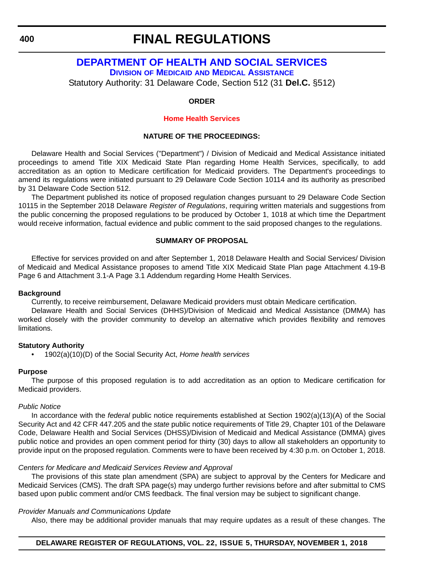**400**

### **FINAL REGULATIONS**

### **[DEPARTMENT OF HEALTH AND SOCIAL SERVICES](https://www.dhss.delaware.gov/dhss/dmma/) DIVISION OF MEDICAID [AND MEDICAL ASSISTANCE](https://www.dhss.delaware.gov/dhss/dmma/)**

Statutory Authority: 31 Delaware Code, Section 512 (31 **Del.C.** §512)

### **ORDER**

### **[Home Health Services](#page-4-0)**

### **NATURE OF THE PROCEEDINGS:**

Delaware Health and Social Services ("Department") / Division of Medicaid and Medical Assistance initiated proceedings to amend Title XIX Medicaid State Plan regarding Home Health Services, specifically, to add accreditation as an option to Medicare certification for Medicaid providers. The Department's proceedings to amend its regulations were initiated pursuant to 29 Delaware Code Section 10114 and its authority as prescribed by 31 Delaware Code Section 512.

The Department published its notice of proposed regulation changes pursuant to 29 Delaware Code Section 10115 in the September 2018 Delaware *Register of Regulations*, requiring written materials and suggestions from the public concerning the proposed regulations to be produced by October 1, 1018 at which time the Department would receive information, factual evidence and public comment to the said proposed changes to the regulations.

### **SUMMARY OF PROPOSAL**

Effective for services provided on and after September 1, 2018 Delaware Health and Social Services/ Division of Medicaid and Medical Assistance proposes to amend Title XIX Medicaid State Plan page Attachment 4.19-B Page 6 and Attachment 3.1-A Page 3.1 Addendum regarding Home Health Services.

### **Background**

Currently, to receive reimbursement, Delaware Medicaid providers must obtain Medicare certification.

Delaware Health and Social Services (DHHS)/Division of Medicaid and Medical Assistance (DMMA) has worked closely with the provider community to develop an alternative which provides flexibility and removes limitations.

### **Statutory Authority**

• 1902(a)(10)(D) of the Social Security Act, *Home health services*

### **Purpose**

The purpose of this proposed regulation is to add accreditation as an option to Medicare certification for Medicaid providers.

### *Public Notice*

In accordance with the *federal* public notice requirements established at Section 1902(a)(13)(A) of the Social Security Act and 42 CFR 447.205 and the *state* public notice requirements of Title 29, Chapter 101 of the Delaware Code, Delaware Health and Social Services (DHSS)/Division of Medicaid and Medical Assistance (DMMA) gives public notice and provides an open comment period for thirty (30) days to allow all stakeholders an opportunity to provide input on the proposed regulation. Comments were to have been received by 4:30 p.m. on October 1, 2018.

### *Centers for Medicare and Medicaid Services Review and Approval*

The provisions of this state plan amendment (SPA) are subject to approval by the Centers for Medicare and Medicaid Services (CMS). The draft SPA page(s) may undergo further revisions before and after submittal to CMS based upon public comment and/or CMS feedback. The final version may be subject to significant change.

### *Provider Manuals and Communications Update*

Also, there may be additional provider manuals that may require updates as a result of these changes. The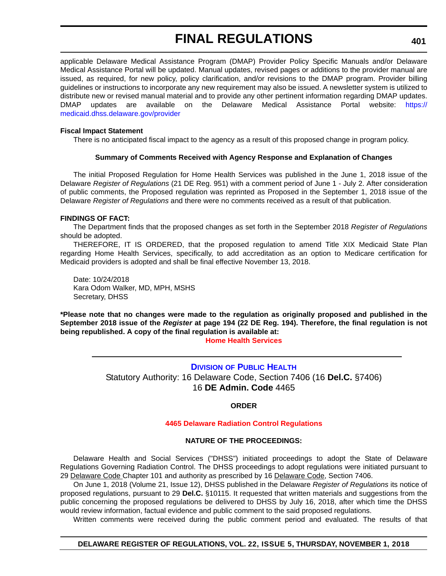applicable Delaware Medical Assistance Program (DMAP) Provider Policy Specific Manuals and/or Delaware Medical Assistance Portal will be updated. Manual updates, revised pages or additions to the provider manual are issued, as required, for new policy, policy clarification, and/or revisions to the DMAP program. Provider billing guidelines or instructions to incorporate any new requirement may also be issued. A newsletter system is utilized to distribute new or revised manual material and to provide any other pertinent information regarding DMAP updates. DMAP updates are available on the Delaware Medical Assistance Portal website: [https://](https://medicaid.dhss.delaware.gov/provider) [medicaid.dhss.delaware.gov/provider](https://medicaid.dhss.delaware.gov/provider)

### **Fiscal Impact Statement**

There is no anticipated fiscal impact to the agency as a result of this proposed change in program policy.

### **Summary of Comments Received with Agency Response and Explanation of Changes**

The initial Proposed Regulation for Home Health Services was published in the June 1, 2018 issue of the Delaware *Register of Regulations* (21 DE Reg. 951) with a comment period of June 1 - July 2. After consideration of public comments, the Proposed regulation was reprinted as Proposed in the September 1, 2018 issue of the Delaware *Register of Regulations* and there were no comments received as a result of that publication.

### **FINDINGS OF FACT:**

The Department finds that the proposed changes as set forth in the September 2018 *Register of Regulations* should be adopted.

THEREFORE, IT IS ORDERED, that the proposed regulation to amend Title XIX Medicaid State Plan regarding Home Health Services, specifically, to add accreditation as an option to Medicare certification for Medicaid providers is adopted and shall be final effective November 13, 2018.

Date: 10/24/2018 Kara Odom Walker, MD, MPH, MSHS Secretary, DHSS

**\*Please note that no changes were made to the regulation as originally proposed and published in the September 2018 issue of the** *Register* **at page 194 (22 DE Reg. 194). Therefore, the final regulation is not being republished. A copy of the final regulation is available at:**

### **[Home Health Services](http://regulations.delaware.gov/register/november2018/final/22 DE Reg 400 11-01-18.htm)**

**DIVISION [OF PUBLIC HEALTH](https://www.dhss.delaware.gov/dhss/dph/index.html)** Statutory Authority: 16 Delaware Code, Section 7406 (16 **Del.C.** §7406) 16 **DE Admin. Code** 4465

### **ORDER**

### **[4465 Delaware Radiation Control Regulations](#page-4-0)**

### **NATURE OF THE PROCEEDINGS:**

Delaware Health and Social Services ("DHSS") initiated proceedings to adopt the State of Delaware Regulations Governing Radiation Control. The DHSS proceedings to adopt regulations were initiated pursuant to 29 Delaware Code Chapter 101 and authority as prescribed by 16 Delaware Code, Section 7406.

On June 1, 2018 (Volume 21, Issue 12), DHSS published in the Delaware *Register of Regulations* its notice of proposed regulations, pursuant to 29 **Del.C.** §10115. It requested that written materials and suggestions from the public concerning the proposed regulations be delivered to DHSS by July 16, 2018, after which time the DHSS would review information, factual evidence and public comment to the said proposed regulations.

Written comments were received during the public comment period and evaluated. The results of that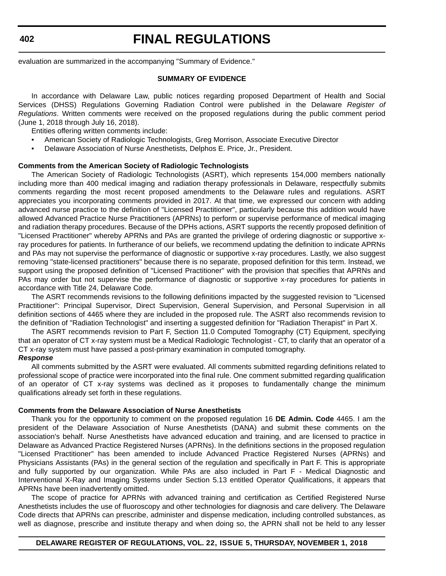**402**

# **FINAL REGULATIONS**

evaluation are summarized in the accompanying "Summary of Evidence."

#### **SUMMARY OF EVIDENCE**

In accordance with Delaware Law, public notices regarding proposed Department of Health and Social Services (DHSS) Regulations Governing Radiation Control were published in the Delaware *Register of Regulations*. Written comments were received on the proposed regulations during the public comment period (June 1, 2018 through July 16, 2018).

Entities offering written comments include:

- American Society of Radiologic Technologists, Greg Morrison, Associate Executive Director
- Delaware Association of Nurse Anesthetists, Delphos E. Price, Jr., President.

### **Comments from the American Society of Radiologic Technologists**

The American Society of Radiologic Technologists (ASRT), which represents 154,000 members nationally including more than 400 medical imaging and radiation therapy professionals in Delaware, respectfully submits comments regarding the most recent proposed amendments to the Delaware rules and regulations. ASRT appreciates you incorporating comments provided in 2017. At that time, we expressed our concern with adding advanced nurse practice to the definition of "Licensed Practitioner", particularly because this addition would have allowed Advanced Practice Nurse Practitioners (APRNs) to perform or supervise performance of medical imaging and radiation therapy procedures. Because of the DPHs actions, ASRT supports the recently proposed definition of "Licensed Practitioner" whereby APRNs and PAs are granted the privilege of ordering diagnostic or supportive xray procedures for patients. In furtherance of our beliefs, we recommend updating the definition to indicate APRNs and PAs may not supervise the performance of diagnostic or supportive x-ray procedures. Lastly, we also suggest removing "state-licensed practitioners" because there is no separate, proposed definition for this term. Instead, we support using the proposed definition of "Licensed Practitioner" with the provision that specifies that APRNs and PAs may order but not supervise the performance of diagnostic or supportive x-ray procedures for patients in accordance with Title 24, Delaware Code.

The ASRT recommends revisions to the following definitions impacted by the suggested revision to "Licensed Practitioner": Principal Supervisor, Direct Supervision, General Supervision, and Personal Supervision in all definition sections of 4465 where they are included in the proposed rule. The ASRT also recommends revision to the definition of "Radiation Technologist" and inserting a suggested definition for "Radiation Therapist" in Part X.

The ASRT recommends revision to Part F, Section 11.0 Computed Tomography (CT) Equipment, specifying that an operator of CT x-ray system must be a Medical Radiologic Technologist - CT, to clarify that an operator of a CT x-ray system must have passed a post-primary examination in computed tomography.

### *Response*

All comments submitted by the ASRT were evaluated. All comments submitted regarding definitions related to professional scope of practice were incorporated into the final rule. One comment submitted regarding qualification of an operator of CT x-ray systems was declined as it proposes to fundamentally change the minimum qualifications already set forth in these regulations.

### **Comments from the Delaware Association of Nurse Anesthetists**

Thank you for the opportunity to comment on the proposed regulation 16 **DE Admin. Code** 4465. I am the president of the Delaware Association of Nurse Anesthetists (DANA) and submit these comments on the association's behalf. Nurse Anesthetists have advanced education and training, and are licensed to practice in Delaware as Advanced Practice Registered Nurses (APRNs). In the definitions sections in the proposed regulation "Licensed Practitioner" has been amended to include Advanced Practice Registered Nurses (APRNs) and Physicians Assistants (PAs) in the general section of the regulation and specifically in Part F. This is appropriate and fully supported by our organization. While PAs are also included in Part F - Medical Diagnostic and Interventional X-Ray and Imaging Systems under Section 5.13 entitled Operator Qualifications, it appears that APRNs have been inadvertently omitted.

The scope of practice for APRNs with advanced training and certification as Certified Registered Nurse Anesthetists includes the use of fluoroscopy and other technologies for diagnosis and care delivery. The Delaware Code directs that APRNs can prescribe, administer and dispense medication, including controlled substances, as well as diagnose, prescribe and institute therapy and when doing so, the APRN shall not be held to any lesser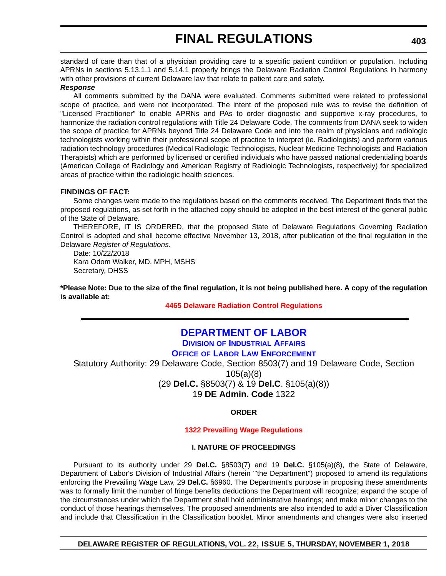standard of care than that of a physician providing care to a specific patient condition or population. Including APRNs in sections 5.13.1.1 and 5.14.1 properly brings the Delaware Radiation Control Regulations in harmony with other provisions of current Delaware law that relate to patient care and safety.

### *Response*

All comments submitted by the DANA were evaluated. Comments submitted were related to professional scope of practice, and were not incorporated. The intent of the proposed rule was to revise the definition of "Licensed Practitioner" to enable APRNs and PAs to order diagnostic and supportive x-ray procedures, to harmonize the radiation control regulations with Title 24 Delaware Code. The comments from DANA seek to widen the scope of practice for APRNs beyond Title 24 Delaware Code and into the realm of physicians and radiologic technologists working within their professional scope of practice to interpret (ie. Radiologists) and perform various radiation technology procedures (Medical Radiologic Technologists, Nuclear Medicine Technologists and Radiation Therapists) which are performed by licensed or certified individuals who have passed national credentialing boards (American College of Radiology and American Registry of Radiologic Technologists, respectively) for specialized areas of practice within the radiologic health sciences.

### **FINDINGS OF FACT:**

Some changes were made to the regulations based on the comments received. The Department finds that the proposed regulations, as set forth in the attached copy should be adopted in the best interest of the general public of the State of Delaware.

THEREFORE, IT IS ORDERED, that the proposed State of Delaware Regulations Governing Radiation Control is adopted and shall become effective November 13, 2018, after publication of the final regulation in the Delaware *Register of Regulations*.

Date: 10/22/2018 Kara Odom Walker, MD, MPH, MSHS Secretary, DHSS

**\*Please Note: Due to the size of the final regulation, it is not being published here. A copy of the regulation is available at:**

**[4465 Delaware Radiation Control Regulations](http://regulations.delaware.gov/register/november2018/final/22 DE Reg 401 11-01-18.htm)** 

### **[DEPARTMENT OF LABOR](https://dia.delawareworks.com/)**

**DIVISION [OF INDUSTRIAL AFFAIRS](https://dia.delawareworks.com/) OFFICE [OF LABOR LAW ENFORCEMENT](https://dia.delawareworks.com/)**

Statutory Authority: 29 Delaware Code, Section 8503(7) and 19 Delaware Code, Section 105(a)(8) (29 **Del.C.** §8503(7) & 19 **Del.C**. §105(a)(8)) 19 **DE Admin. Code** 1322

**ORDER**

### **[1322 Prevailing Wage Regulations](#page-4-0)**

### **I. NATURE OF PROCEEDINGS**

Pursuant to its authority under 29 **Del.C.** §8503(7) and 19 **Del.C.** §105(a)(8), the State of Delaware, Department of Labor's Division of Industrial Affairs (herein '"the Department") proposed to amend its regulations enforcing the Prevailing Wage Law, 29 **Del.C.** §6960. The Department's purpose in proposing these amendments was to formally limit the number of fringe benefits deductions the Department will recognize; expand the scope of the circumstances under which the Department shall hold administrative hearings; and make minor changes to the conduct of those hearings themselves. The proposed amendments are also intended to add a Diver Classification and include that Classification in the Classification booklet. Minor amendments and changes were also inserted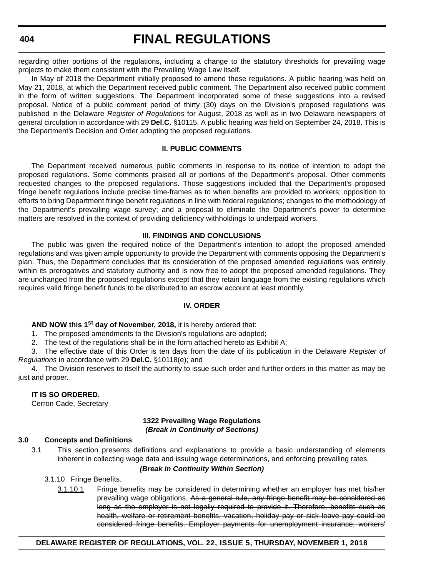**404**

# **FINAL REGULATIONS**

regarding other portions of the regulations, including a change to the statutory thresholds for prevailing wage projects to make them consistent with the Prevailing Wage Law itself.

In May of 2018 the Department initially proposed to amend these regulations. A public hearing was held on May 21, 2018, at which the Department received public comment. The Department also received public comment in the form of written suggestions. The Department incorporated some of these suggestions into a revised proposal. Notice of a public comment period of thirty (30) days on the Division's proposed regulations was published in the Delaware *Register of Regulations* for August, 2018 as well as in two Delaware newspapers of general circulation in accordance with 29 **Del.C.** §10115. A public hearing was held on September 24, 2018. This is the Department's Decision and Order adopting the proposed regulations.

### **II. PUBLIC COMMENTS**

The Department received numerous public comments in response to its notice of intention to adopt the proposed regulations. Some comments praised all or portions of the Department's proposal. Other comments requested changes to the proposed regulations. Those suggestions included that the Department's proposed fringe benefit regulations include precise time-frames as to when benefits are provided to workers; opposition to efforts to bring Department fringe benefit regulations in line with federal regulations; changes to the methodology of the Department's prevailing wage survey; and a proposal to eliminate the Department's power to determine matters are resolved in the context of providing deficiency withholdings to underpaid workers.

### **Ill. FINDINGS AND CONCLUSIONS**

The public was given the required notice of the Department's intention to adopt the proposed amended regulations and was given ample opportunity to provide the Department with comments opposing the Department's plan. Thus, the Department concludes that its consideration of the proposed amended regulations was entirely within its prerogatives and statutory authority and is now free to adopt the proposed amended regulations. They are unchanged from the proposed regulations except that they retain language from the existing regulations which requires valid fringe benefit funds to be distributed to an escrow account at least monthly.

### **IV. ORDER**

**AND NOW this 1st day of November, 2018,** it is hereby ordered that:

1. The proposed amendments to the Division's regulations are adopted;

2. The text of the regulations shall be in the form attached hereto as Exhibit A;

3. The effective date of this Order is ten days from the date of its publication in the Delaware *Register of Regulations* in accordance with 29 **Del.C.** §10118(e); and

4. The Division reserves to itself the authority to issue such order and further orders in this matter as may be just and proper.

### **IT IS SO ORDERED.**

Cerron Cade, Secretary

### **1322 Prevailing Wage Regulations** *(Break in Continuity of Sections)*

### **3.0 Concepts and Definitions**

3.1 This section presents definitions and explanations to provide a basic understanding of elements inherent in collecting wage data and issuing wage determinations, and enforcing prevailing rates.

### *(Break in Continuity Within Section)*

3.1.10 Fringe Benefits.

3.1.10.1 Fringe benefits may be considered in determining whether an employer has met his/her prevailing wage obligations. As a general rule, any fringe benefit may be considered as long as the employer is not legally required to provide it. Therefore, benefits such as health, welfare or retirement benefits, vacation, holiday pay or sick leave pay could be considered fringe benefits. Employer payments for unemployment insurance, workers'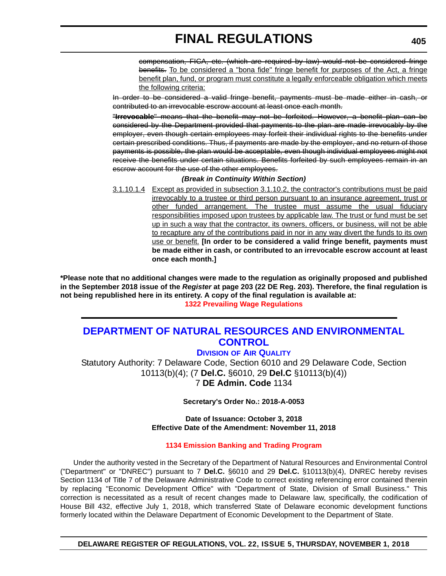compensation, FICA, etc. (which are required by law) would not be considered fringe benefits. To be considered a "bona fide" fringe benefit for purposes of the Act, a fringe benefit plan, fund, or program must constitute a legally enforceable obligation which meets the following criteria:

In order to be considered a valid fringe benefit, payments must be made either in cash, or contributed to an irrevocable escrow account at least once each month.

"**Irrevocable**" means that the benefit may not be forfeited. However, a benefit plan can be considered by the Department provided that payments to the plan are made irrevocably by the employer, even though certain employees may forfeit their individual rights to the benefits under certain prescribed conditions. Thus, if payments are made by the employer, and no return of those payments is possible, the plan would be acceptable, even though individual employees might not receive the benefits under certain situations. Benefits forfeited by such employees remain in an escrow account for the use of the other employees.

### *(Break in Continuity Within Section)*

3.1.10.1.4 Except as provided in subsection 3.1.10.2, the contractor's contributions must be paid irrevocably to a trustee or third person pursuant to an insurance agreement, trust or other funded arrangement. The trustee must assume the usual fiduciary responsibilities imposed upon trustees by applicable law. The trust or fund must be set up in such a way that the contractor, its owners, officers, or business, will not be able to recapture any of the contributions paid in nor in any way divert the funds to its own use or benefit. **[In order to be considered a valid fringe benefit, payments must be made either in cash, or contributed to an irrevocable escrow account at least once each month.]**

**\*Please note that no additional changes were made to the regulation as originally proposed and published in the September 2018 issue of the** *Register* **at page 203 (22 DE Reg. 203). Therefore, the final regulation is not being republished here in its entirety. A copy of the final regulation is available at: [1322 Prevailing Wage Regulations](http://regulations.delaware.gov/register/november2018/final/22 DE Reg 403 11-01-18.htm)** 

### **[DEPARTMENT OF NATURAL RESOURCES AND ENVIRONMENTAL](https://dnrec.alpha.delaware.gov/air/)  CONTROL**

### **DIVISION [OF AIR QUALITY](https://dnrec.alpha.delaware.gov/air/)**

Statutory Authority: 7 Delaware Code, Section 6010 and 29 Delaware Code, Section 10113(b)(4); (7 **Del.C.** §6010, 29 **Del.C** §10113(b)(4)) 7 **DE Admin. Code** 1134

**Secretary's Order No.: 2018-A-0053**

**Date of Issuance: October 3, 2018 Effective Date of the Amendment: November 11, 2018**

### **[1134 Emission Banking and Trading Program](#page-4-0)**

Under the authority vested in the Secretary of the Department of Natural Resources and Environmental Control ("Department" or "DNREC") pursuant to 7 **Del.C.** §6010 and 29 **Del.C.** §10113(b)(4), DNREC hereby revises Section 1134 of Title 7 of the Delaware Administrative Code to correct existing referencing error contained therein by replacing "Economic Development Office" with "Department of State, Division of Small Business." This correction is necessitated as a result of recent changes made to Delaware law, specifically, the codification of House Bill 432, effective July 1, 2018, which transferred State of Delaware economic development functions formerly located within the Delaware Department of Economic Development to the Department of State.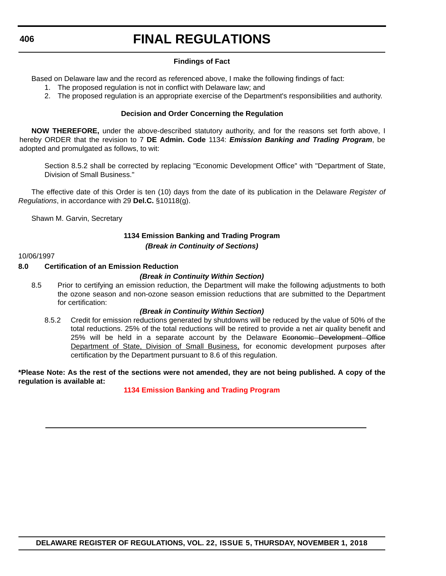### **Findings of Fact**

Based on Delaware law and the record as referenced above, I make the following findings of fact:

- 1. The proposed regulation is not in conflict with Delaware law; and
- 2. The proposed regulation is an appropriate exercise of the Department's responsibilities and authority.

### **Decision and Order Concerning the Regulation**

**NOW THEREFORE,** under the above-described statutory authority, and for the reasons set forth above, I hereby ORDER that the revision to 7 **DE Admin. Code** 1134: *Emission Banking and Trading Program*, be adopted and promulgated as follows, to wit:

Section 8.5.2 shall be corrected by replacing "Economic Development Office" with "Department of State, Division of Small Business."

The effective date of this Order is ten (10) days from the date of its publication in the Delaware *Register of Regulations*, in accordance with 29 **Del.C.** §10118(g).

Shawn M. Garvin, Secretary

### **1134 Emission Banking and Trading Program** *(Break in Continuity of Sections)*

#### 10/06/1997

### **8.0 Certification of an Emission Reduction**

### *(Break in Continuity Within Section)*

8.5 Prior to certifying an emission reduction, the Department will make the following adjustments to both the ozone season and non-ozone season emission reductions that are submitted to the Department for certification:

### *(Break in Continuity Within Section)*

8.5.2 Credit for emission reductions generated by shutdowns will be reduced by the value of 50% of the total reductions. 25% of the total reductions will be retired to provide a net air quality benefit and 25% will be held in a separate account by the Delaware Economic Development Office Department of State, Division of Small Business, for economic development purposes after certification by the Department pursuant to 8.6 of this regulation.

**\*Please Note: As the rest of the sections were not amended, they are not being published. A copy of the regulation is available at:**

### **[1134 Emission Banking and Trading Program](http://regulations.delaware.gov/register/november2018/final/22 DE Reg 405 11-01-18.htm)**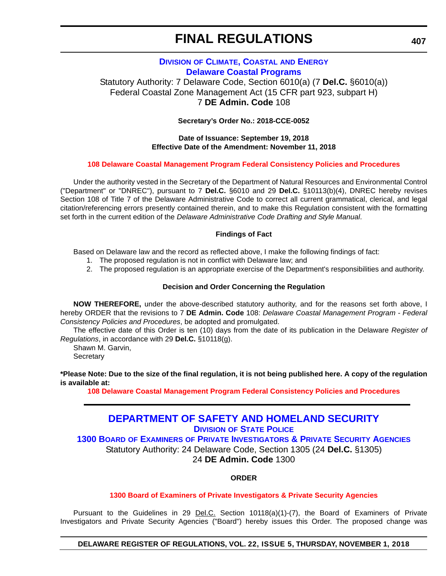### **DIVISION [OF CLIMATE, COASTAL](https://dnrec.alpha.delaware.gov/climate-coastal-energy/) AND ENERGY [Delaware Coastal Programs](https://dnrec.alpha.delaware.gov/climate-coastal-energy/)**

Statutory Authority: 7 Delaware Code, Section 6010(a) (7 **Del.C.** §6010(a)) Federal Coastal Zone Management Act (15 CFR part 923, subpart H) 7 **DE Admin. Code** 108

**Secretary's Order No.: 2018-CCE-0052**

### **Date of Issuance: September 19, 2018 Effective Date of the Amendment: November 11, 2018**

### **[108 Delaware Coastal Management Program Federal Consistency Policies and Procedures](#page-4-0)**

Under the authority vested in the Secretary of the Department of Natural Resources and Environmental Control ("Department" or "DNREC"), pursuant to 7 **Del.C.** §6010 and 29 **Del.C.** §10113(b)(4), DNREC hereby revises Section 108 of Title 7 of the Delaware Administrative Code to correct all current grammatical, clerical, and legal citation/referencing errors presently contained therein, and to make this Regulation consistent with the formatting set forth in the current edition of the *Delaware Administrative Code Drafting and Style Manual*.

### **Findings of Fact**

Based on Delaware law and the record as reflected above, I make the following findings of fact:

- 1. The proposed regulation is not in conflict with Delaware law; and
- 2. The proposed regulation is an appropriate exercise of the Department's responsibilities and authority.

### **Decision and Order Concerning the Regulation**

**NOW THEREFORE,** under the above-described statutory authority, and for the reasons set forth above, I hereby ORDER that the revisions to 7 **DE Admin. Code** 108: *Delaware Coastal Management Program - Federal Consistency Policies and Procedures*, be adopted and promulgated.

The effective date of this Order is ten (10) days from the date of its publication in the Delaware *Register of Regulations*, in accordance with 29 **Del.C.** §10118(g).

Shawn M. Garvin, **Secretary** 

**\*Please Note: Due to the size of the final regulation, it is not being published here. A copy of the regulation is available at:**

**[108 Delaware Coastal Management Program Federal Consistency Policies and Procedures](http://regulations.delaware.gov/register/november2018/final/22 DE Reg 407 11-01-18.htm)** 

### **[DEPARTMENT OF SAFETY AND HOMELAND SECURITY](https://dsp.delaware.gov/) DIVISION [OF STATE POLICE](https://dsp.delaware.gov/)**

**1300 BOARD OF EXAMINERS [OF PRIVATE INVESTIGATORS & PRIVATE SECURITY AGENCIES](https://dsp.delaware.gov/)** Statutory Authority: 24 Delaware Code, Section 1305 (24 **Del.C.** §1305) 24 **DE Admin. Code** 1300

**ORDER**

### **[1300 Board of Examiners of Private Investigators & Private Security Agencies](#page-4-0)**

Pursuant to the Guidelines in 29 Del.C. Section 10118(a)(1)-(7), the Board of Examiners of Private Investigators and Private Security Agencies ("Board") hereby issues this Order. The proposed change was

### **DELAWARE REGISTER OF REGULATIONS, VOL. 22, ISSUE 5, THURSDAY, NOVEMBER 1, 2018**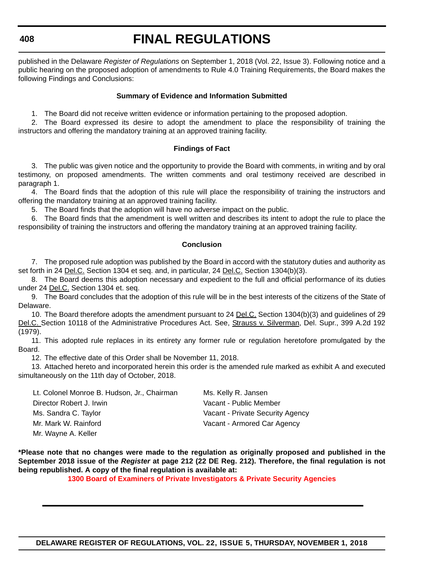#### **408**

# **FINAL REGULATIONS**

published in the Delaware *Register of Regulations* on September 1, 2018 (Vol. 22, Issue 3). Following notice and a public hearing on the proposed adoption of amendments to Rule 4.0 Training Requirements, the Board makes the following Findings and Conclusions:

### **Summary of Evidence and Information Submitted**

1. The Board did not receive written evidence or information pertaining to the proposed adoption.

2. The Board expressed its desire to adopt the amendment to place the responsibility of training the instructors and offering the mandatory training at an approved training facility.

### **Findings of Fact**

3. The public was given notice and the opportunity to provide the Board with comments, in writing and by oral testimony, on proposed amendments. The written comments and oral testimony received are described in paragraph 1.

4. The Board finds that the adoption of this rule will place the responsibility of training the instructors and offering the mandatory training at an approved training facility.

5. The Board finds that the adoption will have no adverse impact on the public.

6. The Board finds that the amendment is well written and describes its intent to adopt the rule to place the responsibility of training the instructors and offering the mandatory training at an approved training facility.

### **Conclusion**

7. The proposed rule adoption was published by the Board in accord with the statutory duties and authority as set forth in 24 Del.C. Section 1304 et seq. and, in particular, 24 Del.C. Section 1304(b)(3).

8. The Board deems this adoption necessary and expedient to the full and official performance of its duties under 24 Del.C. Section 1304 et. seq.

9. The Board concludes that the adoption of this rule will be in the best interests of the citizens of the State of Delaware.

10. The Board therefore adopts the amendment pursuant to 24 Del.C. Section 1304(b)(3) and guidelines of 29 Del.C. Section 10118 of the Administrative Procedures Act. See, Strauss v. Silverman, Del. Supr., 399 A.2d 192 (1979).

11. This adopted rule replaces in its entirety any former rule or regulation heretofore promulgated by the Board.

12. The effective date of this Order shall be November 11, 2018.

13. Attached hereto and incorporated herein this order is the amended rule marked as exhibit A and executed simultaneously on the 11th day of October, 2018.

| Lt. Colonel Monroe B. Hudson, Jr., Chairman | Ms. Kelly R. Jansen              |
|---------------------------------------------|----------------------------------|
| Director Robert J. Irwin                    | Vacant - Public Member           |
| Ms. Sandra C. Taylor                        | Vacant - Private Security Agency |
| Mr. Mark W. Rainford                        | Vacant - Armored Car Agency      |
| Mr. Wayne A. Keller                         |                                  |

**\*Please note that no changes were made to the regulation as originally proposed and published in the September 2018 issue of the** *Register* **at page 212 (22 DE Reg. 212). Therefore, the final regulation is not being republished. A copy of the final regulation is available at:**

**[1300 Board of Examiners of Private Investigators & Private Security Agencies](http://regulations.delaware.gov/register/november2018/final/22 DE Reg 407a 11-01-18.htm)**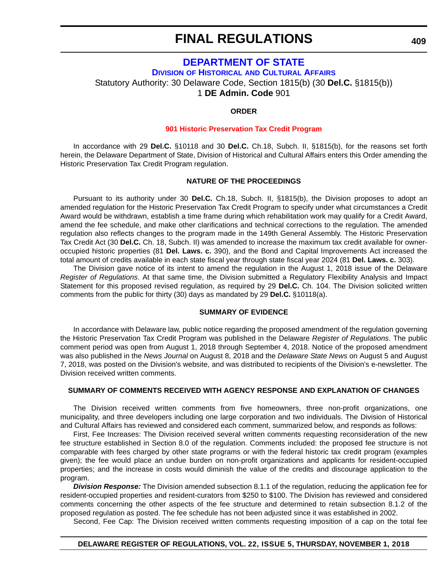### **[DEPARTMENT OF STATE](https://history.delaware.gov/)**

**DIVISION OF HISTORICAL [AND CULTURAL AFFAIRS](https://history.delaware.gov/)**

Statutory Authority: 30 Delaware Code, Section 1815(b) (30 **Del.C.** §1815(b))

1 **DE Admin. Code** 901

### **ORDER**

### **[901 Historic Preservation Tax Credit Program](#page-4-0)**

In accordance with 29 **Del.C.** §10118 and 30 **Del.C.** Ch.18, Subch. II, §1815(b), for the reasons set forth herein, the Delaware Department of State, Division of Historical and Cultural Affairs enters this Order amending the Historic Preservation Tax Credit Program regulation.

### **NATURE OF THE PROCEEDINGS**

Pursuant to its authority under 30 **Del.C.** Ch.18, Subch. II, §1815(b), the Division proposes to adopt an amended regulation for the Historic Preservation Tax Credit Program to specify under what circumstances a Credit Award would be withdrawn, establish a time frame during which rehabilitation work may qualify for a Credit Award, amend the fee schedule, and make other clarifications and technical corrections to the regulation. The amended regulation also reflects changes to the program made in the 149th General Assembly. The Historic Preservation Tax Credit Act (30 **Del.C.** Ch. 18, Subch. II) was amended to increase the maximum tax credit available for owneroccupied historic properties (81 **Del. Laws. c.** 390), and the Bond and Capital Improvements Act increased the total amount of credits available in each state fiscal year through state fiscal year 2024 (81 **Del. Laws. c.** 303).

The Division gave notice of its intent to amend the regulation in the August 1, 2018 issue of the Delaware *Register of Regulations*. At that same time, the Division submitted a Regulatory Flexibility Analysis and Impact Statement for this proposed revised regulation, as required by 29 **Del.C.** Ch. 104. The Division solicited written comments from the public for thirty (30) days as mandated by 29 **Del.C.** §10118(a).

### **SUMMARY OF EVIDENCE**

In accordance with Delaware law, public notice regarding the proposed amendment of the regulation governing the Historic Preservation Tax Credit Program was published in the Delaware *Register of Regulations*. The public comment period was open from August 1, 2018 through September 4, 2018. Notice of the proposed amendment was also published in the *News Journal* on August 8, 2018 and the *Delaware State News* on August 5 and August 7, 2018, was posted on the Division's website, and was distributed to recipients of the Division's e-newsletter. The Division received written comments.

### **SUMMARY OF COMMENTS RECEIVED WITH AGENCY RESPONSE AND EXPLANATION OF CHANGES**

The Division received written comments from five homeowners, three non-profit organizations, one municipality, and three developers including one large corporation and two individuals. The Division of Historical and Cultural Affairs has reviewed and considered each comment, summarized below, and responds as follows:

First, Fee Increases: The Division received several written comments requesting reconsideration of the new fee structure established in Section 8.0 of the regulation. Comments included: the proposed fee structure is not comparable with fees charged by other state programs or with the federal historic tax credit program (examples given); the fee would place an undue burden on non-profit organizations and applicants for resident-occupied properties; and the increase in costs would diminish the value of the credits and discourage application to the program.

*Division Response:* The Division amended subsection 8.1.1 of the regulation, reducing the application fee for resident-occupied properties and resident-curators from \$250 to \$100. The Division has reviewed and considered comments concerning the other aspects of the fee structure and determined to retain subsection 8.1.2 of the proposed regulation as posted. The fee schedule has not been adjusted since it was established in 2002.

Second, Fee Cap: The Division received written comments requesting imposition of a cap on the total fee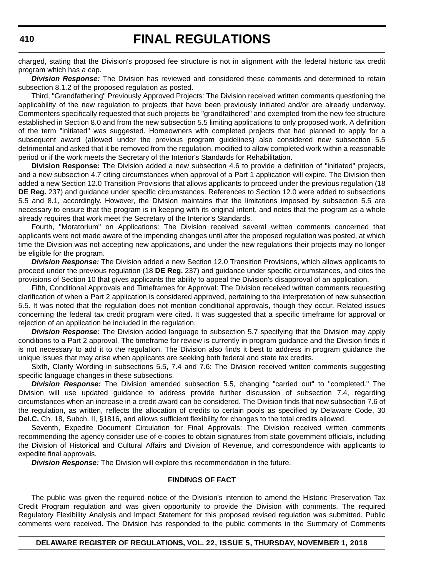charged, stating that the Division's proposed fee structure is not in alignment with the federal historic tax credit program which has a cap.

*Division Response:* The Division has reviewed and considered these comments and determined to retain subsection 8.1.2 of the proposed regulation as posted.

Third, "Grandfathering" Previously Approved Projects: The Division received written comments questioning the applicability of the new regulation to projects that have been previously initiated and/or are already underway. Commenters specifically requested that such projects be "grandfathered" and exempted from the new fee structure established in Section 8.0 and from the new subsection 5.5 limiting applications to only proposed work. A definition of the term "initiated" was suggested. Homeowners with completed projects that had planned to apply for a subsequent award (allowed under the previous program guidelines) also considered new subsection 5.5 detrimental and asked that it be removed from the regulation, modified to allow completed work within a reasonable period or if the work meets the Secretary of the Interior's Standards for Rehabilitation.

**Division Response:** The Division added a new subsection 4.6 to provide a definition of "initiated" projects, and a new subsection 4.7 citing circumstances when approval of a Part 1 application will expire. The Division then added a new Section 12.0 Transition Provisions that allows applicants to proceed under the previous regulation (18 **DE Reg.** 237) and guidance under specific circumstances. References to Section 12.0 were added to subsections 5.5 and 8.1, accordingly. However, the Division maintains that the limitations imposed by subsection 5.5 are necessary to ensure that the program is in keeping with its original intent, and notes that the program as a whole already requires that work meet the Secretary of the Interior's Standards.

Fourth, "Moratorium" on Applications: The Division received several written comments concerned that applicants were not made aware of the impending changes until after the proposed regulation was posted, at which time the Division was not accepting new applications, and under the new regulations their projects may no longer be eligible for the program.

*Division Response:* The Division added a new Section 12.0 Transition Provisions, which allows applicants to proceed under the previous regulation (18 **DE Reg.** 237) and guidance under specific circumstances, and cites the provisions of Section 10 that gives applicants the ability to appeal the Division's disapproval of an application.

Fifth, Conditional Approvals and Timeframes for Approval: The Division received written comments requesting clarification of when a Part 2 application is considered approved, pertaining to the interpretation of new subsection 5.5. It was noted that the regulation does not mention conditional approvals, though they occur. Related issues concerning the federal tax credit program were cited. It was suggested that a specific timeframe for approval or rejection of an application be included in the regulation.

*Division Response:* The Division added language to subsection 5.7 specifying that the Division may apply conditions to a Part 2 approval. The timeframe for review is currently in program guidance and the Division finds it is not necessary to add it to the regulation. The Division also finds it best to address in program guidance the unique issues that may arise when applicants are seeking both federal and state tax credits.

Sixth, Clarify Wording in subsections 5.5, 7.4 and 7.6: The Division received written comments suggesting specific language changes in these subsections.

*Division Response:* The Division amended subsection 5.5, changing "carried out" to "completed." The Division will use updated guidance to address provide further discussion of subsection 7.4, regarding circumstances when an increase in a credit award can be considered. The Division finds that new subsection 7.6 of the regulation, as written, reflects the allocation of credits to certain pools as specified by Delaware Code, 30 **Del.C.** Ch. 18, Subch. II, §1816, and allows sufficient flexibility for changes to the total credits allowed.

Seventh, Expedite Document Circulation for Final Approvals: The Division received written comments recommending the agency consider use of e-copies to obtain signatures from state government officials, including the Division of Historical and Cultural Affairs and Division of Revenue, and correspondence with applicants to expedite final approvals.

*Division Response:* The Division will explore this recommendation in the future.

### **FINDINGS OF FACT**

The public was given the required notice of the Division's intention to amend the Historic Preservation Tax Credit Program regulation and was given opportunity to provide the Division with comments. The required Regulatory Flexibility Analysis and Impact Statement for this proposed revised regulation was submitted. Public comments were received. The Division has responded to the public comments in the Summary of Comments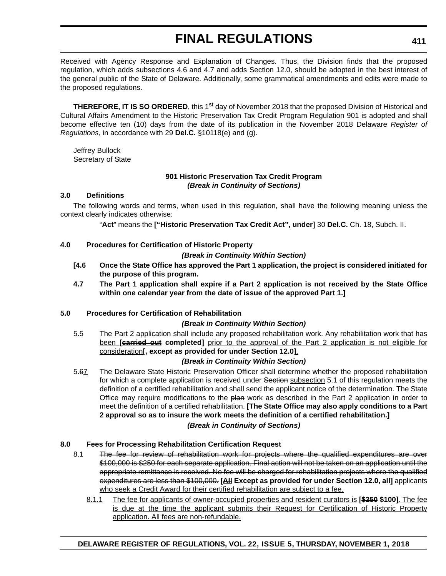Received with Agency Response and Explanation of Changes. Thus, the Division finds that the proposed regulation, which adds subsections 4.6 and 4.7 and adds Section 12.0, should be adopted in the best interest of the general public of the State of Delaware. Additionally, some grammatical amendments and edits were made to the proposed regulations.

**THEREFORE, IT IS SO ORDERED**, this 1<sup>st</sup> day of November 2018 that the proposed Division of Historical and Cultural Affairs Amendment to the Historic Preservation Tax Credit Program Regulation 901 is adopted and shall become effective ten (10) days from the date of its publication in the November 2018 Delaware *Register of Regulations*, in accordance with 29 **Del.C.** §10118(e) and (g).

Jeffrey Bullock Secretary of State

### **901 Historic Preservation Tax Credit Program** *(Break in Continuity of Sections)*

### **3.0 Definitions**

The following words and terms, when used in this regulation, shall have the following meaning unless the context clearly indicates otherwise:

"**Act**" means the **["Historic Preservation Tax Credit Act", under]** 30 **Del.C.** Ch. 18, Subch. II.

### **4.0 Procedures for Certification of Historic Property**

*(Break in Continuity Within Section)*

- **[4.6 Once the State Office has approved the Part 1 application, the project is considered initiated for the purpose of this program.**
- **4.7 The Part 1 application shall expire if a Part 2 application is not received by the State Office within one calendar year from the date of issue of the approved Part 1.]**

### **5.0 Procedures for Certification of Rehabilitation**

### *(Break in Continuity Within Section)*

5.5 The Part 2 application shall include any proposed rehabilitation work. Any rehabilitation work that has been **[carried out completed]** prior to the approval of the Part 2 application is not eligible for consideration**[, except as provided for under Section 12.0]**.

### *(Break in Continuity Within Section)*

5.67 The Delaware State Historic Preservation Officer shall determine whether the proposed rehabilitation for which a complete application is received under Section subsection 5.1 of this regulation meets the definition of a certified rehabilitation and shall send the applicant notice of the determination. The State Office may require modifications to the plan work as described in the Part 2 application in order to meet the definition of a certified rehabilitation. **[The State Office may also apply conditions to a Part 2 approval so as to insure the work meets the definition of a certified rehabilitation.]** *(Break in Continuity of Sections)*

### **8.0 Fees for Processing Rehabilitation Certification Request**

- 8.1 The fee for review of rehabilitation work for projects where the qualified expenditures are over \$100,000 is \$250 for each separate application. Final action will not be taken on an application until the appropriate remittance is received. No fee will be charged for rehabilitation projects where the qualified expenditures are less than \$100,000. **[All Except as provided for under Section 12.0, all]** applicants who seek a Credit Award for their certified rehabilitation are subject to a fee.
	- 8.1.1 The fee for applicants of owner-occupied properties and resident curators is **[\$250 \$100]**. The fee is due at the time the applicant submits their Request for Certification of Historic Property application. All fees are non-refundable.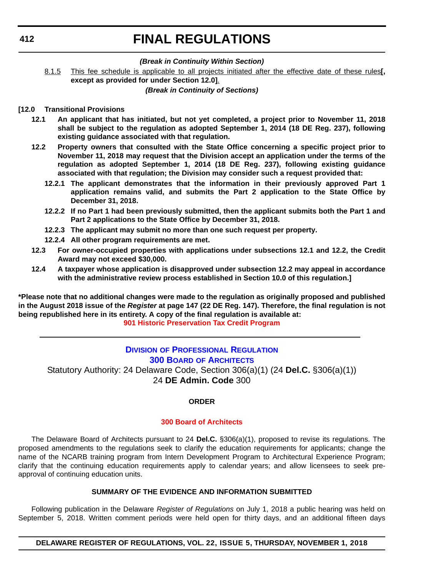### *(Break in Continuity Within Section)*

8.1.5 This fee schedule is applicable to all projects initiated after the effective date of these rules**[, except as provided for under Section 12.0]**.

*(Break in Continuity of Sections)*

### **[12.0 Transitional Provisions**

- **12.1 An applicant that has initiated, but not yet completed, a project prior to November 11, 2018 shall be subject to the regulation as adopted September 1, 2014 (18 DE Reg. 237), following existing guidance associated with that regulation.**
- **12.2 Property owners that consulted with the State Office concerning a specific project prior to November 11, 2018 may request that the Division accept an application under the terms of the regulation as adopted September 1, 2014 (18 DE Reg. 237), following existing guidance associated with that regulation; the Division may consider such a request provided that:**
	- **12.2.1 The applicant demonstrates that the information in their previously approved Part 1 application remains valid, and submits the Part 2 application to the State Office by December 31, 2018.**
	- **12.2.2 If no Part 1 had been previously submitted, then the applicant submits both the Part 1 and Part 2 applications to the State Office by December 31, 2018.**
	- **12.2.3 The applicant may submit no more than one such request per property.**
	- **12.2.4 All other program requirements are met.**
- **12.3 For owner-occupied properties with applications under subsections 12.1 and 12.2, the Credit Award may not exceed \$30,000.**
- **12.4 A taxpayer whose application is disapproved under subsection 12.2 may appeal in accordance with the administrative review process established in Section 10.0 of this regulation.]**

**\*Please note that no additional changes were made to the regulation as originally proposed and published in the August 2018 issue of the** *Register* **at page 147 (22 DE Reg. 147). Therefore, the final regulation is not being republished here in its entirety. A copy of the final regulation is available at: [901 Historic Preservation Tax Credit Program](http://regulations.delaware.gov/register/november2018/final/22 DE Reg 409 11-01-18.htm)** 

### **DIVISION [OF PROFESSIONAL REGULATION](https://dpr.delaware.gov/) 300 BOARD [OF ARCHITECTS](https://dpr.delaware.gov/boards/architects/)**

Statutory Authority: 24 Delaware Code, Section 306(a)(1) (24 **Del.C.** §306(a)(1)) 24 **DE Admin. Code** 300

### **ORDER**

### **[300 Board of Architects](#page-4-0)**

The Delaware Board of Architects pursuant to 24 **Del.C.** §306(a)(1), proposed to revise its regulations. The proposed amendments to the regulations seek to clarify the education requirements for applicants; change the name of the NCARB training program from Intern Development Program to Architectural Experience Program; clarify that the continuing education requirements apply to calendar years; and allow licensees to seek preapproval of continuing education units.

### **SUMMARY OF THE EVIDENCE AND INFORMATION SUBMITTED**

Following publication in the Delaware *Register of Regulations* on July 1, 2018 a public hearing was held on September 5, 2018. Written comment periods were held open for thirty days, and an additional fifteen days

**DELAWARE REGISTER OF REGULATIONS, VOL. 22, ISSUE 5, THURSDAY, NOVEMBER 1, 2018**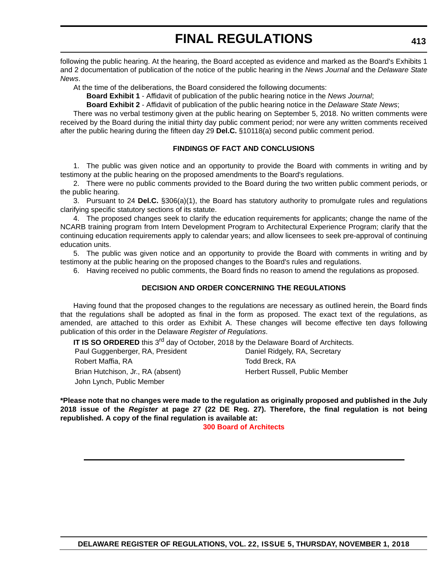following the public hearing. At the hearing, the Board accepted as evidence and marked as the Board's Exhibits 1 and 2 documentation of publication of the notice of the public hearing in the *News Journal* and the *Delaware State News*.

At the time of the deliberations, the Board considered the following documents:

**Board Exhibit 1** - Affidavit of publication of the public hearing notice in the *News Journal*;

**Board Exhibit 2** - Affidavit of publication of the public hearing notice in the *Delaware State News*;

There was no verbal testimony given at the public hearing on September 5, 2018. No written comments were received by the Board during the initial thirty day public comment period; nor were any written comments received after the public hearing during the fifteen day 29 **Del.C.** §10118(a) second public comment period.

### **FINDINGS OF FACT AND CONCLUSIONS**

1. The public was given notice and an opportunity to provide the Board with comments in writing and by testimony at the public hearing on the proposed amendments to the Board's regulations.

2. There were no public comments provided to the Board during the two written public comment periods, or the public hearing.

3. Pursuant to 24 **Del.C.** §306(a)(1), the Board has statutory authority to promulgate rules and regulations clarifying specific statutory sections of its statute.

4. The proposed changes seek to clarify the education requirements for applicants; change the name of the NCARB training program from Intern Development Program to Architectural Experience Program; clarify that the continuing education requirements apply to calendar years; and allow licensees to seek pre-approval of continuing education units.

5. The public was given notice and an opportunity to provide the Board with comments in writing and by testimony at the public hearing on the proposed changes to the Board's rules and regulations.

6. Having received no public comments, the Board finds no reason to amend the regulations as proposed.

### **DECISION AND ORDER CONCERNING THE REGULATIONS**

Having found that the proposed changes to the regulations are necessary as outlined herein, the Board finds that the regulations shall be adopted as final in the form as proposed. The exact text of the regulations, as amended, are attached to this order as Exhibit A. These changes will become effective ten days following publication of this order in the Delaware *Register of Regulations*.

**IT IS SO ORDERED** this 3<sup>rd</sup> day of October, 2018 by the Delaware Board of Architects.

| Paul Guggenberger, RA, President  | Daniel Ridgely, RA, Secretary  |
|-----------------------------------|--------------------------------|
| Robert Maffia, RA                 | Todd Breck, RA                 |
| Brian Hutchison, Jr., RA (absent) | Herbert Russell, Public Member |
| John Lynch, Public Member         |                                |

**\*Please note that no changes were made to the regulation as originally proposed and published in the July 2018 issue of the** *Register* **at page 27 (22 DE Reg. 27). Therefore, the final regulation is not being republished. A copy of the final regulation is available at:**

**[300 Board of Architects](http://regulations.delaware.gov/register/november2018/final/22 DE Reg 412 11-01-18.htm)**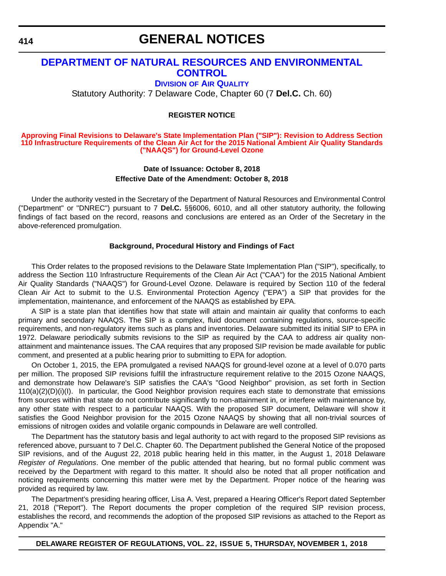### **GENERAL NOTICES**

### **[DEPARTMENT OF NATURAL RESOURCES AND ENVIRONMENTAL](https://dnrec.alpha.delaware.gov/air/)  CONTROL**

**DIVISION [OF AIR QUALITY](https://dnrec.alpha.delaware.gov/air/)**

Statutory Authority: 7 Delaware Code, Chapter 60 (7 **Del.C.** Ch. 60)

#### **REGISTER NOTICE**

#### **Approving Final Revisions to Delaware's State Implementation Plan ("SIP"): Revision to Address Section [110 Infrastructure Requirements of the Clean Air Act for the 2015 National Ambient Air Quality Standards](#page-4-0)  ("NAAQS") for Ground-Level Ozone**

### **Date of Issuance: October 8, 2018 Effective Date of the Amendment: October 8, 2018**

Under the authority vested in the Secretary of the Department of Natural Resources and Environmental Control ("Department" or "DNREC") pursuant to 7 **Del.C.** §§6006, 6010, and all other statutory authority, the following findings of fact based on the record, reasons and conclusions are entered as an Order of the Secretary in the above-referenced promulgation.

#### **Background, Procedural History and Findings of Fact**

This Order relates to the proposed revisions to the Delaware State Implementation Plan ("SIP"), specifically, to address the Section 110 Infrastructure Requirements of the Clean Air Act ("CAA") for the 2015 National Ambient Air Quality Standards ("NAAQS") for Ground-Level Ozone. Delaware is required by Section 110 of the federal Clean Air Act to submit to the U.S. Environmental Protection Agency ("EPA") a SIP that provides for the implementation, maintenance, and enforcement of the NAAQS as established by EPA.

A SIP is a state plan that identifies how that state will attain and maintain air quality that conforms to each primary and secondary NAAQS. The SIP is a complex, fluid document containing regulations, source-specific requirements, and non-regulatory items such as plans and inventories. Delaware submitted its initial SIP to EPA in 1972. Delaware periodically submits revisions to the SIP as required by the CAA to address air quality nonattainment and maintenance issues. The CAA requires that any proposed SIP revision be made available for public comment, and presented at a public hearing prior to submitting to EPA for adoption.

On October 1, 2015, the EPA promulgated a revised NAAQS for ground-level ozone at a level of 0.070 parts per million. The proposed SIP revisions fulfill the infrastructure requirement relative to the 2015 Ozone NAAQS, and demonstrate how Delaware's SIP satisfies the CAA's "Good Neighbor" provision, as set forth in Section 110(a)(2)(D)(i)(I). In particular, the Good Neighbor provision requires each state to demonstrate that emissions from sources within that state do not contribute significantly to non-attainment in, or interfere with maintenance by, any other state with respect to a particular NAAQS. With the proposed SIP document, Delaware will show it satisfies the Good Neighbor provision for the 2015 Ozone NAAQS by showing that all non-trivial sources of emissions of nitrogen oxides and volatile organic compounds in Delaware are well controlled.

The Department has the statutory basis and legal authority to act with regard to the proposed SIP revisions as referenced above, pursuant to 7 Del.C. Chapter 60. The Department published the General Notice of the proposed SIP revisions, and of the August 22, 2018 public hearing held in this matter, in the August 1, 2018 Delaware *Register of Regulations*. One member of the public attended that hearing, but no formal public comment was received by the Department with regard to this matter. It should also be noted that all proper notification and noticing requirements concerning this matter were met by the Department. Proper notice of the hearing was provided as required by law.

The Department's presiding hearing officer, Lisa A. Vest, prepared a Hearing Officer's Report dated September 21, 2018 ("Report"). The Report documents the proper completion of the required SIP revision process, establishes the record, and recommends the adoption of the proposed SIP revisions as attached to the Report as Appendix "A."

#### **DELAWARE REGISTER OF REGULATIONS, VOL. 22, ISSUE 5, THURSDAY, NOVEMBER 1, 2018**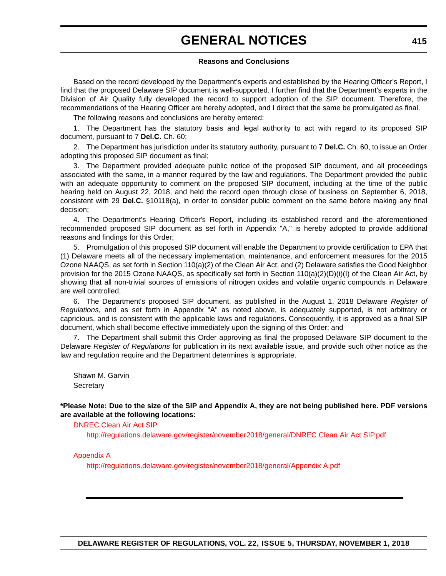# **GENERAL NOTICES**

### **Reasons and Conclusions**

Based on the record developed by the Department's experts and established by the Hearing Officer's Report, I find that the proposed Delaware SIP document is well-supported. I further find that the Department's experts in the Division of Air Quality fully developed the record to support adoption of the SIP document. Therefore, the recommendations of the Hearing Officer are hereby adopted, and I direct that the same be promulgated as final.

The following reasons and conclusions are hereby entered:

1. The Department has the statutory basis and legal authority to act with regard to its proposed SIP document, pursuant to 7 **Del.C.** Ch. 60;

2. The Department has jurisdiction under its statutory authority, pursuant to 7 **Del.C.** Ch. 60, to issue an Order adopting this proposed SIP document as final;

3. The Department provided adequate public notice of the proposed SIP document, and all proceedings associated with the same, in a manner required by the law and regulations. The Department provided the public with an adequate opportunity to comment on the proposed SIP document, including at the time of the public hearing held on August 22, 2018, and held the record open through close of business on September 6, 2018, consistent with 29 **Del.C.** §10118(a), in order to consider public comment on the same before making any final decision;

4. The Department's Hearing Officer's Report, including its established record and the aforementioned recommended proposed SIP document as set forth in Appendix "A," is hereby adopted to provide additional reasons and findings for this Order;

5. Promulgation of this proposed SIP document will enable the Department to provide certification to EPA that (1) Delaware meets all of the necessary implementation, maintenance, and enforcement measures for the 2015 Ozone NAAQS, as set forth in Section 110(a)(2) of the Clean Air Act; and (2) Delaware satisfies the Good Neighbor provision for the 2015 Ozone NAAQS, as specifically set forth in Section 110(a)(2)(D)(i)(I) of the Clean Air Act, by showing that all non-trivial sources of emissions of nitrogen oxides and volatile organic compounds in Delaware are well controlled;

6. The Department's proposed SIP document, as published in the August 1, 2018 Delaware *Register of Regulations*, and as set forth in Appendix "A" as noted above, is adequately supported, is not arbitrary or capricious, and is consistent with the applicable laws and regulations. Consequently, it is approved as a final SIP document, which shall become effective immediately upon the signing of this Order; and

7. The Department shall submit this Order approving as final the proposed Delaware SIP document to the Delaware *Register of Regulations* for publication in its next available issue, and provide such other notice as the law and regulation require and the Department determines is appropriate.

Shawn M. Garvin **Secretary** 

**\*Please Note: Due to the size of the SIP and Appendix A, they are not being published here. PDF versions are available at the following locations:**

[DNREC Clean Air Act SIP](http://regulations.delaware.gov/register/november2018/general/DNREC Clean Air Act SIP.pdf)

<http://regulations.delaware.gov/register/november2018/general/DNREC Clean Air Act SIP.pdf>

[Appendix A](http://regulations.delaware.gov/register/november2018/general/Appendix A.pdf)

<http://regulations.delaware.gov/register/november2018/general/Appendix A.pdf>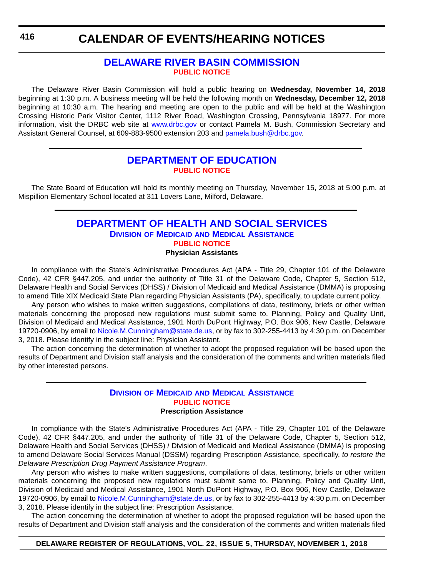### **[DELAWARE RIVER BASIN COMMISSION](https://www.state.nj.us/drbc/) [PUBLIC NOTICE](#page-4-0)**

The Delaware River Basin Commission will hold a public hearing on **Wednesday, November 14, 2018** beginning at 1:30 p.m. A business meeting will be held the following month on **Wednesday, December 12, 2018** beginning at 10:30 a.m. The hearing and meeting are open to the public and will be held at the Washington Crossing Historic Park Visitor Center, 1112 River Road, Washington Crossing, Pennsylvania 18977. For more information, visit the DRBC web site at <www.drbc.gov> or contact Pamela M. Bush, Commission Secretary and Assistant General Counsel, at 609-883-9500 extension 203 and [pamela.bush@drbc.gov.](mailto:pamela.bush@drbc.gov)

### **[DEPARTMENT OF EDUCATION](https://www.doe.k12.de.us/) [PUBLIC NOTICE](#page-4-0)**

The State Board of Education will hold its monthly meeting on Thursday, November 15, 2018 at 5:00 p.m. at Mispillion Elementary School located at 311 Lovers Lane, Milford, Delaware.

### **[DEPARTMENT OF HEALTH AND SOCIAL SERVICES](https://www.dhss.delaware.gov/dhss/dmma/) DIVISION OF MEDICAID [AND MEDICAL ASSISTANCE](https://www.dhss.delaware.gov/dhss/dmma/) [PUBLIC NOTICE](#page-4-0) Physician Assistants**

In compliance with the State's Administrative Procedures Act (APA - Title 29, Chapter 101 of the Delaware Code), 42 CFR §447.205, and under the authority of Title 31 of the Delaware Code, Chapter 5, Section 512, Delaware Health and Social Services (DHSS) / Division of Medicaid and Medical Assistance (DMMA) is proposing to amend Title XIX Medicaid State Plan regarding Physician Assistants (PA), specifically, to update current policy.

Any person who wishes to make written suggestions, compilations of data, testimony, briefs or other written materials concerning the proposed new regulations must submit same to, Planning, Policy and Quality Unit, Division of Medicaid and Medical Assistance, 1901 North DuPont Highway, P.O. Box 906, New Castle, Delaware 19720-0906, by email to [Nicole.M.Cunningham@state.de.us](mailto:Nicole.M.Cunningham@state.de.us), or by fax to 302-255-4413 by 4:30 p.m. on December 3, 2018. Please identify in the subject line: Physician Assistant.

The action concerning the determination of whether to adopt the proposed regulation will be based upon the results of Department and Division staff analysis and the consideration of the comments and written materials filed by other interested persons.

### **DIVISION OF MEDICAID [AND MEDICAL ASSISTANCE](https://www.dhss.delaware.gov/dhss/dmma/) [PUBLIC NOTICE](#page-4-0) Prescription Assistance**

In compliance with the State's Administrative Procedures Act (APA - Title 29, Chapter 101 of the Delaware Code), 42 CFR §447.205, and under the authority of Title 31 of the Delaware Code, Chapter 5, Section 512, Delaware Health and Social Services (DHSS) / Division of Medicaid and Medical Assistance (DMMA) is proposing to amend Delaware Social Services Manual (DSSM) regarding Prescription Assistance, specifically, *to restore the Delaware Prescription Drug Payment Assistance Program*.

Any person who wishes to make written suggestions, compilations of data, testimony, briefs or other written materials concerning the proposed new regulations must submit same to, Planning, Policy and Quality Unit, Division of Medicaid and Medical Assistance, 1901 North DuPont Highway, P.O. Box 906, New Castle, Delaware 19720-0906, by email to [Nicole.M.Cunningham@state.de.us](mailto:Nicole.M.Cunningham@state.de.us), or by fax to 302-255-4413 by 4:30 p.m. on December 3, 2018. Please identify in the subject line: Prescription Assistance.

The action concerning the determination of whether to adopt the proposed regulation will be based upon the results of Department and Division staff analysis and the consideration of the comments and written materials filed

### **DELAWARE REGISTER OF REGULATIONS, VOL. 22, ISSUE 5, THURSDAY, NOVEMBER 1, 2018**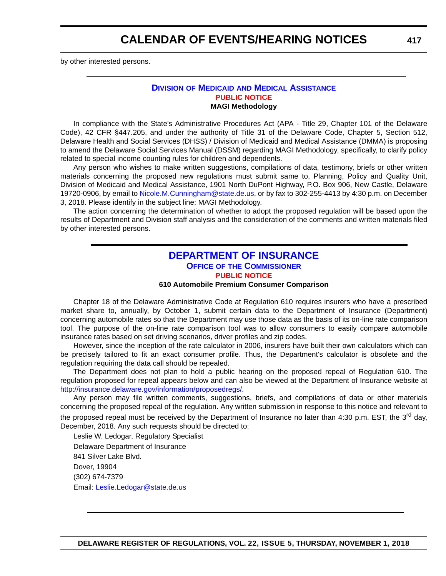by other interested persons.

### **DIVISION OF MEDICAID [AND MEDICAL ASSISTANCE](https://www.dhss.delaware.gov/dhss/dmma/) [PUBLIC NOTICE](#page-4-0) MAGI Methodology**

In compliance with the State's Administrative Procedures Act (APA - Title 29, Chapter 101 of the Delaware Code), 42 CFR §447.205, and under the authority of Title 31 of the Delaware Code, Chapter 5, Section 512, Delaware Health and Social Services (DHSS) / Division of Medicaid and Medical Assistance (DMMA) is proposing to amend the Delaware Social Services Manual (DSSM) regarding MAGI Methodology, specifically, to clarify policy related to special income counting rules for children and dependents.

Any person who wishes to make written suggestions, compilations of data, testimony, briefs or other written materials concerning the proposed new regulations must submit same to, Planning, Policy and Quality Unit, Division of Medicaid and Medical Assistance, 1901 North DuPont Highway, P.O. Box 906, New Castle, Delaware 19720-0906, by email to [Nicole.M.Cunningham@state.de.us,](mailto:Nicole.M.Cunningham@state.de.us) or by fax to 302-255-4413 by 4:30 p.m. on December 3, 2018. Please identify in the subject line: MAGI Methodology.

The action concerning the determination of whether to adopt the proposed regulation will be based upon the results of Department and Division staff analysis and the consideration of the comments and written materials filed by other interested persons.

### **[DEPARTMENT OF INSURANCE](https://insurance.delaware.gov/) OFFICE OF [THE COMMISSIONER](https://insurance.delaware.gov/) [PUBLIC NOTICE](#page-4-0)**

#### **610 Automobile Premium Consumer Comparison**

Chapter 18 of the Delaware Administrative Code at Regulation 610 requires insurers who have a prescribed market share to, annually, by October 1, submit certain data to the Department of Insurance (Department) concerning automobile rates so that the Department may use those data as the basis of its on-line rate comparison tool. The purpose of the on-line rate comparison tool was to allow consumers to easily compare automobile insurance rates based on set driving scenarios, driver profiles and zip codes.

However, since the inception of the rate calculator in 2006, insurers have built their own calculators which can be precisely tailored to fit an exact consumer profile. Thus, the Department's calculator is obsolete and the regulation requiring the data call should be repealed.

The Department does not plan to hold a public hearing on the proposed repeal of Regulation 610. The regulation proposed for repeal appears below and can also be viewed at the Department of Insurance website at <http://insurance.delaware.gov/information/proposedregs/>.

Any person may file written comments, suggestions, briefs, and compilations of data or other materials concerning the proposed repeal of the regulation. Any written submission in response to this notice and relevant to the proposed repeal must be received by the Department of Insurance no later than 4:30 p.m. EST, the 3<sup>rd</sup> day, December, 2018. Any such requests should be directed to:

Leslie W. Ledogar, Regulatory Specialist Delaware Department of Insurance 841 Silver Lake Blvd. Dover, 19904 (302) 674-7379 Email: [Leslie.Ledogar@state.de.us](mailto:Leslie.Ledogar@state.de.us)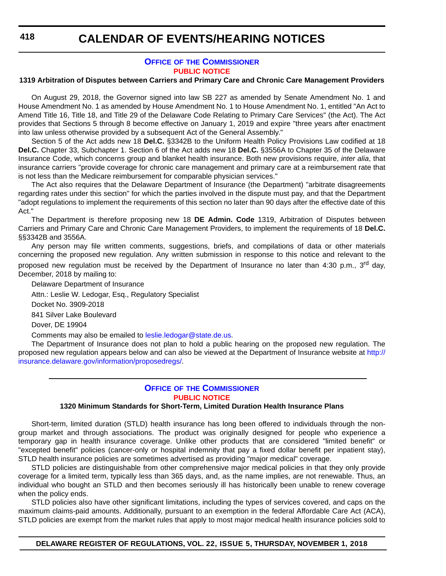**418**

### **CALENDAR OF EVENTS/HEARING NOTICES**

### **OFFICE OF [THE COMMISSIONER](https://insurance.delaware.gov/) [PUBLIC NOTICE](#page-4-0)**

### **1319 Arbitration of Disputes between Carriers and Primary Care and Chronic Care Management Providers**

On August 29, 2018, the Governor signed into law SB 227 as amended by Senate Amendment No. 1 and House Amendment No. 1 as amended by House Amendment No. 1 to House Amendment No. 1, entitled "An Act to Amend Title 16, Title 18, and Title 29 of the Delaware Code Relating to Primary Care Services" (the Act). The Act provides that Sections 5 through 8 become effective on January 1, 2019 and expire "three years after enactment into law unless otherwise provided by a subsequent Act of the General Assembly."

Section 5 of the Act adds new 18 **Del.C.** §3342B to the Uniform Health Policy Provisions Law codified at 18 **Del.C.** Chapter 33, Subchapter 1. Section 6 of the Act adds new 18 **Del.C.** §3556A to Chapter 35 of the Delaware Insurance Code, which concerns group and blanket health insurance. Both new provisions require, *inter alia*, that insurance carriers "provide coverage for chronic care management and primary care at a reimbursement rate that is not less than the Medicare reimbursement for comparable physician services."

The Act also requires that the Delaware Department of Insurance (the Department) "arbitrate disagreements regarding rates under this section" for which the parties involved in the dispute must pay, and that the Department "adopt regulations to implement the requirements of this section no later than 90 days after the effective date of this Act."

The Department is therefore proposing new 18 **DE Admin. Code** 1319, Arbitration of Disputes between Carriers and Primary Care and Chronic Care Management Providers, to implement the requirements of 18 **Del.C.** §§3342B and 3556A.

Any person may file written comments, suggestions, briefs, and compilations of data or other materials concerning the proposed new regulation. Any written submission in response to this notice and relevant to the proposed new regulation must be received by the Department of Insurance no later than 4:30 p.m., 3<sup>rd</sup> day, December, 2018 by mailing to:

Delaware Department of Insurance Attn.: Leslie W. Ledogar, Esq., Regulatory Specialist Docket No. 3909-2018 841 Silver Lake Boulevard Dover, DE 19904 Comments may also be emailed to [leslie.ledogar@state.de.us](mailto:leslie.ledogar@state.de.us).

The Department of Insurance does not plan to hold a public hearing on the proposed new regulation. The proposed new regulation appears below and can also be viewed at the Department of Insurance website at [http://](http://insurance.delaware.gov/information/proposedregs/) [insurance.delaware.gov/information/proposedregs/.](http://insurance.delaware.gov/information/proposedregs/)

### **OFFICE OF [THE COMMISSIONER](https://insurance.delaware.gov/) [PUBLIC NOTICE](#page-4-0)**

### **1320 Minimum Standards for Short-Term, Limited Duration Health Insurance Plans**

Short-term, limited duration (STLD) health insurance has long been offered to individuals through the nongroup market and through associations. The product was originally designed for people who experience a temporary gap in health insurance coverage. Unlike other products that are considered "limited benefit" or "excepted benefit" policies (cancer-only or hospital indemnity that pay a fixed dollar benefit per inpatient stay), STLD health insurance policies are sometimes advertised as providing "major medical" coverage.

STLD policies are distinguishable from other comprehensive major medical policies in that they only provide coverage for a limited term, typically less than 365 days, and, as the name implies, are not renewable. Thus, an individual who bought an STLD and then becomes seriously ill has historically been unable to renew coverage when the policy ends.

STLD policies also have other significant limitations, including the types of services covered, and caps on the maximum claims-paid amounts. Additionally, pursuant to an exemption in the federal Affordable Care Act (ACA), STLD policies are exempt from the market rules that apply to most major medical health insurance policies sold to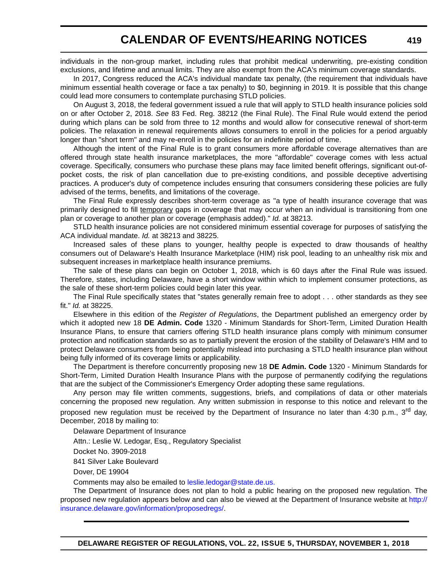individuals in the non-group market, including rules that prohibit medical underwriting, pre-existing condition exclusions, and lifetime and annual limits. They are also exempt from the ACA's minimum coverage standards.

In 2017, Congress reduced the ACA's individual mandate tax penalty, (the requirement that individuals have minimum essential health coverage or face a tax penalty) to \$0, beginning in 2019. It is possible that this change could lead more consumers to contemplate purchasing STLD policies.

On August 3, 2018, the federal government issued a rule that will apply to STLD health insurance policies sold on or after October 2, 2018. *See* 83 Fed. Reg. 38212 (the Final Rule). The Final Rule would extend the period during which plans can be sold from three to 12 months and would allow for consecutive renewal of short-term policies. The relaxation in renewal requirements allows consumers to enroll in the policies for a period arguably longer than "short term" and may re-enroll in the policies for an indefinite period of time.

Although the intent of the Final Rule is to grant consumers more affordable coverage alternatives than are offered through state health insurance marketplaces, the more "affordable" coverage comes with less actual coverage. Specifically, consumers who purchase these plans may face limited benefit offerings, significant out-ofpocket costs, the risk of plan cancellation due to pre-existing conditions, and possible deceptive advertising practices. A producer's duty of competence includes ensuring that consumers considering these policies are fully advised of the terms, benefits, and limitations of the coverage.

The Final Rule expressly describes short-term coverage as "a type of health insurance coverage that was primarily designed to fill temporary gaps in coverage that may occur when an individual is transitioning from one plan or coverage to another plan or coverage (emphasis added)." *Id.* at 38213.

STLD health insurance policies are not considered minimum essential coverage for purposes of satisfying the ACA individual mandate. *Id.* at 38213 and 38225.

Increased sales of these plans to younger, healthy people is expected to draw thousands of healthy consumers out of Delaware's Health Insurance Marketplace (HIM) risk pool, leading to an unhealthy risk mix and subsequent increases in marketplace health insurance premiums.

The sale of these plans can begin on October 1, 2018, which is 60 days after the Final Rule was issued. Therefore, states, including Delaware, have a short window within which to implement consumer protections, as the sale of these short-term policies could begin later this year.

The Final Rule specifically states that "states generally remain free to adopt . . . other standards as they see fit." *Id.* at 38225.

Elsewhere in this edition of the *Register of Regulations*, the Department published an emergency order by which it adopted new 18 **DE Admin. Code** 1320 - Minimum Standards for Short-Term, Limited Duration Health Insurance Plans, to ensure that carriers offering STLD health insurance plans comply with minimum consumer protection and notification standards so as to partially prevent the erosion of the stability of Delaware's HIM and to protect Delaware consumers from being potentially mislead into purchasing a STLD health insurance plan without being fully informed of its coverage limits or applicability.

The Department is therefore concurrently proposing new 18 **DE Admin. Code** 1320 - Minimum Standards for Short-Term, Limited Duration Health Insurance Plans with the purpose of permanently codifying the regulations that are the subject of the Commissioner's Emergency Order adopting these same regulations.

Any person may file written comments, suggestions, briefs, and compilations of data or other materials concerning the proposed new regulation. Any written submission in response to this notice and relevant to the proposed new regulation must be received by the Department of Insurance no later than 4:30 p.m., 3<sup>rd</sup> day, December, 2018 by mailing to:

Delaware Department of Insurance

Attn.: Leslie W. Ledogar, Esq., Regulatory Specialist

Docket No. 3909-2018

841 Silver Lake Boulevard

Dover, DE 19904

Comments may also be emailed to [leslie.ledogar@state.de.us.](mailto:leslie.ledogar@state.de.us.)

The Department of Insurance does not plan to hold a public hearing on the proposed new regulation. The proposed new regulation appears below and can also be viewed at the Department of Insurance website at [http://](http://insurance.delaware.gov/information/proposedregs/) [insurance.delaware.gov/information/proposedregs/](http://insurance.delaware.gov/information/proposedregs/).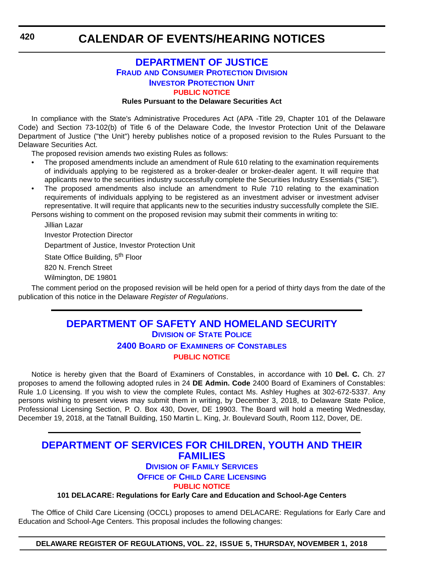### **[DEPARTMENT OF JUSTICE](https://attorneygeneral.delaware.gov/fraud/) FRAUD [AND CONSUMER PROTECTION DIVISION](https://attorneygeneral.delaware.gov/fraud/) [INVESTOR PROTECTION UNIT](https://attorneygeneral.delaware.gov/fraud/) [PUBLIC NOTICE](#page-4-0)**

### **Rules Pursuant to the Delaware Securities Act**

In compliance with the State's Administrative Procedures Act (APA -Title 29, Chapter 101 of the Delaware Code) and Section 73-102(b) of Title 6 of the Delaware Code, the Investor Protection Unit of the Delaware Department of Justice ("the Unit") hereby publishes notice of a proposed revision to the Rules Pursuant to the Delaware Securities Act.

The proposed revision amends two existing Rules as follows:

- The proposed amendments include an amendment of Rule 610 relating to the examination requirements of individuals applying to be registered as a broker-dealer or broker-dealer agent. It will require that applicants new to the securities industry successfully complete the Securities Industry Essentials ("SIE").
- The proposed amendments also include an amendment to Rule 710 relating to the examination requirements of individuals applying to be registered as an investment adviser or investment adviser representative. It will require that applicants new to the securities industry successfully complete the SIE.

Persons wishing to comment on the proposed revision may submit their comments in writing to:

Jillian Lazar

Investor Protection Director

Department of Justice, Investor Protection Unit

State Office Building, 5<sup>th</sup> Floor

820 N. French Street

Wilmington, DE 19801

The comment period on the proposed revision will be held open for a period of thirty days from the date of the publication of this notice in the Delaware *Register of Regulations*.

### **[DEPARTMENT OF SAFETY AND HOMELAND SECURITY](https://dsp.delaware.gov/) DIVISION [OF STATE POLICE](https://dsp.delaware.gov/)**

### **2400 BOARD OF EXAMINERS [OF CONSTABLES](https://dsp.delaware.gov/) [PUBLIC NOTICE](#page-4-0)**

Notice is hereby given that the Board of Examiners of Constables, in accordance with 10 **Del. C.** Ch. 27 proposes to amend the following adopted rules in 24 **DE Admin. Code** 2400 Board of Examiners of Constables: Rule 1.0 Licensing. If you wish to view the complete Rules, contact Ms. Ashley Hughes at 302-672-5337. Any persons wishing to present views may submit them in writing, by December 3, 2018, to Delaware State Police, Professional Licensing Section, P. O. Box 430, Dover, DE 19903. The Board will hold a meeting Wednesday, December 19, 2018, at the Tatnall Building, 150 Martin L. King, Jr. Boulevard South, Room 112, Dover, DE.

### **[DEPARTMENT OF SERVICES FOR CHILDREN, YOUTH AND THEIR](https://kids.delaware.gov/fs/fs.shtml)  FAMILIES**

### **DIVISION [OF FAMILY SERVICES](https://kids.delaware.gov/fs/fs.shtml)**

**OFFICE [OF CHILD CARE LICENSING](https://kids.delaware.gov/fs/fs.shtml)**

**[PUBLIC NOTICE](#page-4-0)**

**101 DELACARE: Regulations for Early Care and Education and School-Age Centers**

The Office of Child Care Licensing (OCCL) proposes to amend DELACARE: Regulations for Early Care and Education and School-Age Centers. This proposal includes the following changes:

**DELAWARE REGISTER OF REGULATIONS, VOL. 22, ISSUE 5, THURSDAY, NOVEMBER 1, 2018**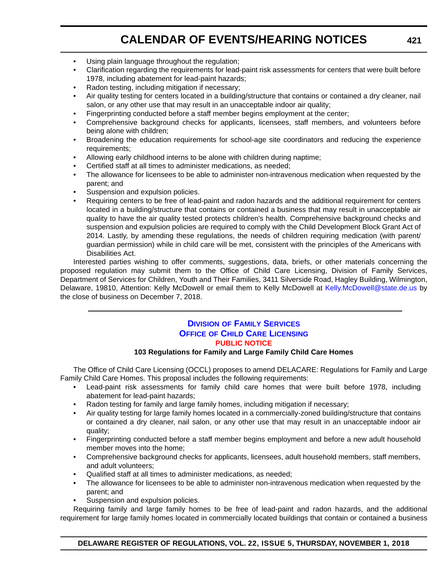- Using plain language throughout the regulation:
- Clarification regarding the requirements for lead-paint risk assessments for centers that were built before 1978, including abatement for lead-paint hazards;
- Radon testing, including mitigation if necessary;
- Air quality testing for centers located in a building/structure that contains or contained a dry cleaner, nail salon, or any other use that may result in an unacceptable indoor air quality;
- Fingerprinting conducted before a staff member begins employment at the center;
- Comprehensive background checks for applicants, licensees, staff members, and volunteers before being alone with children;
- Broadening the education requirements for school-age site coordinators and reducing the experience requirements;
- Allowing early childhood interns to be alone with children during naptime;
- Certified staff at all times to administer medications, as needed;
- The allowance for licensees to be able to administer non-intravenous medication when requested by the parent; and
- Suspension and expulsion policies.
- Requiring centers to be free of lead-paint and radon hazards and the additional requirement for centers located in a building/structure that contains or contained a business that may result in unacceptable air quality to have the air quality tested protects children's health. Comprehensive background checks and suspension and expulsion policies are required to comply with the Child Development Block Grant Act of 2014. Lastly, by amending these regulations, the needs of children requiring medication (with parent/ guardian permission) while in child care will be met, consistent with the principles of the Americans with Disabilities Act.

Interested parties wishing to offer comments, suggestions, data, briefs, or other materials concerning the proposed regulation may submit them to the Office of Child Care Licensing, Division of Family Services, Department of Services for Children, Youth and Their Families, 3411 Silverside Road, Hagley Building, Wilmington, Delaware, 19810, Attention: Kelly McDowell or email them to Kelly McDowell at [Kelly.McDowell@state.de.us](mailto:Kelly.McDowell@state.de.us) by the close of business on December 7, 2018.

### **DIVISION [OF FAMILY SERVICES](https://kids.delaware.gov/fs/fs.shtml) OFFICE [OF CHILD CARE LICENSING](https://kids.delaware.gov/fs/fs.shtml) [PUBLIC NOTICE](#page-4-0)**

### **103 Regulations for Family and Large Family Child Care Homes**

The Office of Child Care Licensing (OCCL) proposes to amend DELACARE: Regulations for Family and Large Family Child Care Homes. This proposal includes the following requirements:

- Lead-paint risk assessments for family child care homes that were built before 1978, including abatement for lead-paint hazards;
- Radon testing for family and large family homes, including mitigation if necessary;
- Air quality testing for large family homes located in a commercially-zoned building/structure that contains or contained a dry cleaner, nail salon, or any other use that may result in an unacceptable indoor air quality;
- Fingerprinting conducted before a staff member begins employment and before a new adult household member moves into the home;
- Comprehensive background checks for applicants, licensees, adult household members, staff members, and adult volunteers;
- Qualified staff at all times to administer medications, as needed;
- The allowance for licensees to be able to administer non-intravenous medication when requested by the parent; and
- Suspension and expulsion policies.

Requiring family and large family homes to be free of lead-paint and radon hazards, and the additional requirement for large family homes located in commercially located buildings that contain or contained a business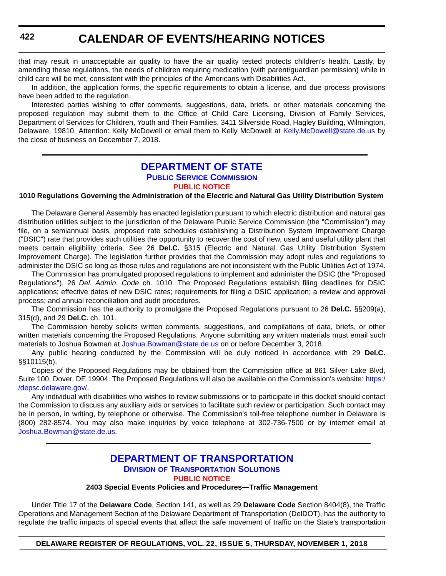that may result in unacceptable air quality to have the air quality tested protects children's health. Lastly, by amending these regulations, the needs of children requiring medication (with parent/guardian permission) while in child care will be met, consistent with the principles of the Americans with Disabilities Act.

In addition, the application forms, the specific requirements to obtain a license, and due process provisions have been added to the regulation.

Interested parties wishing to offer comments, suggestions, data, briefs, or other materials concerning the proposed regulation may submit them to the Office of Child Care Licensing, Division of Family Services, Department of Services for Children, Youth and Their Families, 3411 Silverside Road, Hagley Building, Wilmington, Delaware, 19810, Attention: Kelly McDowell or email them to Kelly McDowell at [Kelly.McDowell@state.de.us](mailto:Kelly.McDowell@state.de.us) by the close of business on December 7, 2018.

### **[DEPARTMENT OF STATE](https://depsc.delaware.gov/) [PUBLIC SERVICE COMMISSION](https://depsc.delaware.gov/) [PUBLIC NOTICE](#page-4-0)**

### **1010 Regulations Governing the Administration of the Electric and Natural Gas Utility Distribution System**

The Delaware General Assembly has enacted legislation pursuant to which electric distribution and natural gas distribution utilities subject to the jurisdiction of the Delaware Public Service Commission (the "Commission") may file, on a semiannual basis, proposed rate schedules establishing a Distribution System Improvement Charge ("DSIC") rate that provides such utilities the opportunity to recover the cost of new, used and useful utility plant that meets certain eligibility criteria. See 26 **Del.C.** §315 (Electric and Natural Gas Utility Distribution System Improvement Charge). The legislation further provides that the Commission may adopt rules and regulations to administer the DSIC so long as those rules and regulations are not inconsistent with the Public Utilities Act of 1974.

The Commission has promulgated proposed regulations to implement and administer the DSIC (the "Proposed Regulations"), 26 *Del. Admin. Code* ch. 1010. The Proposed Regulations establish filing deadlines for DSIC applications; effective dates of new DSIC rates; requirements for filing a DSIC application; a review and approval process; and annual reconciliation and audit procedures.

The Commission has the authority to promulgate the Proposed Regulations pursuant to 26 **Del.C.** §§209(a), 315(d), and 29 **Del.C.** ch. 101.

The Commission hereby solicits written comments, suggestions, and compilations of data, briefs, or other written materials concerning the Proposed Regulations. Anyone submitting any written materials must email such materials to Joshua Bowman at [Joshua.Bowman@state.de.us](mailto:Joshua.Bowman@state.de.us) on or before December 3, 2018.

Any public hearing conducted by the Commission will be duly noticed in accordance with 29 **Del.C.** §§10115(b).

Copies of the Proposed Regulations may be obtained from the Commission office at 861 Silver Lake Blvd, Suite 100, Dover, DE 19904. The Proposed Regulations will also be available on the Commission's website: [https:/](https://depsc.delaware.gov/) [/depsc.delaware.gov/.](https://depsc.delaware.gov/)

Any individual with disabilities who wishes to review submissions or to participate in this docket should contact the Commission to discuss any auxiliary aids or services to facilitate such review or participation. Such contact may be in person, in writing, by telephone or otherwise. The Commission's toll-free telephone number in Delaware is (800) 282-8574. You may also make inquiries by voice telephone at 302-736-7500 or by internet email at [Joshua.Bowman@state.de.us.](mailto:Joshua.Bowman@state.de.us)

### **[DEPARTMENT OF TRANSPORTATION](https://www.deldot.gov/index.shtml) DIVISION [OF TRANSPORTATION SOLUTIONS](https://www.deldot.gov/index.shtml) [PUBLIC NOTICE](#page-4-0)**

### **2403 Special Events Policies and Procedures—Traffic Management**

Under Title 17 of the **Delaware Code**, Section 141, as well as 29 **Delaware Code** Section 8404(8), the Traffic Operations and Management Section of the Delaware Department of Transportation (DelDOT), has the authority to regulate the traffic impacts of special events that affect the safe movement of traffic on the State's transportation

**DELAWARE REGISTER OF REGULATIONS, VOL. 22, ISSUE 5, THURSDAY, NOVEMBER 1, 2018**